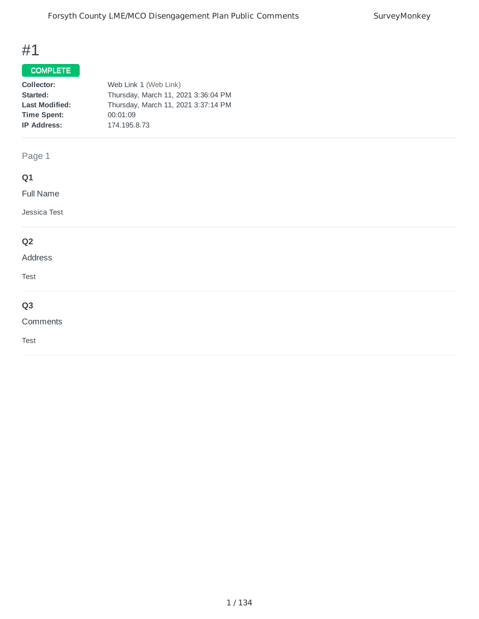## COMPLETE

| Collector:            | Web Link 1 (Web Link)               |
|-----------------------|-------------------------------------|
| Started:              | Thursday, March 11, 2021 3:36:04 PM |
| <b>Last Modified:</b> | Thursday, March 11, 2021 3:37:14 PM |
| <b>Time Spent:</b>    | 00:01:09                            |
| <b>IP Address:</b>    | 174.195.8.73                        |
|                       |                                     |

Page 1

# **Q1**

Full Name

Jessica Test

## **Q2**

## Address

Test

# **Q3**

#### Comments

Test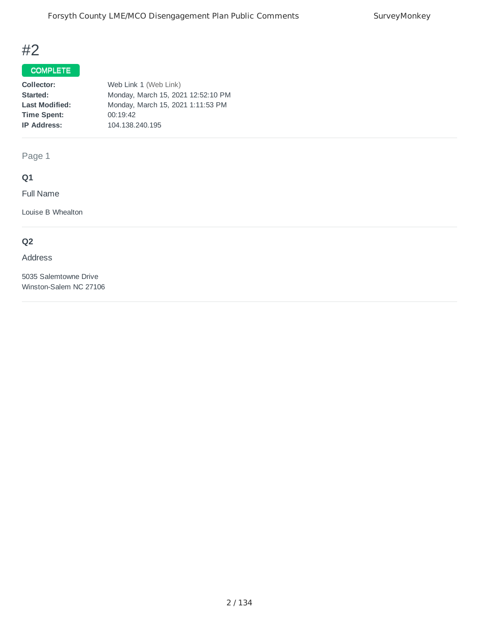## COMPLETE

| Collector:            | Web Link 1 (Web Link)              |
|-----------------------|------------------------------------|
| Started:              | Monday, March 15, 2021 12:52:10 PM |
| <b>Last Modified:</b> | Monday, March 15, 2021 1:11:53 PM  |
| <b>Time Spent:</b>    | 00:19:42                           |
| <b>IP Address:</b>    | 104.138.240.195                    |
|                       |                                    |

Page 1

# **Q1**

Full Name

Louise B Whealton

## **Q2**

#### Address

5035 Salemtowne Drive Winston-Salem NC 27106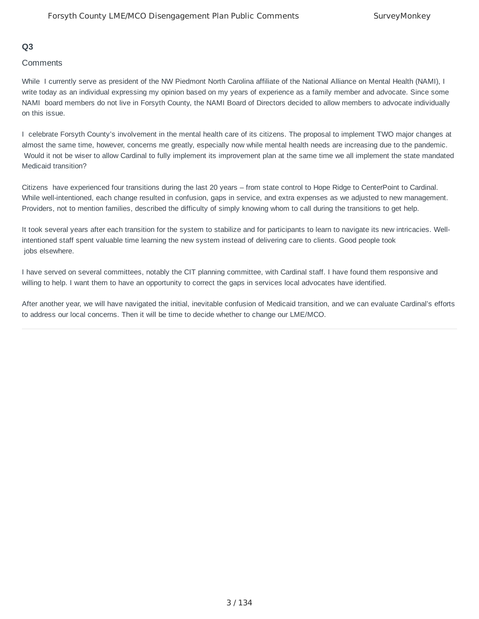#### **Q3**

#### **Comments**

While I currently serve as president of the NW Piedmont North Carolina affiliate of the National Alliance on Mental Health (NAMI), I write today as an individual expressing my opinion based on my years of experience as a family member and advocate. Since some NAMI board members do not live in Forsyth County, the NAMI Board of Directors decided to allow members to advocate individually on this issue.

I celebrate Forsyth County's involvement in the mental health care of its citizens. The proposal to implement TWO major changes at almost the same time, however, concerns me greatly, especially now while mental health needs are increasing due to the pandemic. Would it not be wiser to allow Cardinal to fully implement its improvement plan at the same time we all implement the state mandated Medicaid transition?

Citizens have experienced four transitions during the last 20 years – from state control to Hope Ridge to CenterPoint to Cardinal. While well-intentioned, each change resulted in confusion, gaps in service, and extra expenses as we adjusted to new management. Providers, not to mention families, described the difficulty of simply knowing whom to call during the transitions to get help.

It took several years after each transition for the system to stabilize and for participants to learn to navigate its new intricacies. Wellintentioned staff spent valuable time learning the new system instead of delivering care to clients. Good people took jobs elsewhere.

I have served on several committees, notably the CIT planning committee, with Cardinal staff. I have found them responsive and willing to help. I want them to have an opportunity to correct the gaps in services local advocates have identified.

After another year, we will have navigated the initial, inevitable confusion of Medicaid transition, and we can evaluate Cardinal's efforts to address our local concerns. Then it will be time to decide whether to change our LME/MCO.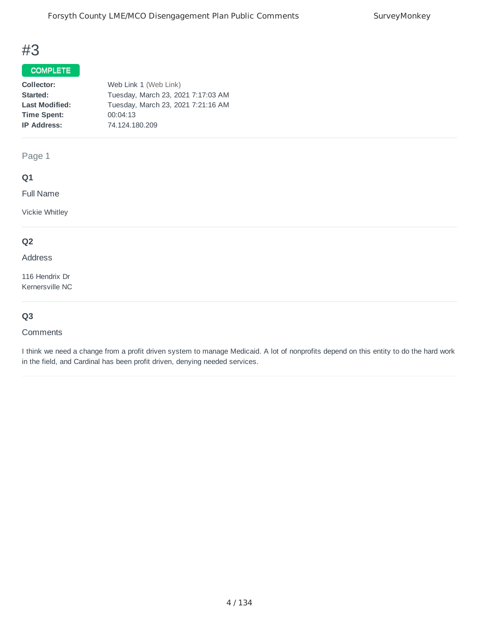# COMPLETE

| Collector:            | Web Link 1 (Web Link)              |
|-----------------------|------------------------------------|
| Started:              | Tuesday, March 23, 2021 7:17:03 AM |
| <b>Last Modified:</b> | Tuesday, March 23, 2021 7:21:16 AM |
| <b>Time Spent:</b>    | 00:04:13                           |
| <b>IP Address:</b>    | 74.124.180.209                     |
|                       |                                    |

Page 1

### **Q1**

Full Name

Vickie Whitley

## **Q2**

Address

116 Hendrix Dr Kernersville NC

## **Q3**

#### **Comments**

I think we need a change from a profit driven system to manage Medicaid. A lot of nonprofits depend on this entity to do the hard work in the field, and Cardinal has been profit driven, denying needed services.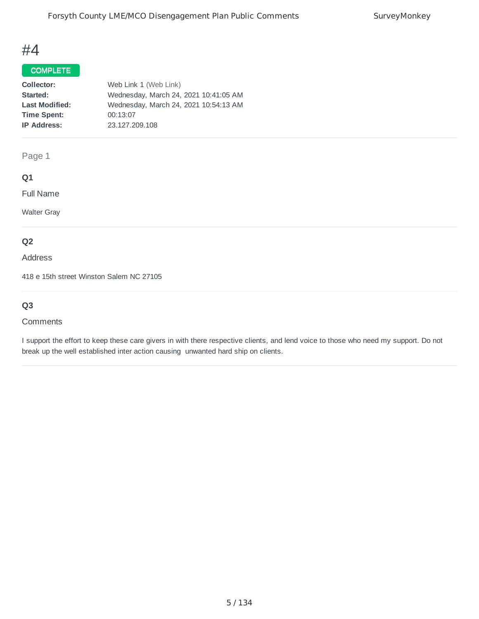### COMPLETE

| Collector:            | Web Link 1 (Web Link)                 |
|-----------------------|---------------------------------------|
| Started:              | Wednesday, March 24, 2021 10:41:05 AM |
| <b>Last Modified:</b> | Wednesday, March 24, 2021 10:54:13 AM |
| <b>Time Spent:</b>    | 00:13:07                              |
| <b>IP Address:</b>    | 23.127.209.108                        |
|                       |                                       |

## Page 1

## **Q1**

Full Name

Walter Gray

## **Q2**

Address

418 e 15th street Winston Salem NC 27105

# **Q3**

#### **Comments**

I support the effort to keep these care givers in with there respective clients, and lend voice to those who need my support. Do not break up the well established inter action causing unwanted hard ship on clients.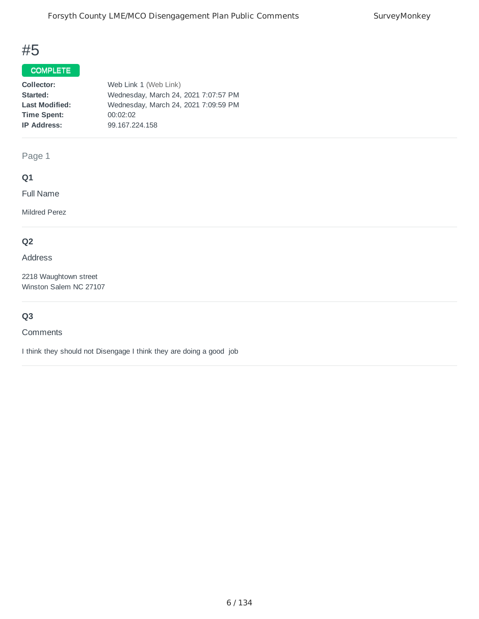## COMPLETE

| Collector:            | Web Link 1 (Web Link)                |
|-----------------------|--------------------------------------|
| Started:              | Wednesday, March 24, 2021 7:07:57 PM |
| <b>Last Modified:</b> | Wednesday, March 24, 2021 7:09:59 PM |
| <b>Time Spent:</b>    | 00:02:02                             |
| <b>IP Address:</b>    | 99.167.224.158                       |
|                       |                                      |

Page 1

## **Q1**

Full Name

Mildred Perez

## **Q2**

Address

2218 Waughtown street Winston Salem NC 27107

## **Q3**

## **Comments**

I think they should not Disengage I think they are doing a good job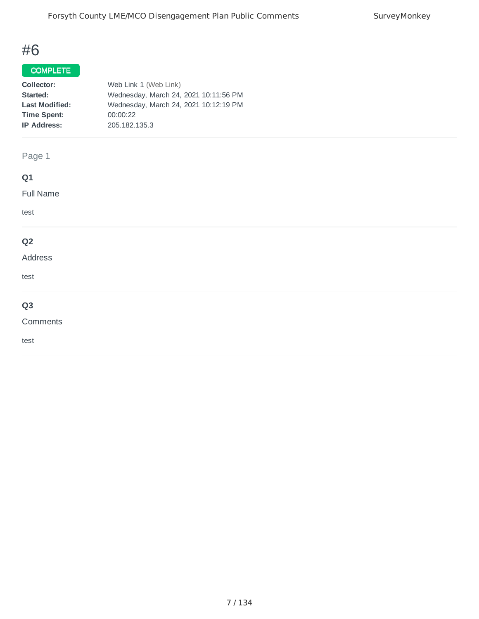# COMPLETE

| Collector:            | Web Link 1 (Web Link)                 |
|-----------------------|---------------------------------------|
| Started:              | Wednesday, March 24, 2021 10:11:56 PM |
| <b>Last Modified:</b> | Wednesday, March 24, 2021 10:12:19 PM |
| <b>Time Spent:</b>    | 00:00:22                              |
| <b>IP Address:</b>    | 205.182.135.3                         |
|                       |                                       |

# Page 1

# **Q1**

Full Name

test

## **Q2**

## Address

test

# **Q3**

#### Comments

test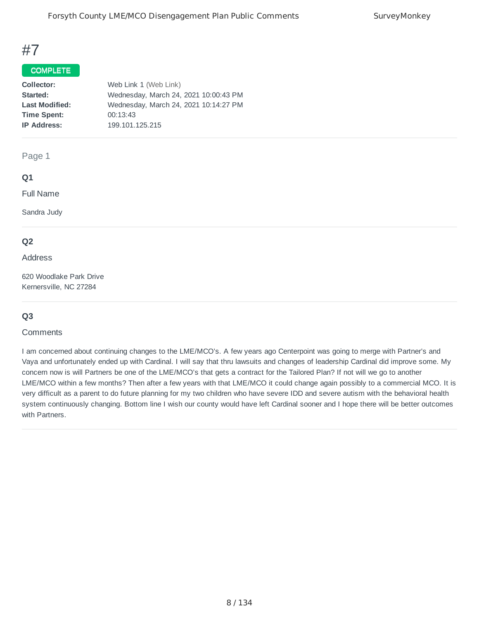#### COMPLETE

| Collector:            | Web Link 1 (Web Link)                 |
|-----------------------|---------------------------------------|
| Started:              | Wednesday, March 24, 2021 10:00:43 PM |
| <b>Last Modified:</b> | Wednesday, March 24, 2021 10:14:27 PM |
| <b>Time Spent:</b>    | 00:13:43                              |
| <b>IP Address:</b>    | 199.101.125.215                       |
|                       |                                       |

#### Page 1

#### **Q1**

Full Name

Sandra Judy

#### **Q2**

Address

620 Woodlake Park Drive Kernersville, NC 27284

### **Q3**

#### **Comments**

I am concerned about continuing changes to the LME/MCO's. A few years ago Centerpoint was going to merge with Partner's and Vaya and unfortunately ended up with Cardinal. I will say that thru lawsuits and changes of leadership Cardinal did improve some. My concern now is will Partners be one of the LME/MCO's that gets a contract for the Tailored Plan? If not will we go to another LME/MCO within a few months? Then after a few years with that LME/MCO it could change again possibly to a commercial MCO. It is very difficult as a parent to do future planning for my two children who have severe IDD and severe autism with the behavioral health system continuously changing. Bottom line I wish our county would have left Cardinal sooner and I hope there will be better outcomes with Partners.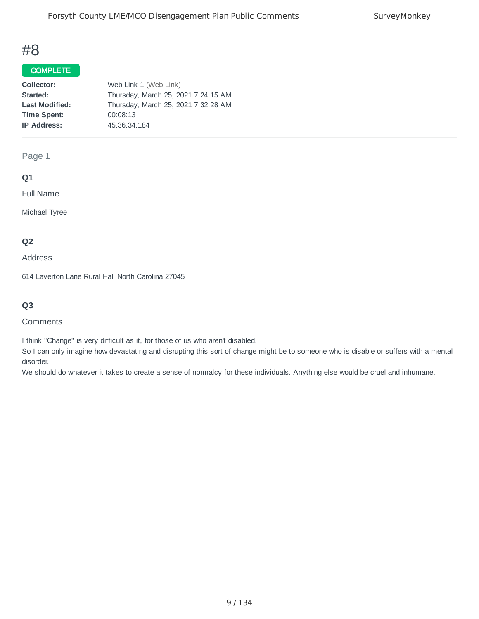#### COMPLETE

| Collector:            | Web Link 1 (Web Link)               |
|-----------------------|-------------------------------------|
| Started:              | Thursday, March 25, 2021 7:24:15 AM |
| <b>Last Modified:</b> | Thursday, March 25, 2021 7:32:28 AM |
| <b>Time Spent:</b>    | 00:08:13                            |
| <b>IP Address:</b>    | 45.36.34.184                        |
|                       |                                     |

Page 1

### **Q1**

Full Name

Michael Tyree

#### **Q2**

Address

614 Laverton Lane Rural Hall North Carolina 27045

## **Q3**

#### **Comments**

I think "Change" is very difficult as it, for those of us who aren't disabled.

So I can only imagine how devastating and disrupting this sort of change might be to someone who is disable or suffers with a mental disorder.

We should do whatever it takes to create a sense of normalcy for these individuals. Anything else would be cruel and inhumane.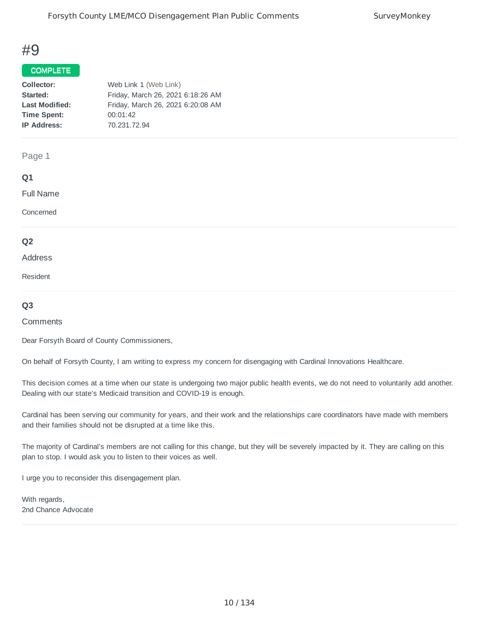#### COMPLETE

| Collector:            | Web Link 1 (Web Link)             |
|-----------------------|-----------------------------------|
| Started:              | Friday, March 26, 2021 6:18:26 AM |
| <b>Last Modified:</b> | Friday, March 26, 2021 6:20:08 AM |
| <b>Time Spent:</b>    | 00:01:42                          |
| <b>IP Address:</b>    | 70.231.72.94                      |
|                       |                                   |

#### Page 1

#### **Q1**

Full Name

Concerned

#### **Q2**

#### Address

Resident

#### **Q3**

#### **Comments**

Dear Forsyth Board of County Commissioners,

On behalf of Forsyth County, I am writing to express my concern for disengaging with Cardinal Innovations Healthcare.

This decision comes at a time when our state is undergoing two major public health events, we do not need to voluntarily add another. Dealing with our state's Medicaid transition and COVID-19 is enough.

Cardinal has been serving our community for years, and their work and the relationships care coordinators have made with members and their families should not be disrupted at a time like this.

The majority of Cardinal's members are not calling for this change, but they will be severely impacted by it. They are calling on this plan to stop. I would ask you to listen to their voices as well.

I urge you to reconsider this disengagement plan.

With regards, 2nd Chance Advocate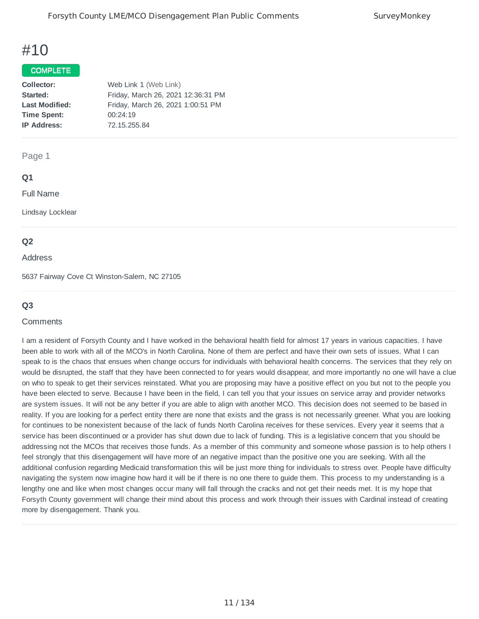#### COMPLETE

| Collector:            | Web Link 1 (Web Link)              |
|-----------------------|------------------------------------|
| Started:              | Friday, March 26, 2021 12:36:31 PM |
| <b>Last Modified:</b> | Friday, March 26, 2021 1:00:51 PM  |
| <b>Time Spent:</b>    | 00:24:19                           |
| <b>IP Address:</b>    | 72.15.255.84                       |
|                       |                                    |

#### Page 1

#### **Q1**

Full Name

Lindsay Locklear

#### **Q2**

#### Address

5637 Fairway Cove Ct Winston-Salem, NC 27105

#### **Q3**

#### **Comments**

I am a resident of Forsyth County and I have worked in the behavioral health field for almost 17 years in various capacities. I have been able to work with all of the MCO's in North Carolina. None of them are perfect and have their own sets of issues. What I can speak to is the chaos that ensues when change occurs for individuals with behavioral health concerns. The services that they rely on would be disrupted, the staff that they have been connected to for years would disappear, and more importantly no one will have a clue on who to speak to get their services reinstated. What you are proposing may have a positive effect on you but not to the people you have been elected to serve. Because I have been in the field, I can tell you that your issues on service array and provider networks are system issues. It will not be any better if you are able to align with another MCO. This decision does not seemed to be based in reality. If you are looking for a perfect entity there are none that exists and the grass is not necessarily greener. What you are looking for continues to be nonexistent because of the lack of funds North Carolina receives for these services. Every year it seems that a service has been discontinued or a provider has shut down due to lack of funding. This is a legislative concern that you should be addressing not the MCOs that receives those funds. As a member of this community and someone whose passion is to help others I feel strongly that this disengagement will have more of an negative impact than the positive one you are seeking. With all the additional confusion regarding Medicaid transformation this will be just more thing for individuals to stress over. People have difficulty navigating the system now imagine how hard it will be if there is no one there to guide them. This process to my understanding is a lengthy one and like when most changes occur many will fall through the cracks and not get their needs met. It is my hope that Forsyth County government will change their mind about this process and work through their issues with Cardinal instead of creating more by disengagement. Thank you.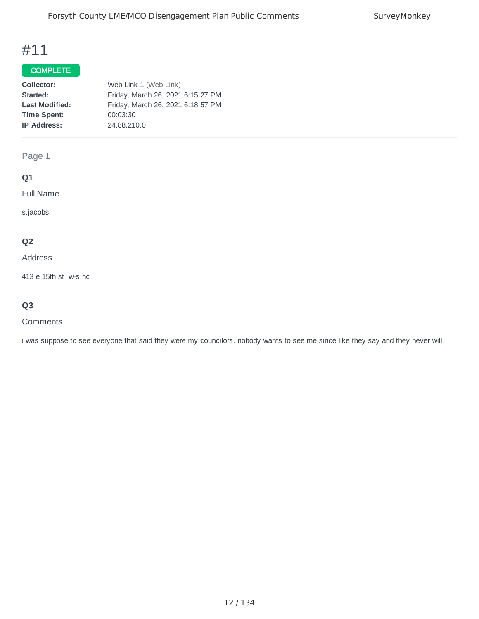## COMPLETE

| Collector:            | Web Link 1 (Web Link)             |
|-----------------------|-----------------------------------|
| Started:              | Friday, March 26, 2021 6:15:27 PM |
| <b>Last Modified:</b> | Friday, March 26, 2021 6:18:57 PM |
| <b>Time Spent:</b>    | 00:03:30                          |
| <b>IP Address:</b>    | 24.88.210.0                       |
|                       |                                   |

Page 1

## **Q1**

Full Name

s.jacobs

## **Q2**

Address

413 e 15th st w-s,nc

# **Q3**

#### **Comments**

i was suppose to see everyone that said they were my councilors. nobody wants to see me since like they say and they never will.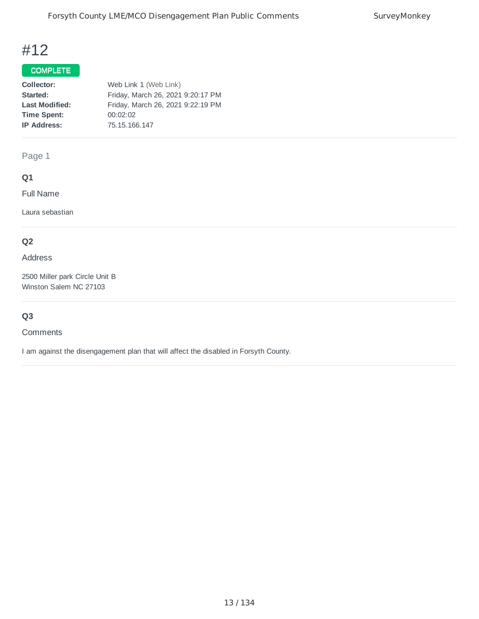## COMPLETE

| Collector:            | Web Link 1 (Web Link)             |
|-----------------------|-----------------------------------|
| Started:              | Friday, March 26, 2021 9:20:17 PM |
| <b>Last Modified:</b> | Friday, March 26, 2021 9:22:19 PM |
| <b>Time Spent:</b>    | 00:02:02                          |
| <b>IP Address:</b>    | 75.15.166.147                     |
|                       |                                   |

Page 1

# **Q1**

Full Name

Laura sebastian

## **Q2**

#### Address

2500 Miller park Circle Unit B Winston Salem NC 27103

# **Q3**

#### **Comments**

I am against the disengagement plan that will affect the disabled in Forsyth County.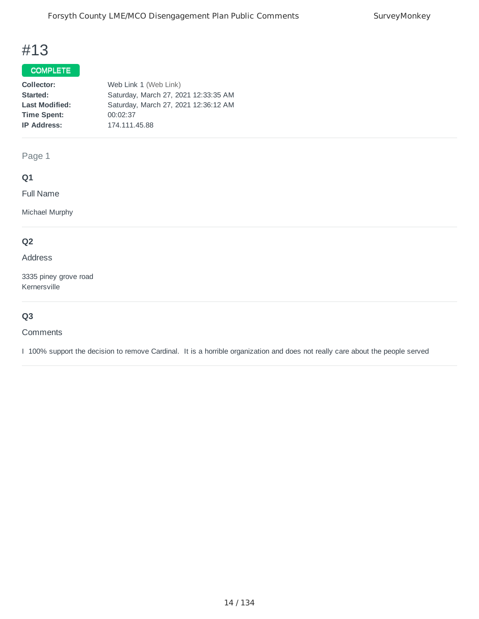# COMPLETE

| Web Link 1 (Web Link)                |
|--------------------------------------|
| Saturday, March 27, 2021 12:33:35 AM |
| Saturday, March 27, 2021 12:36:12 AM |
| 00:02:37                             |
| 174.111.45.88                        |
|                                      |

Page 1

## **Q1**

Full Name

Michael Murphy

## **Q2**

Address

3335 piney grove road Kernersville

## **Q3**

**Comments** 

I 100% support the decision to remove Cardinal. It is a horrible organization and does not really care about the people served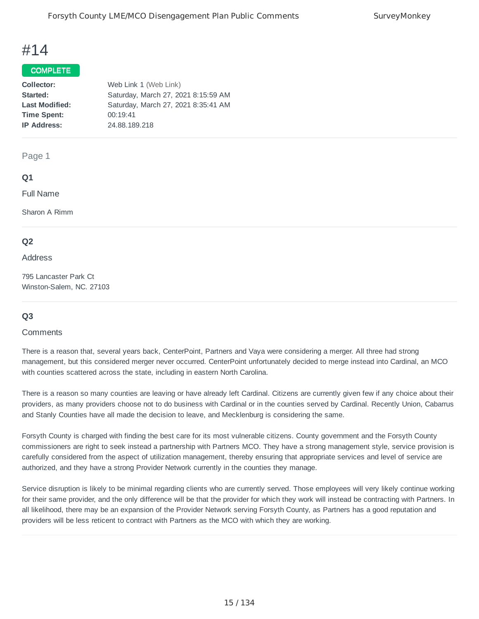#### COMPLETE

| Collector:            | Web Link 1 (Web Link)               |
|-----------------------|-------------------------------------|
| Started:              | Saturday, March 27, 2021 8:15:59 AM |
| <b>Last Modified:</b> | Saturday, March 27, 2021 8:35:41 AM |
| <b>Time Spent:</b>    | 00:19:41                            |
| <b>IP Address:</b>    | 24.88.189.218                       |
|                       |                                     |

#### Page 1

#### **Q1**

Full Name

Sharon A Rimm

#### **Q2**

#### Address

795 Lancaster Park Ct Winston-Salem, NC. 27103

### **Q3**

#### **Comments**

There is a reason that, several years back, CenterPoint, Partners and Vaya were considering a merger. All three had strong management, but this considered merger never occurred. CenterPoint unfortunately decided to merge instead into Cardinal, an MCO with counties scattered across the state, including in eastern North Carolina.

There is a reason so many counties are leaving or have already left Cardinal. Citizens are currently given few if any choice about their providers, as many providers choose not to do business with Cardinal or in the counties served by Cardinal. Recently Union, Cabarrus and Stanly Counties have all made the decision to leave, and Mecklenburg is considering the same.

Forsyth County is charged with finding the best care for its most vulnerable citizens. County government and the Forsyth County commissioners are right to seek instead a partnership with Partners MCO. They have a strong management style, service provision is carefully considered from the aspect of utilization management, thereby ensuring that appropriate services and level of service are authorized, and they have a strong Provider Network currently in the counties they manage.

Service disruption is likely to be minimal regarding clients who are currently served. Those employees will very likely continue working for their same provider, and the only difference will be that the provider for which they work will instead be contracting with Partners. In all likelihood, there may be an expansion of the Provider Network serving Forsyth County, as Partners has a good reputation and providers will be less reticent to contract with Partners as the MCO with which they are working.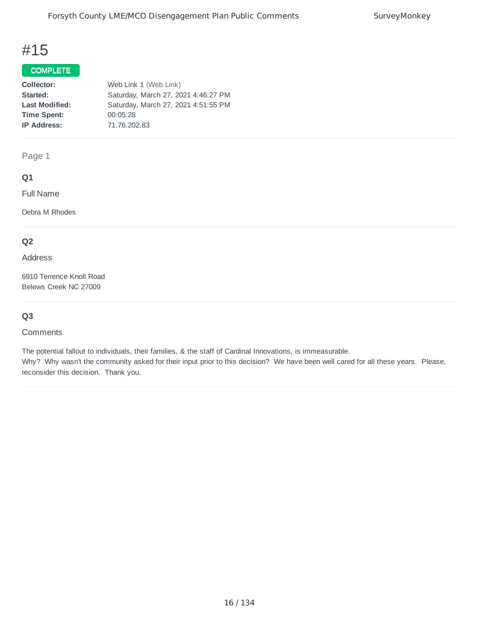## COMPLETE

| Collector:            | Web Link 1 (Web Link)               |
|-----------------------|-------------------------------------|
| Started:              | Saturday, March 27, 2021 4:46:27 PM |
| <b>Last Modified:</b> | Saturday, March 27, 2021 4:51:55 PM |
| <b>Time Spent:</b>    | 00:05:28                            |
| <b>IP Address:</b>    | 71.76.202.83                        |
|                       |                                     |

Page 1

### **Q1**

Full Name

Debra M Rhodes

## **Q2**

Address

6910 Terrence Knoll Road Belews Creek NC 27009

### **Q3**

#### **Comments**

The potential fallout to individuals, their families, & the staff of Cardinal Innovations, is immeasurable. Why? Why wasn't the community asked for their input prior to this decision? We have been well cared for all these years. Please, reconsider this decision. Thank you.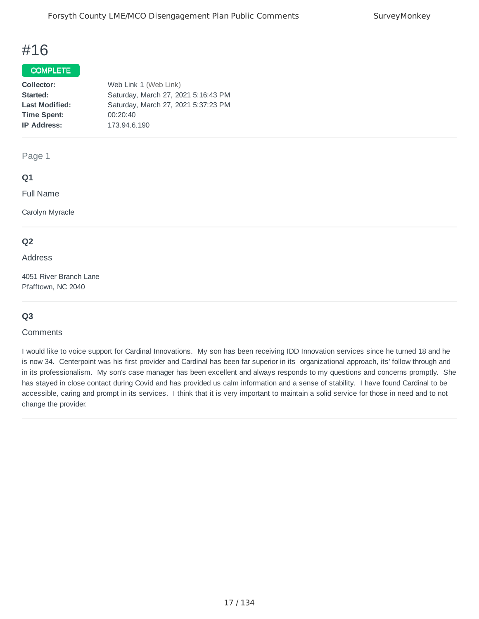#### COMPLETE

| Collector:            | Web Link 1 (Web Link)               |
|-----------------------|-------------------------------------|
| Started:              | Saturday, March 27, 2021 5:16:43 PM |
| <b>Last Modified:</b> | Saturday, March 27, 2021 5:37:23 PM |
| <b>Time Spent:</b>    | 00:20:40                            |
| <b>IP Address:</b>    | 173.94.6.190                        |
|                       |                                     |

#### Page 1

#### **Q1**

Full Name

Carolyn Myracle

### **Q2**

#### Address

4051 River Branch Lane Pfafftown, NC 2040

### **Q3**

#### **Comments**

I would like to voice support for Cardinal Innovations. My son has been receiving IDD Innovation services since he turned 18 and he is now 34. Centerpoint was his first provider and Cardinal has been far superior in its organizational approach, its' follow through and in its professionalism. My son's case manager has been excellent and always responds to my questions and concerns promptly. She has stayed in close contact during Covid and has provided us calm information and a sense of stability. I have found Cardinal to be accessible, caring and prompt in its services. I think that it is very important to maintain a solid service for those in need and to not change the provider.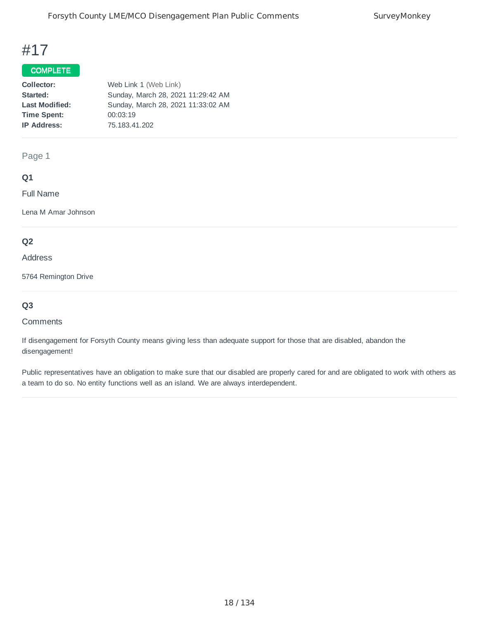### COMPLETE

| Collector:            | Web Link 1 (Web Link)              |
|-----------------------|------------------------------------|
| Started:              | Sunday, March 28, 2021 11:29:42 AM |
| <b>Last Modified:</b> | Sunday, March 28, 2021 11:33:02 AM |
| <b>Time Spent:</b>    | 00:03:19                           |
| <b>IP Address:</b>    | 75.183.41.202                      |
|                       |                                    |

Page 1

### **Q1**

Full Name

Lena M Amar Johnson

## **Q2**

#### Address

5764 Remington Drive

## **Q3**

#### **Comments**

If disengagement for Forsyth County means giving less than adequate support for those that are disabled, abandon the disengagement!

Public representatives have an obligation to make sure that our disabled are properly cared for and are obligated to work with others as a team to do so. No entity functions well as an island. We are always interdependent.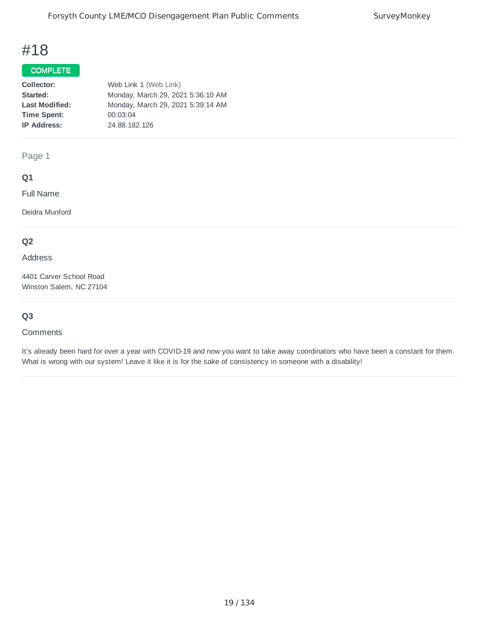## COMPLETE

| Collector:            | Web Link 1 (Web Link)             |
|-----------------------|-----------------------------------|
| Started:              | Monday, March 29, 2021 5:36:10 AM |
| <b>Last Modified:</b> | Monday, March 29, 2021 5:39:14 AM |
| <b>Time Spent:</b>    | 00:03:04                          |
| <b>IP Address:</b>    | 24.88.182.126                     |
|                       |                                   |

Page 1

### **Q1**

Full Name

Deidra Munford

## **Q2**

Address

4401 Carver School Road Winston Salem, NC 27104

## **Q3**

#### **Comments**

It's already been hard for over a year with COVID-19 and now you want to take away coordinators who have been a constant for them. What is wrong with our system! Leave it like it is for the sake of consistency in someone with a disability!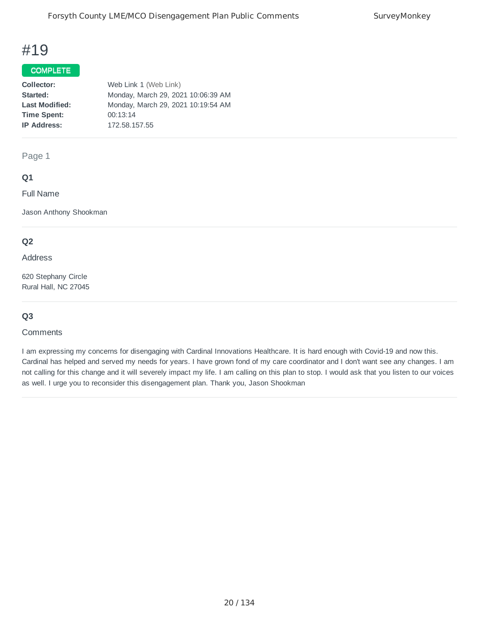### COMPLETE

| Collector:            | Web Link 1 (Web Link)              |
|-----------------------|------------------------------------|
| Started:              | Monday, March 29, 2021 10:06:39 AM |
| <b>Last Modified:</b> | Monday, March 29, 2021 10:19:54 AM |
| <b>Time Spent:</b>    | 00:13:14                           |
| <b>IP Address:</b>    | 172.58.157.55                      |
|                       |                                    |

#### Page 1

### **Q1**

Full Name

Jason Anthony Shookman

#### **Q2**

Address

620 Stephany Circle Rural Hall, NC 27045

### **Q3**

#### **Comments**

I am expressing my concerns for disengaging with Cardinal Innovations Healthcare. It is hard enough with Covid-19 and now this. Cardinal has helped and served my needs for years. I have grown fond of my care coordinator and I don't want see any changes. I am not calling for this change and it will severely impact my life. I am calling on this plan to stop. I would ask that you listen to our voices as well. I urge you to reconsider this disengagement plan. Thank you, Jason Shookman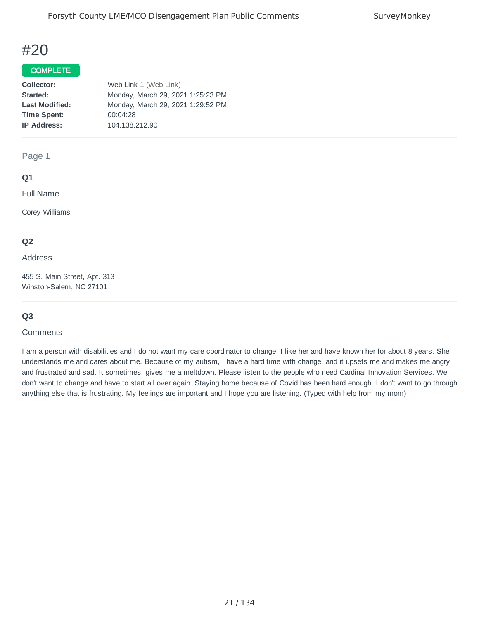#### COMPLETE

| Collector:            | Web Link 1 (Web Link)             |
|-----------------------|-----------------------------------|
| Started:              | Monday, March 29, 2021 1:25:23 PM |
| <b>Last Modified:</b> | Monday, March 29, 2021 1:29:52 PM |
| <b>Time Spent:</b>    | 00:04:28                          |
| <b>IP Address:</b>    | 104.138.212.90                    |
|                       |                                   |

Page 1

### **Q1**

Full Name

Corey Williams

### **Q2**

#### Address

455 S. Main Street, Apt. 313 Winston-Salem, NC 27101

### **Q3**

#### **Comments**

I am a person with disabilities and I do not want my care coordinator to change. I like her and have known her for about 8 years. She understands me and cares about me. Because of my autism, I have a hard time with change, and it upsets me and makes me angry and frustrated and sad. It sometimes gives me a meltdown. Please listen to the people who need Cardinal Innovation Services. We don't want to change and have to start all over again. Staying home because of Covid has been hard enough. I don't want to go through anything else that is frustrating. My feelings are important and I hope you are listening. (Typed with help from my mom)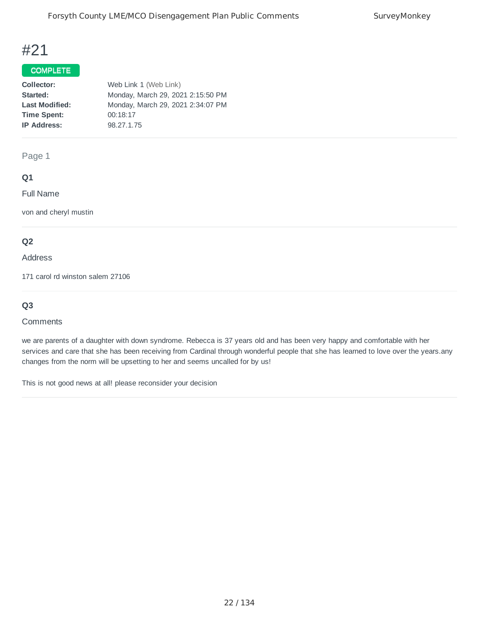### COMPLETE

| Collector:            | Web Link 1 (Web Link)             |
|-----------------------|-----------------------------------|
| Started:              | Monday, March 29, 2021 2:15:50 PM |
| <b>Last Modified:</b> | Monday, March 29, 2021 2:34:07 PM |
| <b>Time Spent:</b>    | 00:18:17                          |
| <b>IP Address:</b>    | 98.27.1.75                        |
|                       |                                   |

Page 1

## **Q1**

Full Name

von and cheryl mustin

## **Q2**

#### Address

171 carol rd winston salem 27106

## **Q3**

#### **Comments**

we are parents of a daughter with down syndrome. Rebecca is 37 years old and has been very happy and comfortable with her services and care that she has been receiving from Cardinal through wonderful people that she has learned to love over the years.any changes from the norm will be upsetting to her and seems uncalled for by us!

This is not good news at all! please reconsider your decision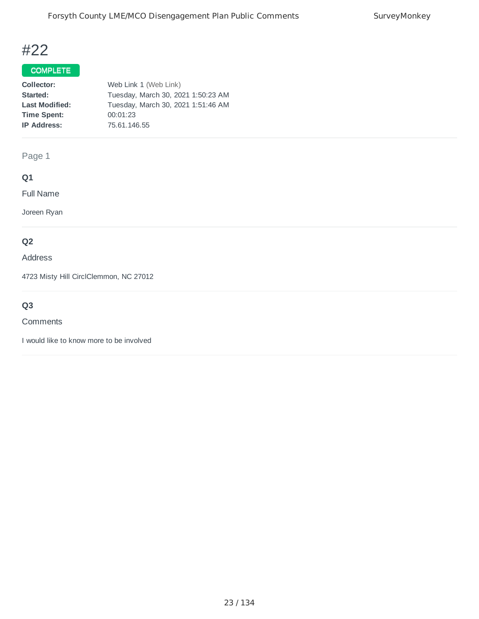## COMPLETE

| Collector:            | Web Link 1 (Web Link)              |
|-----------------------|------------------------------------|
| Started:              | Tuesday, March 30, 2021 1:50:23 AM |
| <b>Last Modified:</b> | Tuesday, March 30, 2021 1:51:46 AM |
| <b>Time Spent:</b>    | 00:01:23                           |
| <b>IP Address:</b>    | 75.61.146.55                       |
|                       |                                    |

Page 1

# **Q1**

Full Name

Joreen Ryan

## **Q2**

Address

4723 Misty Hill CirclClemmon, NC 27012

# **Q3**

#### **Comments**

I would like to know more to be involved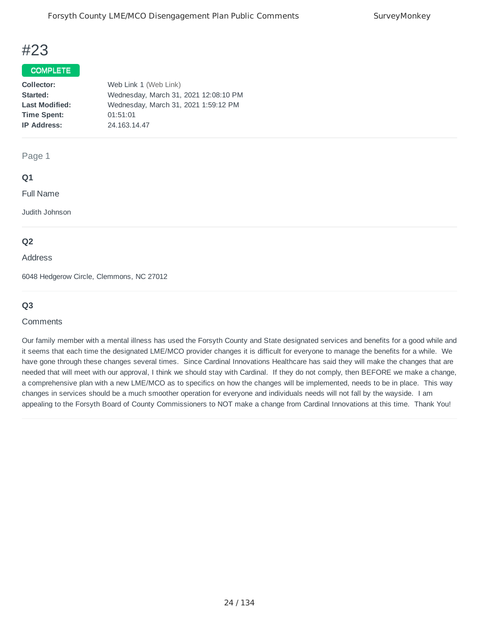#### COMPLETE

| Collector:            | Web Link 1 (Web Link)                 |
|-----------------------|---------------------------------------|
| Started:              | Wednesday, March 31, 2021 12:08:10 PM |
| <b>Last Modified:</b> | Wednesday, March 31, 2021 1:59:12 PM  |
| <b>Time Spent:</b>    | 01:51:01                              |
| <b>IP Address:</b>    | 24.163.14.47                          |
|                       |                                       |

Page 1

#### **Q1**

Full Name

Judith Johnson

#### **Q2**

#### Address

6048 Hedgerow Circle, Clemmons, NC 27012

### **Q3**

#### **Comments**

Our family member with a mental illness has used the Forsyth County and State designated services and benefits for a good while and it seems that each time the designated LME/MCO provider changes it is difficult for everyone to manage the benefits for a while. We have gone through these changes several times. Since Cardinal Innovations Healthcare has said they will make the changes that are needed that will meet with our approval, I think we should stay with Cardinal. If they do not comply, then BEFORE we make a change, a comprehensive plan with a new LME/MCO as to specifics on how the changes will be implemented, needs to be in place. This way changes in services should be a much smoother operation for everyone and individuals needs will not fall by the wayside. I am appealing to the Forsyth Board of County Commissioners to NOT make a change from Cardinal Innovations at this time. Thank You!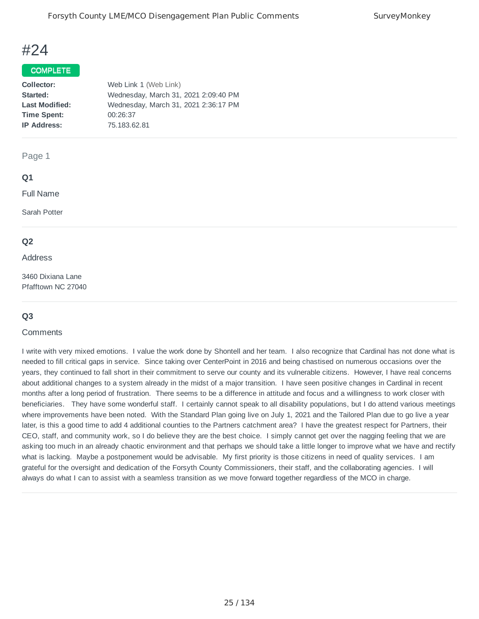### COMPLETE

| Collector:            | Web Link 1 (Web Link)                |
|-----------------------|--------------------------------------|
| Started:              | Wednesday, March 31, 2021 2:09:40 PM |
| <b>Last Modified:</b> | Wednesday, March 31, 2021 2:36:17 PM |
| <b>Time Spent:</b>    | 00:26:37                             |
| <b>IP Address:</b>    | 75.183.62.81                         |
|                       |                                      |

#### Page 1

#### **Q1**

Full Name

Sarah Potter

#### **Q2**

#### Address

3460 Dixiana Lane Pfafftown NC 27040

### **Q3**

#### **Comments**

I write with very mixed emotions. I value the work done by Shontell and her team. I also recognize that Cardinal has not done what is needed to fill critical gaps in service. Since taking over CenterPoint in 2016 and being chastised on numerous occasions over the years, they continued to fall short in their commitment to serve our county and its vulnerable citizens. However, I have real concerns about additional changes to a system already in the midst of a major transition. I have seen positive changes in Cardinal in recent months after a long period of frustration. There seems to be a difference in attitude and focus and a willingness to work closer with beneficiaries. They have some wonderful staff. I certainly cannot speak to all disability populations, but I do attend various meetings where improvements have been noted. With the Standard Plan going live on July 1, 2021 and the Tailored Plan due to go live a year later, is this a good time to add 4 additional counties to the Partners catchment area? I have the greatest respect for Partners, their CEO, staff, and community work, so I do believe they are the best choice. I simply cannot get over the nagging feeling that we are asking too much in an already chaotic environment and that perhaps we should take a little longer to improve what we have and rectify what is lacking. Maybe a postponement would be advisable. My first priority is those citizens in need of quality services. I am grateful for the oversight and dedication of the Forsyth County Commissioners, their staff, and the collaborating agencies. I will always do what I can to assist with a seamless transition as we move forward together regardless of the MCO in charge.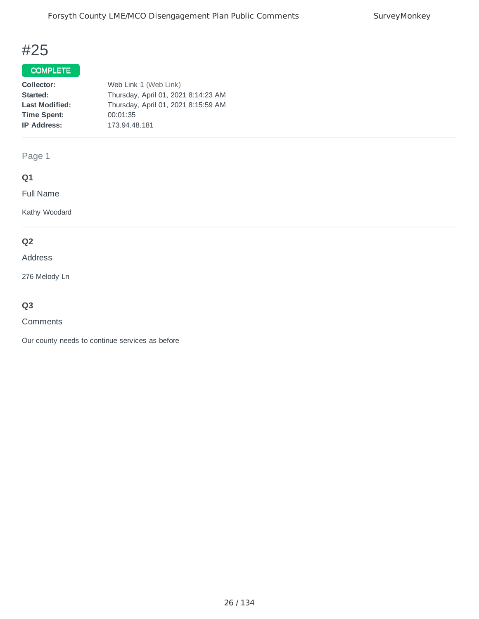## COMPLETE

| Collector:            | Web Link 1 (Web Link)               |
|-----------------------|-------------------------------------|
| Started:              | Thursday, April 01, 2021 8:14:23 AM |
| <b>Last Modified:</b> | Thursday, April 01, 2021 8:15:59 AM |
| <b>Time Spent:</b>    | 00:01:35                            |
| <b>IP Address:</b>    | 173.94.48.181                       |
|                       |                                     |

Page 1

# **Q1**

Full Name

Kathy Woodard

## **Q2**

#### Address

276 Melody Ln

# **Q3**

#### **Comments**

Our county needs to continue services as before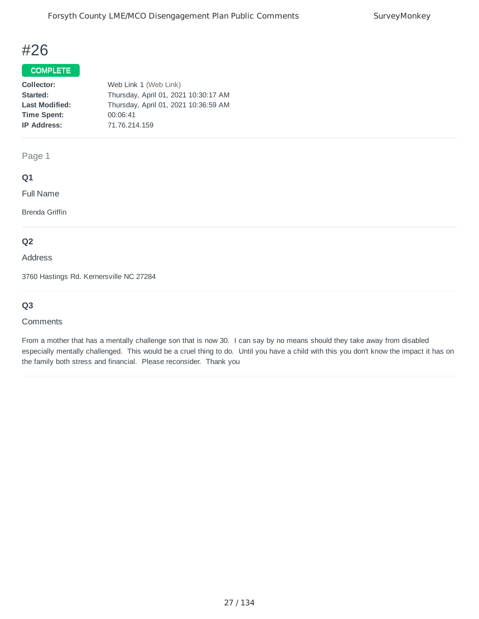### COMPLETE

| Collector:            | Web Link 1 (Web Link)                |
|-----------------------|--------------------------------------|
| Started:              | Thursday, April 01, 2021 10:30:17 AM |
| <b>Last Modified:</b> | Thursday, April 01, 2021 10:36:59 AM |
| <b>Time Spent:</b>    | 00:06:41                             |
| <b>IP Address:</b>    | 71.76.214.159                        |
|                       |                                      |

Page 1

### **Q1**

Full Name

Brenda Griffin

#### **Q2**

Address

3760 Hastings Rd. Kernersville NC 27284

## **Q3**

#### **Comments**

From a mother that has a mentally challenge son that is now 30. I can say by no means should they take away from disabled especially mentally challenged. This would be a cruel thing to do. Until you have a child with this you don't know the impact it has on the family both stress and financial. Please reconsider. Thank you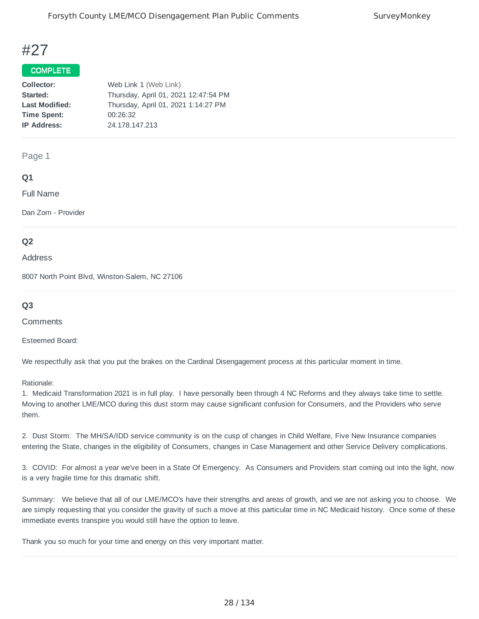## COMPLETE<sup>T</sup>

| Collector:            | Web Link 1 (Web Link)                |
|-----------------------|--------------------------------------|
| Started:              | Thursday, April 01, 2021 12:47:54 PM |
| <b>Last Modified:</b> | Thursday, April 01, 2021 1:14:27 PM  |
| <b>Time Spent:</b>    | 00:26:32                             |
| <b>IP Address:</b>    | 24.178.147.213                       |
|                       |                                      |

Page 1

#### **Q1**

Full Name

Dan Zorn - Provider

#### **Q2**

Address

8007 North Point Blvd, Winston-Salem, NC 27106

#### **Q3**

**Comments** 

Esteemed Board:

We respectfully ask that you put the brakes on the Cardinal Disengagement process at this particular moment in time.

Rationale:

1. Medicaid Transformation 2021 is in full play. I have personally been through 4 NC Reforms and they always take time to settle. Moving to another LME/MCO during this dust storm may cause significant confusion for Consumers, and the Providers who serve them.

2. Dust Storm: The MH/SA/IDD service community is on the cusp of changes in Child Welfare, Five New Insurance companies entering the State, changes in the eligibility of Consumers, changes in Case Management and other Service Delivery complications.

3. COVID: For almost a year we've been in a State Of Emergency. As Consumers and Providers start coming out into the light, now is a very fragile time for this dramatic shift.

Summary: We believe that all of our LME/MCO's have their strengths and areas of growth, and we are not asking you to choose. We are simply requesting that you consider the gravity of such a move at this particular time in NC Medicaid history. Once some of these immediate events transpire you would still have the option to leave.

Thank you so much for your time and energy on this very important matter.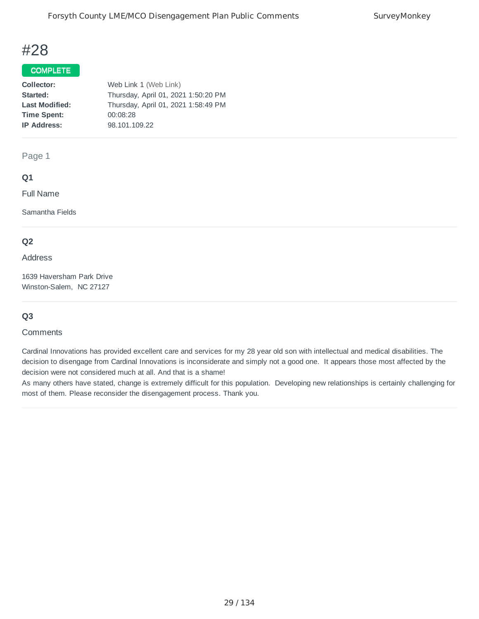### COMPLETE

| Collector:            | Web Link 1 (Web Link)               |
|-----------------------|-------------------------------------|
| Started:              | Thursday, April 01, 2021 1:50:20 PM |
| <b>Last Modified:</b> | Thursday, April 01, 2021 1:58:49 PM |
| <b>Time Spent:</b>    | 00:08:28                            |
| <b>IP Address:</b>    | 98.101.109.22                       |
|                       |                                     |

Page 1

### **Q1**

Full Name

Samantha Fields

### **Q2**

Address

1639 Haversham Park Drive Winston-Salem, NC 27127

### **Q3**

#### **Comments**

Cardinal Innovations has provided excellent care and services for my 28 year old son with intellectual and medical disabilities. The decision to disengage from Cardinal Innovations is inconsiderate and simply not a good one. It appears those most affected by the decision were not considered much at all. And that is a shame!

As many others have stated, change is extremely difficult for this population. Developing new relationships is certainly challenging for most of them. Please reconsider the disengagement process. Thank you.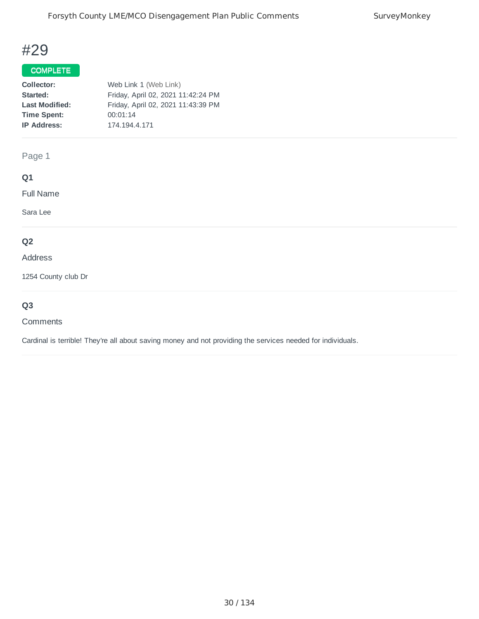## COMPLETE

| Collector:            | Web Link 1 (Web Link)              |
|-----------------------|------------------------------------|
| Started:              | Friday, April 02, 2021 11:42:24 PM |
| <b>Last Modified:</b> | Friday, April 02, 2021 11:43:39 PM |
| <b>Time Spent:</b>    | 00:01:14                           |
| <b>IP Address:</b>    | 174.194.4.171                      |
|                       |                                    |

## Page 1

## **Q1**

Full Name

Sara Lee

## **Q2**

Address

1254 County club Dr

## **Q3**

#### **Comments**

Cardinal is terrible! They're all about saving money and not providing the services needed for individuals.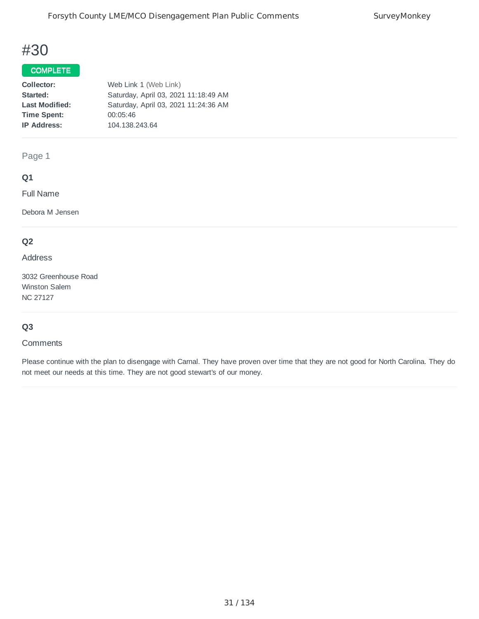### COMPLETE

| Collector:            | Web Link 1 (Web Link)                |
|-----------------------|--------------------------------------|
| Started:              | Saturday, April 03, 2021 11:18:49 AM |
| <b>Last Modified:</b> | Saturday, April 03, 2021 11:24:36 AM |
| <b>Time Spent:</b>    | 00:05:46                             |
| <b>IP Address:</b>    | 104.138.243.64                       |
|                       |                                      |

Page 1

### **Q1**

Full Name

Debora M Jensen

## **Q2**

Address

3032 Greenhouse Road Winston Salem NC 27127

### **Q3**

#### **Comments**

Please continue with the plan to disengage with Carnal. They have proven over time that they are not good for North Carolina. They do not meet our needs at this time. They are not good stewart's of our money.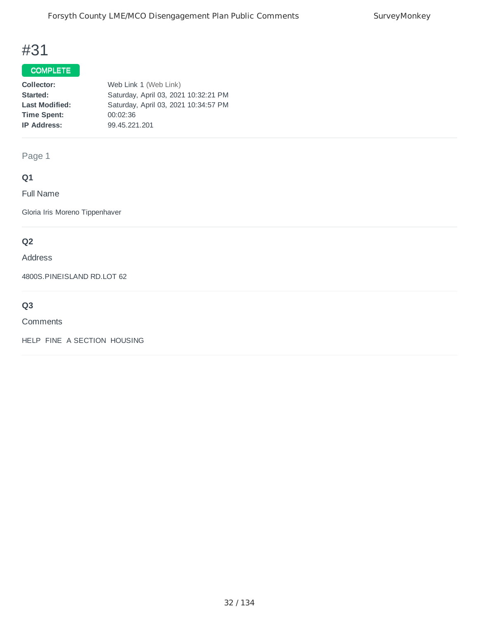## COMPLETE

| Collector:            | Web Link 1 (Web Link)                |
|-----------------------|--------------------------------------|
| Started:              | Saturday, April 03, 2021 10:32:21 PM |
| <b>Last Modified:</b> | Saturday, April 03, 2021 10:34:57 PM |
| <b>Time Spent:</b>    | 00:02:36                             |
| <b>IP Address:</b>    | 99.45.221.201                        |
|                       |                                      |

Page 1

# **Q1**

Full Name

Gloria Iris Moreno Tippenhaver

## **Q2**

#### Address

4800S.PINEISLAND RD.LOT 62

# **Q3**

#### **Comments**

HELP FINE A SECTION HOUSING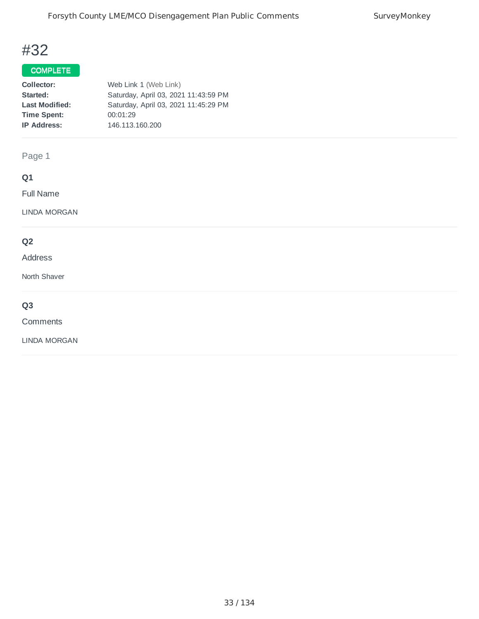## COMPLETE

| Collector:            | Web Link 1 (Web Link)                |
|-----------------------|--------------------------------------|
| Started:              | Saturday, April 03, 2021 11:43:59 PM |
| <b>Last Modified:</b> | Saturday, April 03, 2021 11:45:29 PM |
| <b>Time Spent:</b>    | 00:01:29                             |
| <b>IP Address:</b>    | 146.113.160.200                      |
|                       |                                      |

Page 1

# **Q1**

Full Name

LINDA MORGAN

## **Q2**

#### Address

North Shaver

# **Q3**

**Comments** 

LINDA MORGAN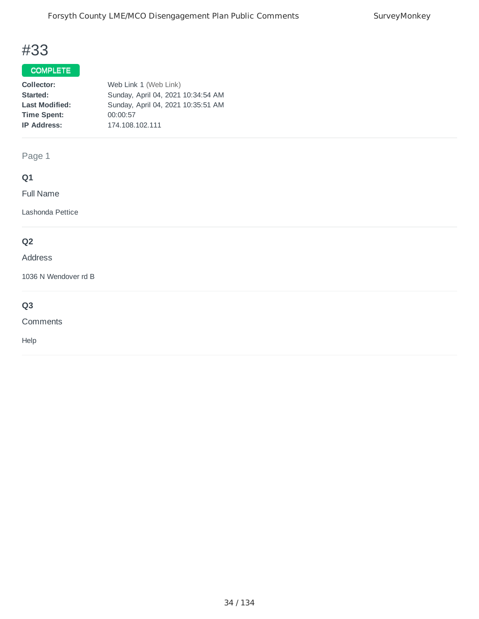## COMPLETE

| Collector:            | Web Link 1 (Web Link)              |
|-----------------------|------------------------------------|
| Started:              | Sunday, April 04, 2021 10:34:54 AM |
| <b>Last Modified:</b> | Sunday, April 04, 2021 10:35:51 AM |
| <b>Time Spent:</b>    | 00:00:57                           |
| <b>IP Address:</b>    | 174.108.102.111                    |
|                       |                                    |

Page 1

# **Q1**

Full Name

Lashonda Pettice

## **Q2**

#### Address

1036 N Wendover rd B

# **Q3**

**Comments** 

Help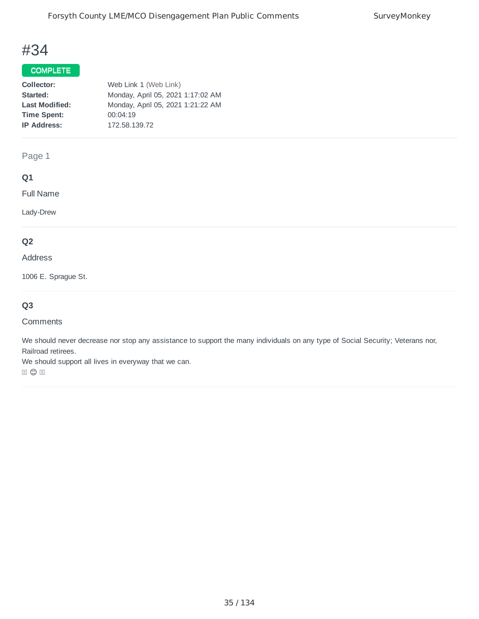### COMPLETE

| Collector:            | Web Link 1 (Web Link)             |
|-----------------------|-----------------------------------|
| Started:              | Monday, April 05, 2021 1:17:02 AM |
| <b>Last Modified:</b> | Monday, April 05, 2021 1:21:22 AM |
| <b>Time Spent:</b>    | 00:04:19                          |
| <b>IP Address:</b>    | 172.58.139.72                     |
|                       |                                   |

Page 1

## **Q1**

Full Name

Lady-Drew

## **Q2**

### Address

1006 E. Sprague St.

## **Q3**

#### Comments

We should never decrease nor stop any assistance to support the many individuals on any type of Social Security; Veterans nor, Railroad retirees.

We should support all lives in everyway that we can.

 $\Box$   $\copyright$   $\Box$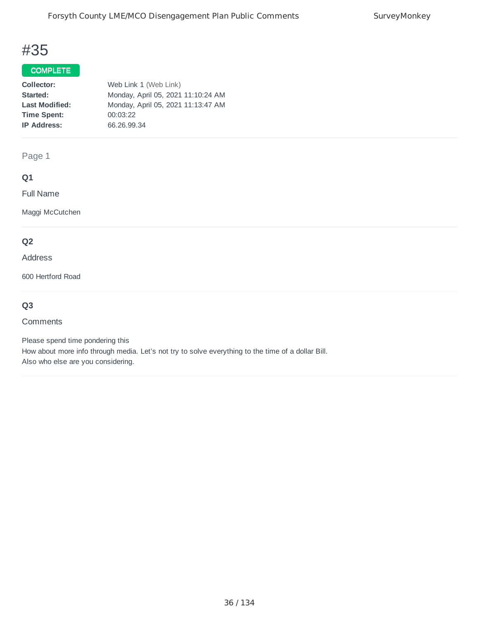## COMPLETE

| Collector:            | Web Link 1 (Web Link)              |
|-----------------------|------------------------------------|
| Started:              | Monday, April 05, 2021 11:10:24 AM |
| <b>Last Modified:</b> | Monday, April 05, 2021 11:13:47 AM |
| <b>Time Spent:</b>    | 00:03:22                           |
| <b>IP Address:</b>    | 66.26.99.34                        |
|                       |                                    |

Page 1

## **Q1**

Full Name

Maggi McCutchen

## **Q2**

#### Address

600 Hertford Road

## **Q3**

#### Comments

Please spend time pondering this How about more info through media. Let's not try to solve everything to the time of a dollar Bill. Also who else are you considering.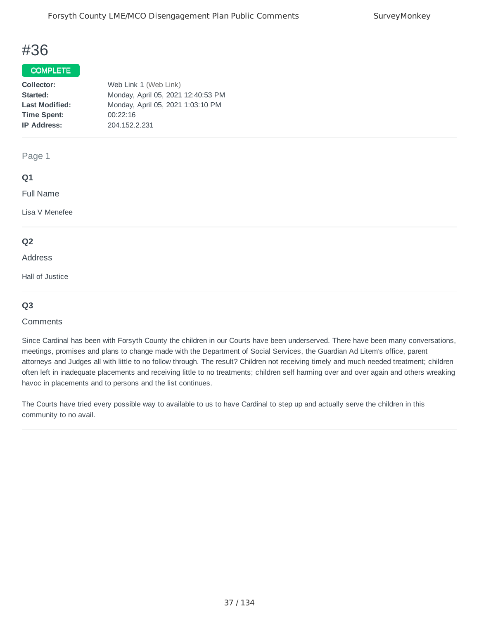#### COMPLETE

| Web Link 1 (Web Link)              |
|------------------------------------|
| Monday, April 05, 2021 12:40:53 PM |
| Monday, April 05, 2021 1:03:10 PM  |
| 00:22:16                           |
| 204.152.2.231                      |
|                                    |

Page 1

#### **Q1**

Full Name

Lisa V Menefee

#### **Q2**

#### Address

Hall of Justice

#### **Q3**

#### **Comments**

Since Cardinal has been with Forsyth County the children in our Courts have been underserved. There have been many conversations, meetings, promises and plans to change made with the Department of Social Services, the Guardian Ad Litem's office, parent attorneys and Judges all with little to no follow through. The result? Children not receiving timely and much needed treatment; children often left in inadequate placements and receiving little to no treatments; children self harming over and over again and others wreaking havoc in placements and to persons and the list continues.

The Courts have tried every possible way to available to us to have Cardinal to step up and actually serve the children in this community to no avail.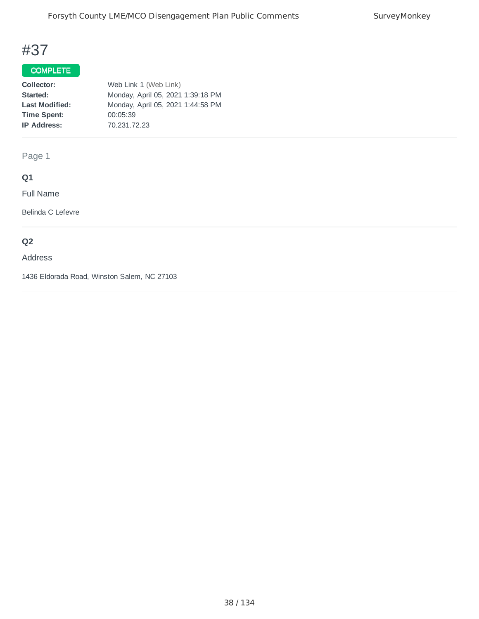## COMPLETE

| Collector:            | Web Link 1 (Web Link)             |
|-----------------------|-----------------------------------|
| Started:              | Monday, April 05, 2021 1:39:18 PM |
| <b>Last Modified:</b> | Monday, April 05, 2021 1:44:58 PM |
| <b>Time Spent:</b>    | 00:05:39                          |
| <b>IP Address:</b>    | 70.231.72.23                      |
|                       |                                   |

Page 1

## **Q1**

Full Name

Belinda C Lefevre

## **Q2**

#### Address

1436 Eldorada Road, Winston Salem, NC 27103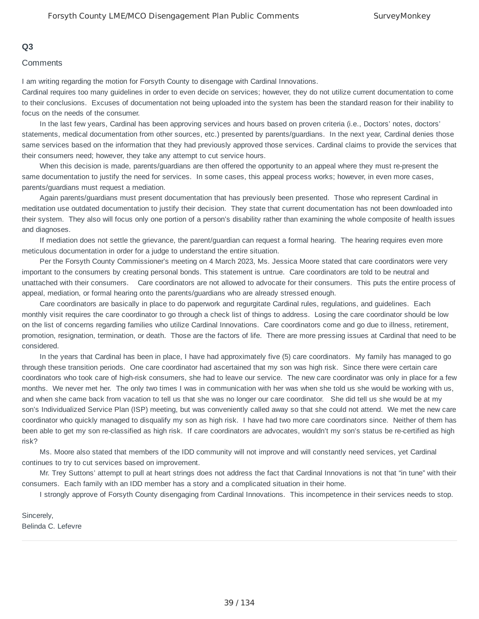#### **Q3**

#### **Comments**

I am writing regarding the motion for Forsyth County to disengage with Cardinal Innovations.

Cardinal requires too many guidelines in order to even decide on services; however, they do not utilize current documentation to come to their conclusions. Excuses of documentation not being uploaded into the system has been the standard reason for their inability to focus on the needs of the consumer.

In the last few years, Cardinal has been approving services and hours based on proven criteria (i.e., Doctors' notes, doctors' statements, medical documentation from other sources, etc.) presented by parents/guardians. In the next year, Cardinal denies those same services based on the information that they had previously approved those services. Cardinal claims to provide the services that their consumers need; however, they take any attempt to cut service hours.

When this decision is made, parents/guardians are then offered the opportunity to an appeal where they must re-present the same documentation to justify the need for services. In some cases, this appeal process works; however, in even more cases, parents/guardians must request a mediation.

Again parents/guardians must present documentation that has previously been presented. Those who represent Cardinal in meditation use outdated documentation to justify their decision. They state that current documentation has not been downloaded into their system. They also will focus only one portion of a person's disability rather than examining the whole composite of health issues and diagnoses.

If mediation does not settle the grievance, the parent/guardian can request a formal hearing. The hearing requires even more meticulous documentation in order for a judge to understand the entire situation.

Per the Forsyth County Commissioner's meeting on 4 March 2023, Ms. Jessica Moore stated that care coordinators were very important to the consumers by creating personal bonds. This statement is untrue. Care coordinators are told to be neutral and unattached with their consumers. Care coordinators are not allowed to advocate for their consumers. This puts the entire process of appeal, mediation, or formal hearing onto the parents/guardians who are already stressed enough.

Care coordinators are basically in place to do paperwork and regurgitate Cardinal rules, regulations, and guidelines. Each monthly visit requires the care coordinator to go through a check list of things to address. Losing the care coordinator should be low on the list of concerns regarding families who utilize Cardinal Innovations. Care coordinators come and go due to illness, retirement, promotion, resignation, termination, or death. Those are the factors of life. There are more pressing issues at Cardinal that need to be considered.

In the years that Cardinal has been in place, I have had approximately five (5) care coordinators. My family has managed to go through these transition periods. One care coordinator had ascertained that my son was high risk. Since there were certain care coordinators who took care of high-risk consumers, she had to leave our service. The new care coordinator was only in place for a few months. We never met her. The only two times I was in communication with her was when she told us she would be working with us, and when she came back from vacation to tell us that she was no longer our care coordinator. She did tell us she would be at my son's Individualized Service Plan (ISP) meeting, but was conveniently called away so that she could not attend. We met the new care coordinator who quickly managed to disqualify my son as high risk. I have had two more care coordinators since. Neither of them has been able to get my son re-classified as high risk. If care coordinators are advocates, wouldn't my son's status be re-certified as high risk?

Ms. Moore also stated that members of the IDD community will not improve and will constantly need services, yet Cardinal continues to try to cut services based on improvement.

Mr. Trey Suttons' attempt to pull at heart strings does not address the fact that Cardinal Innovations is not that "in tune" with their consumers. Each family with an IDD member has a story and a complicated situation in their home.

I strongly approve of Forsyth County disengaging from Cardinal Innovations. This incompetence in their services needs to stop.

Sincerely, Belinda C. Lefevre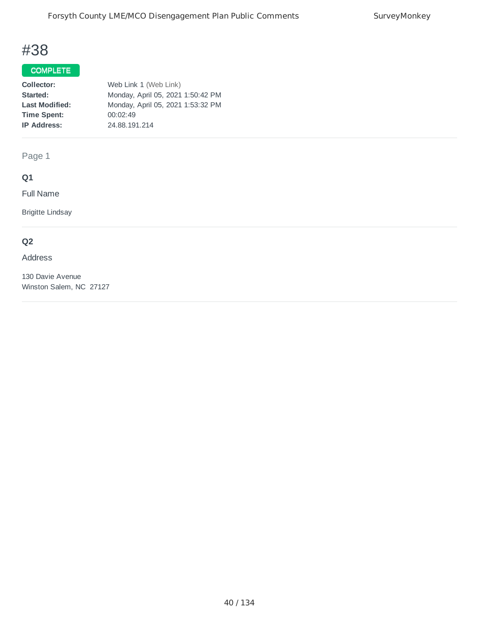### COMPLETE

| Collector:            | Web Link 1 (Web Link)             |
|-----------------------|-----------------------------------|
| Started:              | Monday, April 05, 2021 1:50:42 PM |
| <b>Last Modified:</b> | Monday, April 05, 2021 1:53:32 PM |
| <b>Time Spent:</b>    | 00:02:49                          |
| <b>IP Address:</b>    | 24.88.191.214                     |
|                       |                                   |

Page 1

## **Q1**

Full Name

Brigitte Lindsay

## **Q2**

#### Address

130 Davie Avenue Winston Salem, NC 27127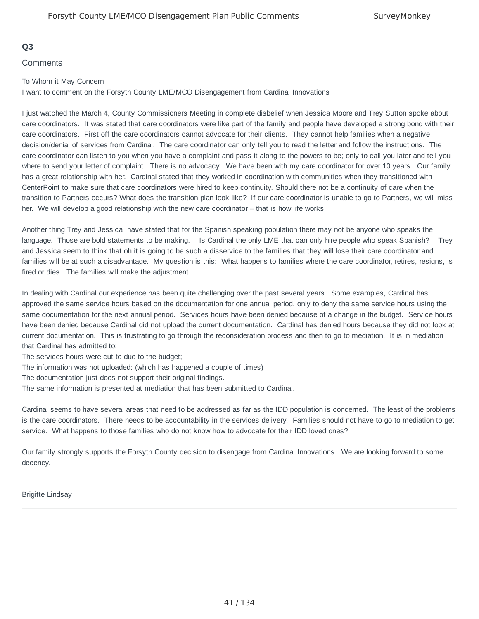#### **Q3**

**Comments** 

#### To Whom it May Concern

I want to comment on the Forsyth County LME/MCO Disengagement from Cardinal Innovations

I just watched the March 4, County Commissioners Meeting in complete disbelief when Jessica Moore and Trey Sutton spoke about care coordinators. It was stated that care coordinators were like part of the family and people have developed a strong bond with their care coordinators. First off the care coordinators cannot advocate for their clients. They cannot help families when a negative decision/denial of services from Cardinal. The care coordinator can only tell you to read the letter and follow the instructions. The care coordinator can listen to you when you have a complaint and pass it along to the powers to be; only to call you later and tell you where to send your letter of complaint. There is no advocacy. We have been with my care coordinator for over 10 years. Our family has a great relationship with her. Cardinal stated that they worked in coordination with communities when they transitioned with CenterPoint to make sure that care coordinators were hired to keep continuity. Should there not be a continuity of care when the transition to Partners occurs? What does the transition plan look like? If our care coordinator is unable to go to Partners, we will miss her. We will develop a good relationship with the new care coordinator – that is how life works.

Another thing Trey and Jessica have stated that for the Spanish speaking population there may not be anyone who speaks the language. Those are bold statements to be making. Is Cardinal the only LME that can only hire people who speak Spanish? Trey and Jessica seem to think that oh it is going to be such a disservice to the families that they will lose their care coordinator and families will be at such a disadvantage. My question is this: What happens to families where the care coordinator, retires, resigns, is fired or dies. The families will make the adjustment.

In dealing with Cardinal our experience has been quite challenging over the past several years. Some examples, Cardinal has approved the same service hours based on the documentation for one annual period, only to deny the same service hours using the same documentation for the next annual period. Services hours have been denied because of a change in the budget. Service hours have been denied because Cardinal did not upload the current documentation. Cardinal has denied hours because they did not look at current documentation. This is frustrating to go through the reconsideration process and then to go to mediation. It is in mediation that Cardinal has admitted to:

The services hours were cut to due to the budget;

The information was not uploaded: (which has happened a couple of times)

The documentation just does not support their original findings.

The same information is presented at mediation that has been submitted to Cardinal.

Cardinal seems to have several areas that need to be addressed as far as the IDD population is concerned. The least of the problems is the care coordinators. There needs to be accountability in the services delivery. Families should not have to go to mediation to get service. What happens to those families who do not know how to advocate for their IDD loved ones?

Our family strongly supports the Forsyth County decision to disengage from Cardinal Innovations. We are looking forward to some decency.

Brigitte Lindsay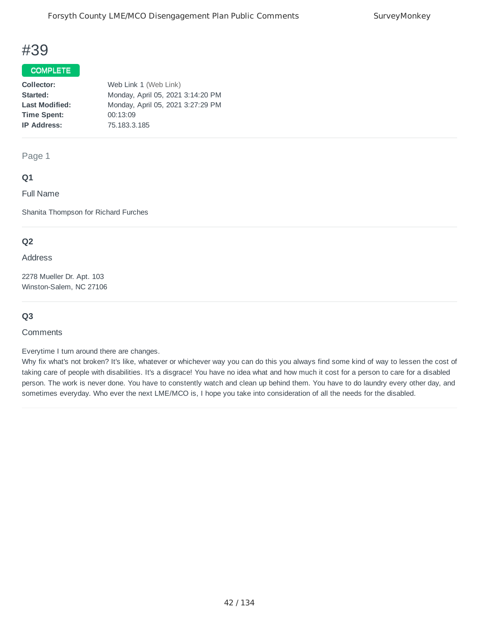#### COMPLETE

| Collector:            | Web Link 1 (Web Link)             |
|-----------------------|-----------------------------------|
| Started:              | Monday, April 05, 2021 3:14:20 PM |
| <b>Last Modified:</b> | Monday, April 05, 2021 3:27:29 PM |
| <b>Time Spent:</b>    | 00:13:09                          |
| <b>IP Address:</b>    | 75.183.3.185                      |
|                       |                                   |

Page 1

#### **Q1**

Full Name

Shanita Thompson for Richard Furches

#### **Q2**

#### Address

2278 Mueller Dr. Apt. 103 Winston-Salem, NC 27106

#### **Q3**

#### **Comments**

Everytime I turn around there are changes.

Why fix what's not broken? It's like, whatever or whichever way you can do this you always find some kind of way to lessen the cost of taking care of people with disabilities. It's a disgrace! You have no idea what and how much it cost for a person to care for a disabled person. The work is never done. You have to constently watch and clean up behind them. You have to do laundry every other day, and sometimes everyday. Who ever the next LME/MCO is, I hope you take into consideration of all the needs for the disabled.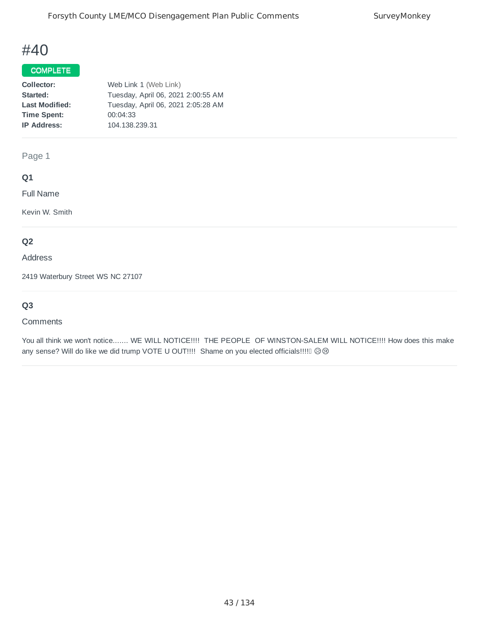#### COMPLETE

| Collector:            | Web Link 1 (Web Link)              |
|-----------------------|------------------------------------|
| Started:              | Tuesday, April 06, 2021 2:00:55 AM |
| <b>Last Modified:</b> | Tuesday, April 06, 2021 2:05:28 AM |
| <b>Time Spent:</b>    | 00:04:33                           |
| <b>IP Address:</b>    | 104.138.239.31                     |
|                       |                                    |

Page 1

## **Q1**

Full Name

Kevin W. Smith

## **Q2**

Address

2419 Waterbury Street WS NC 27107

## **Q3**

#### **Comments**

You all think we won't notice....... WE WILL NOTICE!!!! THE PEOPLE OF WINSTON-SALEM WILL NOTICE!!!! How does this make any sense? Will do like we did trump VOTE U OUT!!!! Shame on you elected officials!!!!! @@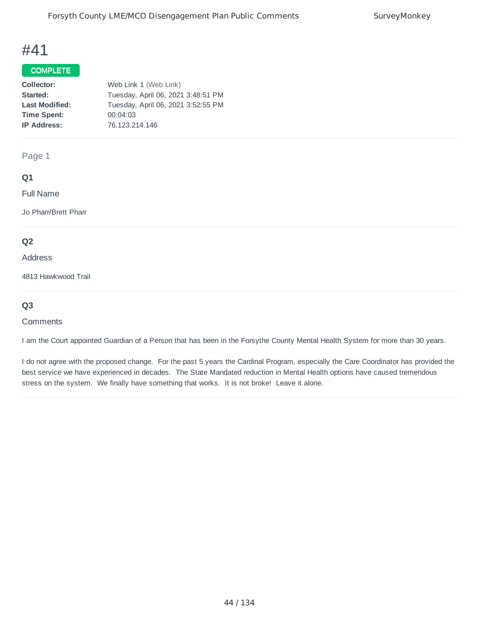#### COMPLETE

| Collector:            | Web Link 1 (Web Link)              |
|-----------------------|------------------------------------|
| Started:              | Tuesday, April 06, 2021 3:48:51 PM |
| <b>Last Modified:</b> | Tuesday, April 06, 2021 3:52:55 PM |
| <b>Time Spent:</b>    | 00:04:03                           |
| <b>IP Address:</b>    | 76.123.214.146                     |
|                       |                                    |

Page 1

### **Q1**

Full Name

Jo Pharr/Brett Pharr

#### **Q2**

Address

4813 Hawkwood Trail

### **Q3**

#### **Comments**

I am the Court appointed Guardian of a Person that has been in the Forsythe County Mental Health System for more than 30 years.

I do not agree with the proposed change. For the past 5 years the Cardinal Program, especially the Care Coordinator has provided the best service we have experienced in decades. The State Mandated reduction in Mental Health options have caused tremendous stress on the system. We finally have something that works. It is not broke! Leave it alone.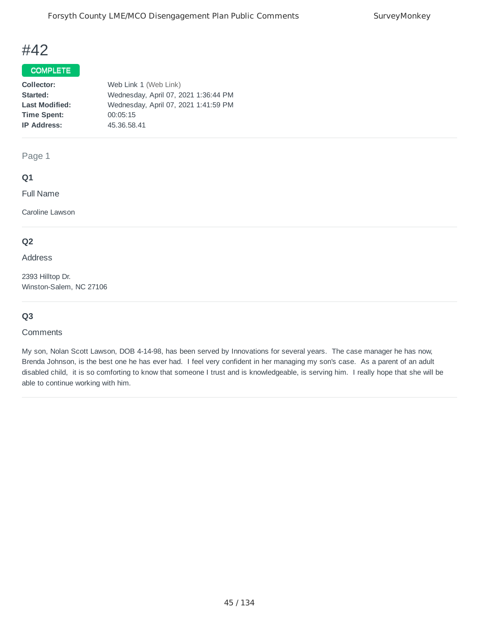### COMPLETE

| Collector:            | Web Link 1 (Web Link)                |
|-----------------------|--------------------------------------|
| Started:              | Wednesday, April 07, 2021 1:36:44 PM |
| <b>Last Modified:</b> | Wednesday, April 07, 2021 1:41:59 PM |
| <b>Time Spent:</b>    | 00:05:15                             |
| <b>IP Address:</b>    | 45.36.58.41                          |
|                       |                                      |

Page 1

#### **Q1**

Full Name

Caroline Lawson

#### **Q2**

Address

2393 Hilltop Dr. Winston-Salem, NC 27106

#### **Q3**

#### **Comments**

My son, Nolan Scott Lawson, DOB 4-14-98, has been served by Innovations for several years. The case manager he has now, Brenda Johnson, is the best one he has ever had. I feel very confident in her managing my son's case. As a parent of an adult disabled child, it is so comforting to know that someone I trust and is knowledgeable, is serving him. I really hope that she will be able to continue working with him.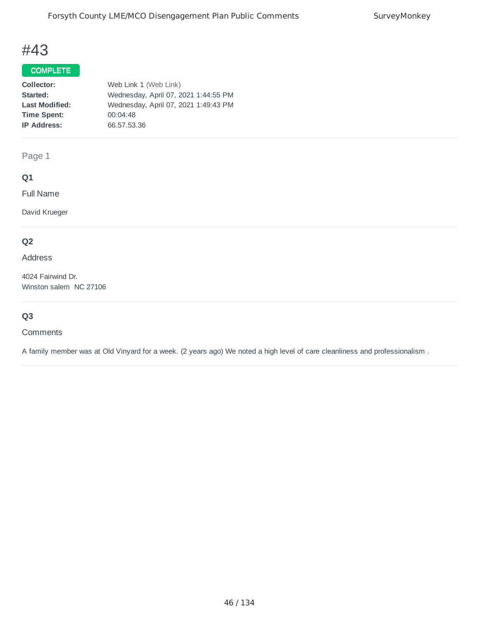## COMPLETE

| Collector:            | Web Link 1 (Web Link)                |
|-----------------------|--------------------------------------|
| Started:              | Wednesday, April 07, 2021 1:44:55 PM |
| <b>Last Modified:</b> | Wednesday, April 07, 2021 1:49:43 PM |
| <b>Time Spent:</b>    | 00:04:48                             |
| <b>IP Address:</b>    | 66.57.53.36                          |
|                       |                                      |

Page 1

## **Q1**

Full Name

David Krueger

## **Q2**

Address

4024 Fairwind Dr. Winston salem NC 27106

## **Q3**

#### **Comments**

A family member was at Old Vinyard for a week. (2 years ago) We noted a high level of care cleanliness and professionalism .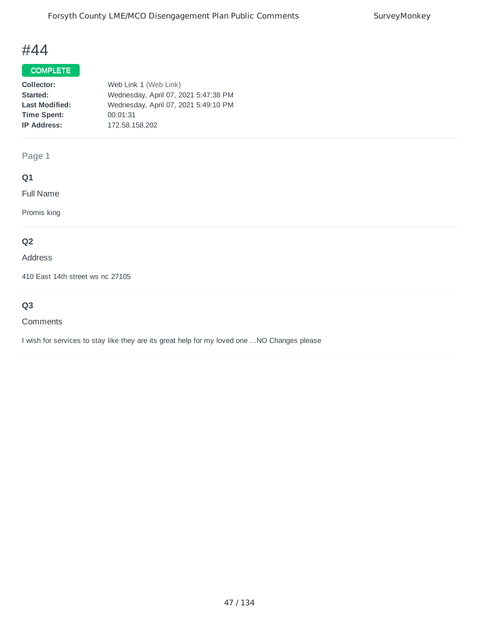## COMPLETE

| Collector:            | Web Link 1 (Web Link)                |
|-----------------------|--------------------------------------|
| Started:              | Wednesday, April 07, 2021 5:47:38 PM |
| <b>Last Modified:</b> | Wednesday, April 07, 2021 5:49:10 PM |
| <b>Time Spent:</b>    | 00:01:31                             |
| <b>IP Address:</b>    | 172.58.158.202                       |
|                       |                                      |

Page 1

## **Q1**

Full Name

Promis king

## **Q2**

#### Address

410 East 14th street ws nc 27105

## **Q3**

#### **Comments**

I wish for services to stay like they are its great help for my loved one ...NO Changes please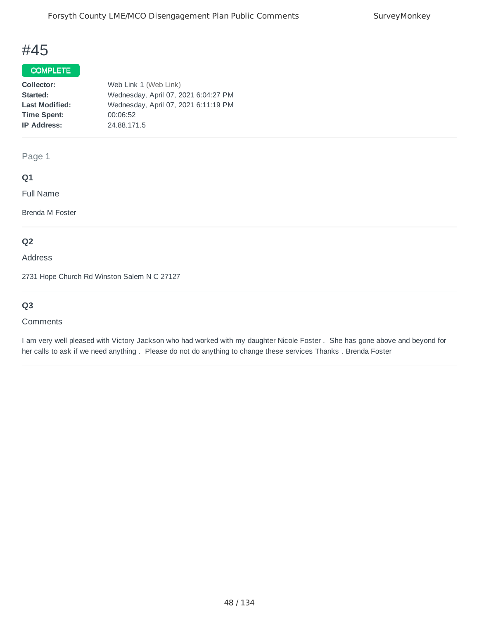### COMPLETE

| Web Link 1 (Web Link)                |
|--------------------------------------|
| Wednesday, April 07, 2021 6:04:27 PM |
| Wednesday, April 07, 2021 6:11:19 PM |
| 00:06:52                             |
| 24.88.171.5                          |
|                                      |

Page 1

#### **Q1**

Full Name

Brenda M Foster

## **Q2**

Address

2731 Hope Church Rd Winston Salem N C 27127

## **Q3**

#### **Comments**

I am very well pleased with Victory Jackson who had worked with my daughter Nicole Foster . She has gone above and beyond for her calls to ask if we need anything . Please do not do anything to change these services Thanks . Brenda Foster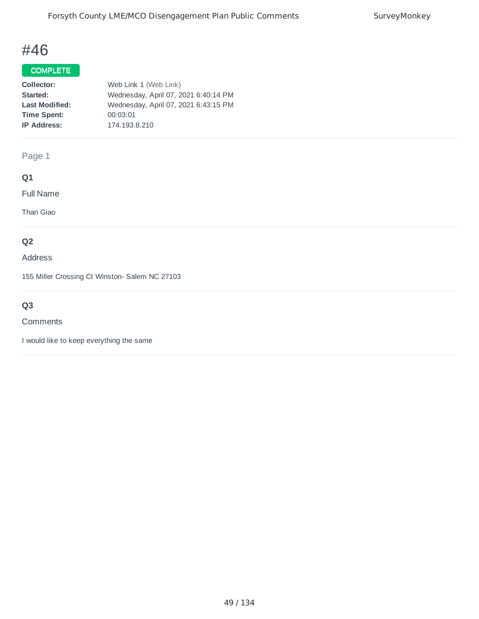### COMPLETE

| Collector:            | Web Link 1 (Web Link)                |
|-----------------------|--------------------------------------|
| Started:              | Wednesday, April 07, 2021 6:40:14 PM |
| <b>Last Modified:</b> | Wednesday, April 07, 2021 6:43:15 PM |
| <b>Time Spent:</b>    | 00:03:01                             |
| <b>IP Address:</b>    | 174.193.8.210                        |
|                       |                                      |

Page 1

## **Q1**

Full Name

Than Giao

### **Q2**

Address

155 Miller Crossing Ct Winston- Salem NC 27103

## **Q3**

#### **Comments**

I would like to keep everything the same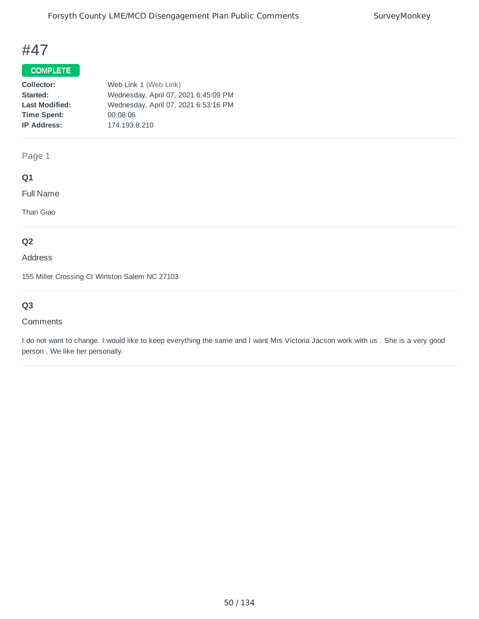## COMPLETE

| Collector:            | Web Link 1 (Web Link)                |
|-----------------------|--------------------------------------|
| Started:              | Wednesday, April 07, 2021 6:45:09 PM |
| <b>Last Modified:</b> | Wednesday, April 07, 2021 6:53:16 PM |
| <b>Time Spent:</b>    | 00:08:06                             |
| <b>IP Address:</b>    | 174.193.8.210                        |
|                       |                                      |

### Page 1

## **Q1**

Full Name

Than Giao

### **Q2**

#### Address

155 Miller Crossing Ct Winston Salem NC 27103

## **Q3**

#### Comments

I do not want to change. I would like to keep everything the same and I want Mrs Victoria Jacson work with us . She is a very good person . We like her personally.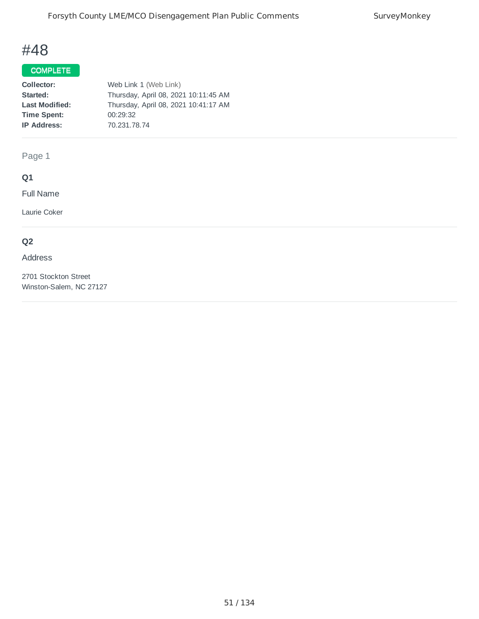## COMPLETE

| Collector:            | Web Link 1 (Web Link)                |
|-----------------------|--------------------------------------|
| Started:              | Thursday, April 08, 2021 10:11:45 AM |
| <b>Last Modified:</b> | Thursday, April 08, 2021 10:41:17 AM |
| <b>Time Spent:</b>    | 00:29:32                             |
| <b>IP Address:</b>    | 70.231.78.74                         |
|                       |                                      |

Page 1

## **Q1**

Full Name

Laurie Coker

## **Q2**

Address

2701 Stockton Street Winston-Salem, NC 27127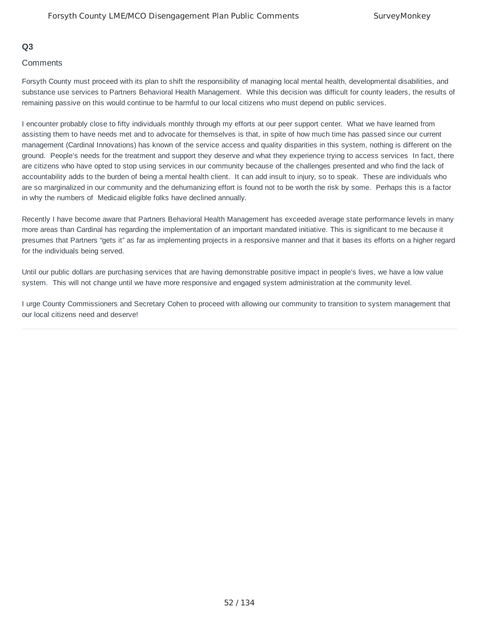#### **Q3**

#### **Comments**

Forsyth County must proceed with its plan to shift the responsibility of managing local mental health, developmental disabilities, and substance use services to Partners Behavioral Health Management. While this decision was difficult for county leaders, the results of remaining passive on this would continue to be harmful to our local citizens who must depend on public services.

I encounter probably close to fifty individuals monthly through my efforts at our peer support center. What we have learned from assisting them to have needs met and to advocate for themselves is that, in spite of how much time has passed since our current management (Cardinal Innovations) has known of the service access and quality disparities in this system, nothing is different on the ground. People's needs for the treatment and support they deserve and what they experience trying to access services In fact, there are citizens who have opted to stop using services in our community because of the challenges presented and who find the lack of accountability adds to the burden of being a mental health client. It can add insult to injury, so to speak. These are individuals who are so marginalized in our community and the dehumanizing effort is found not to be worth the risk by some. Perhaps this is a factor in why the numbers of Medicaid eligible folks have declined annually.

Recently I have become aware that Partners Behavioral Health Management has exceeded average state performance levels in many more areas than Cardinal has regarding the implementation of an important mandated initiative. This is significant to me because it presumes that Partners "gets it" as far as implementing projects in a responsive manner and that it bases its efforts on a higher regard for the individuals being served.

Until our public dollars are purchasing services that are having demonstrable positive impact in people's lives, we have a low value system. This will not change until we have more responsive and engaged system administration at the community level.

I urge County Commissioners and Secretary Cohen to proceed with allowing our community to transition to system management that our local citizens need and deserve!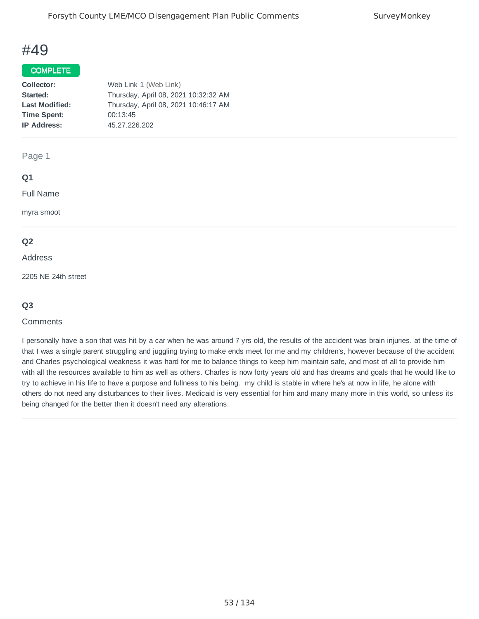#### COMPLETE

| Collector:            | Web Link 1 (Web Link)                |
|-----------------------|--------------------------------------|
| Started:              | Thursday, April 08, 2021 10:32:32 AM |
| <b>Last Modified:</b> | Thursday, April 08, 2021 10:46:17 AM |
| <b>Time Spent:</b>    | 00:13:45                             |
| <b>IP Address:</b>    | 45.27.226.202                        |
|                       |                                      |

#### Page 1

#### **Q1**

Full Name

myra smoot

#### **Q2**

#### Address

2205 NE 24th street

#### **Q3**

#### **Comments**

I personally have a son that was hit by a car when he was around 7 yrs old, the results of the accident was brain injuries. at the time of that I was a single parent struggling and juggling trying to make ends meet for me and my children's, however because of the accident and Charles psychological weakness it was hard for me to balance things to keep him maintain safe, and most of all to provide him with all the resources available to him as well as others. Charles is now forty years old and has dreams and goals that he would like to try to achieve in his life to have a purpose and fullness to his being. my child is stable in where he's at now in life, he alone with others do not need any disturbances to their lives. Medicaid is very essential for him and many many more in this world, so unless its being changed for the better then it doesn't need any alterations.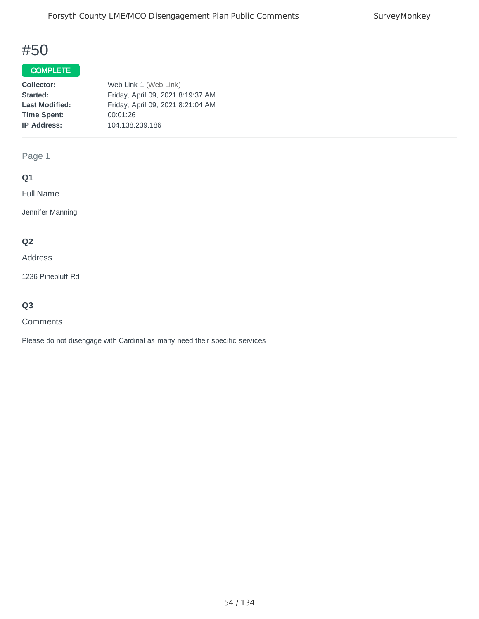### COMPLETE

| Collector:            | Web Link 1 (Web Link)             |
|-----------------------|-----------------------------------|
| Started:              | Friday, April 09, 2021 8:19:37 AM |
| <b>Last Modified:</b> | Friday, April 09, 2021 8:21:04 AM |
| <b>Time Spent:</b>    | 00:01:26                          |
| <b>IP Address:</b>    | 104.138.239.186                   |
|                       |                                   |

Page 1

## **Q1**

Full Name

Jennifer Manning

### **Q2**

#### Address

1236 Pinebluff Rd

## **Q3**

#### **Comments**

Please do not disengage with Cardinal as many need their specific services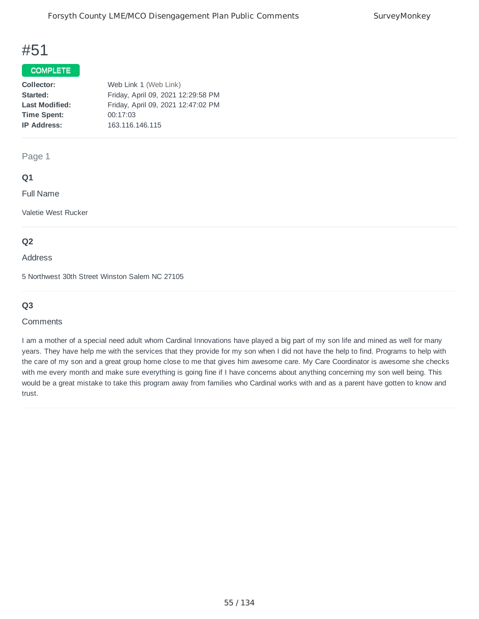## COMPLETE

| Collector:            | Web Link 1 (Web Link)              |
|-----------------------|------------------------------------|
| Started:              | Friday, April 09, 2021 12:29:58 PM |
| <b>Last Modified:</b> | Friday, April 09, 2021 12:47:02 PM |
| <b>Time Spent:</b>    | 00:17:03                           |
| <b>IP Address:</b>    | 163.116.146.115                    |
|                       |                                    |

Page 1

#### **Q1**

Full Name

Valetie West Rucker

#### **Q2**

Address

5 Northwest 30th Street Winston Salem NC 27105

#### **Q3**

#### **Comments**

I am a mother of a special need adult whom Cardinal Innovations have played a big part of my son life and mined as well for many years. They have help me with the services that they provide for my son when I did not have the help to find. Programs to help with the care of my son and a great group home close to me that gives him awesome care. My Care Coordinator is awesome she checks with me every month and make sure everything is going fine if I have concerns about anything concerning my son well being. This would be a great mistake to take this program away from families who Cardinal works with and as a parent have gotten to know and trust.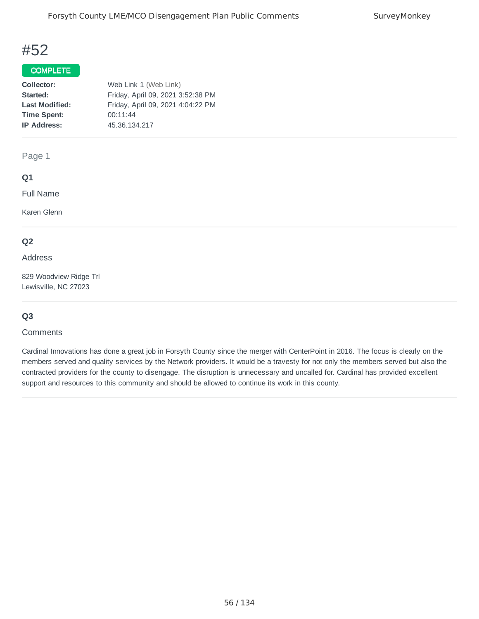#### COMPLETE

| Collector:            | Web Link 1 (Web Link)             |
|-----------------------|-----------------------------------|
| Started:              | Friday, April 09, 2021 3:52:38 PM |
| <b>Last Modified:</b> | Friday, April 09, 2021 4:04:22 PM |
| <b>Time Spent:</b>    | 00:11:44                          |
| <b>IP Address:</b>    | 45.36.134.217                     |
|                       |                                   |

#### Page 1

#### **Q1**

Full Name

Karen Glenn

#### **Q2**

#### Address

829 Woodview Ridge Trl Lewisville, NC 27023

#### **Q3**

#### **Comments**

Cardinal Innovations has done a great job in Forsyth County since the merger with CenterPoint in 2016. The focus is clearly on the members served and quality services by the Network providers. It would be a travesty for not only the members served but also the contracted providers for the county to disengage. The disruption is unnecessary and uncalled for. Cardinal has provided excellent support and resources to this community and should be allowed to continue its work in this county.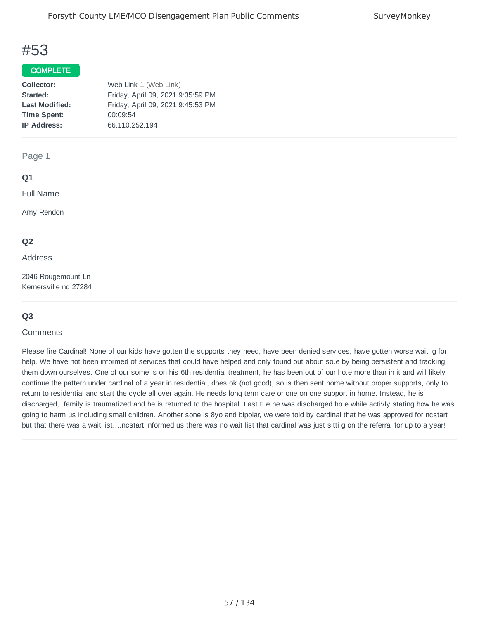#### COMPLETE

| Collector:            | Web Link 1 (Web Link)             |
|-----------------------|-----------------------------------|
| Started:              | Friday, April 09, 2021 9:35:59 PM |
| <b>Last Modified:</b> | Friday, April 09, 2021 9:45:53 PM |
| <b>Time Spent:</b>    | 00:09:54                          |
| <b>IP Address:</b>    | 66.110.252.194                    |
|                       |                                   |

#### Page 1

#### **Q1**

Full Name

Amy Rendon

#### **Q2**

Address

2046 Rougemount Ln Kernersville nc 27284

#### **Q3**

#### **Comments**

Please fire Cardinal! None of our kids have gotten the supports they need, have been denied services, have gotten worse waiti g for help. We have not been informed of services that could have helped and only found out about so.e by being persistent and tracking them down ourselves. One of our some is on his 6th residential treatment, he has been out of our ho.e more than in it and will likely continue the pattern under cardinal of a year in residential, does ok (not good), so is then sent home without proper supports, only to return to residential and start the cycle all over again. He needs long term care or one on one support in home. Instead, he is discharged, family is traumatized and he is returned to the hospital. Last ti.e he was discharged ho.e while activly stating how he was going to harm us including small children. Another sone is 8yo and bipolar, we were told by cardinal that he was approved for ncstart but that there was a wait list....ncstart informed us there was no wait list that cardinal was just sitti g on the referral for up to a year!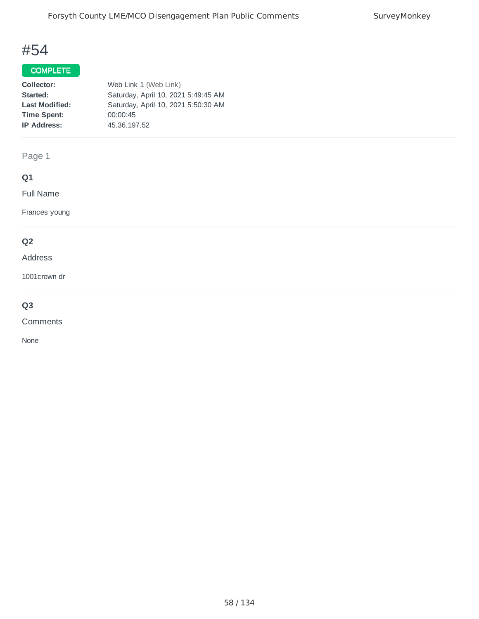## COMPLETE

| Collector:            | Web Link 1 (Web Link)               |
|-----------------------|-------------------------------------|
| Started:              | Saturday, April 10, 2021 5:49:45 AM |
| <b>Last Modified:</b> | Saturday, April 10, 2021 5:50:30 AM |
| <b>Time Spent:</b>    | 00:00:45                            |
| <b>IP Address:</b>    | 45.36.197.52                        |
|                       |                                     |

Page 1

## **Q1**

Full Name

Frances young

### **Q2**

#### Address

1001crown dr

## **Q3**

Comments

None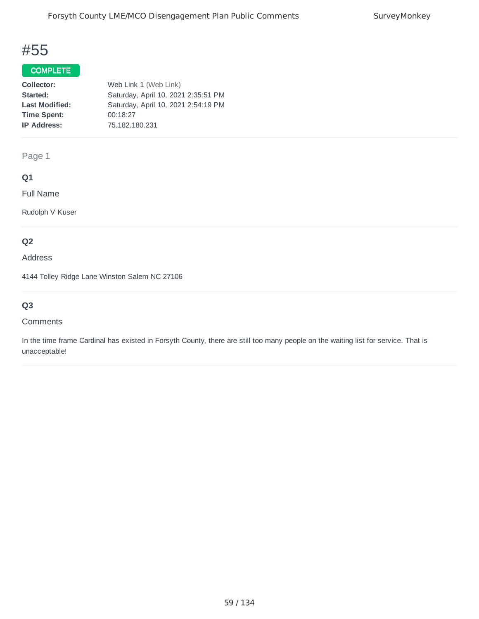## COMPLETE

| Collector:            | Web Link 1 (Web Link)               |
|-----------------------|-------------------------------------|
| Started:              | Saturday, April 10, 2021 2:35:51 PM |
| <b>Last Modified:</b> | Saturday, April 10, 2021 2:54:19 PM |
| <b>Time Spent:</b>    | 00:18:27                            |
| <b>IP Address:</b>    | 75.182.180.231                      |
|                       |                                     |

Page 1

## **Q1**

Full Name

Rudolph V Kuser

## **Q2**

Address

4144 Tolley Ridge Lane Winston Salem NC 27106

## **Q3**

#### **Comments**

In the time frame Cardinal has existed in Forsyth County, there are still too many people on the waiting list for service. That is unacceptable!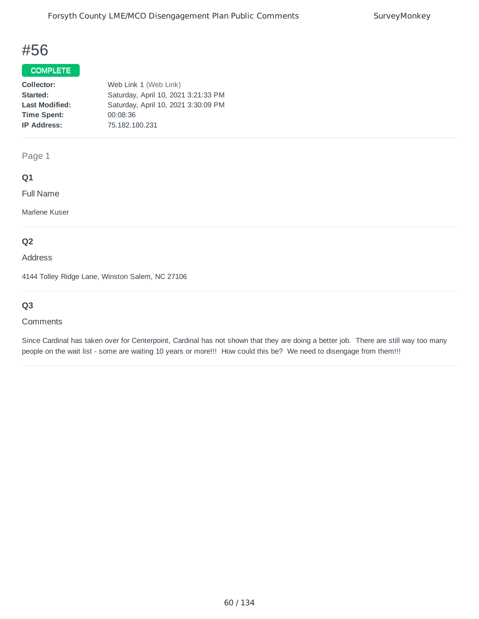### COMPLETE

| Collector:            | Web Link 1 (Web Link)               |
|-----------------------|-------------------------------------|
| Started:              | Saturday, April 10, 2021 3:21:33 PM |
| <b>Last Modified:</b> | Saturday, April 10, 2021 3:30:09 PM |
| <b>Time Spent:</b>    | 00:08:36                            |
| <b>IP Address:</b>    | 75.182.180.231                      |
|                       |                                     |

Page 1

#### **Q1**

Full Name

Marlene Kuser

## **Q2**

Address

4144 Tolley Ridge Lane, Winston Salem, NC 27106

## **Q3**

#### **Comments**

Since Cardinal has taken over for Centerpoint, Cardinal has not shown that they are doing a better job. There are still way too many people on the wait list - some are waiting 10 years or more!!! How could this be? We need to disengage from them!!!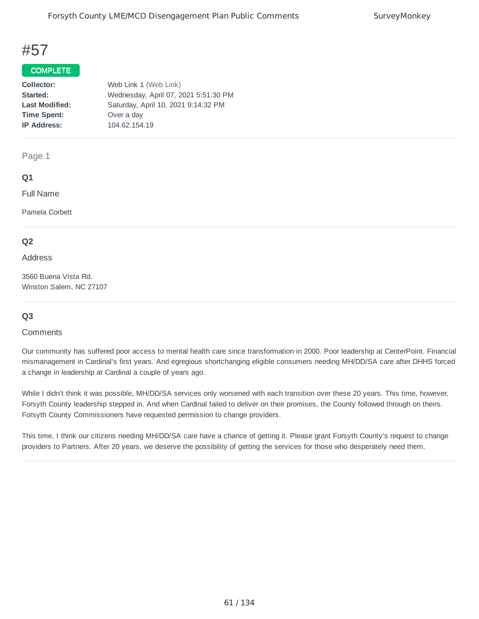#### COMPLETE

| Collector:            | Web Link 1 (Web Link)                |
|-----------------------|--------------------------------------|
| Started:              | Wednesday, April 07, 2021 5:51:30 PM |
| <b>Last Modified:</b> | Saturday, April 10, 2021 9:14:32 PM  |
| <b>Time Spent:</b>    | Over a day                           |
| <b>IP Address:</b>    | 104.62.154.19                        |
|                       |                                      |

Page 1

#### **Q1**

Full Name

Pamela Corbett

#### **Q2**

Address

3560 Buena Vista Rd. Winston Salem, NC 27107

#### **Q3**

#### **Comments**

Our community has suffered poor access to mental health care since transformation in 2000. Poor leadership at CenterPoint. Financial mismanagement in Cardinal's first years. And egregious shortchanging eligible consumers needing MH/DD/SA care after DHHS forced a change in leadership at Cardinal a couple of years ago.

While I didn't think it was possible, MH/DD/SA services only worsened with each transition over these 20 years. This time, however, Forsyth County leadership stepped in. And when Cardinal failed to deliver on their promises, the County followed through on theirs. Forsyth County Commissioners have requested permission to change providers.

This time, I think our citizens needing MH/DD/SA care have a chance of getting it. Please grant Forsyth County's request to change providers to Partners. After 20 years, we deserve the possibility of getting the services for those who desperately need them.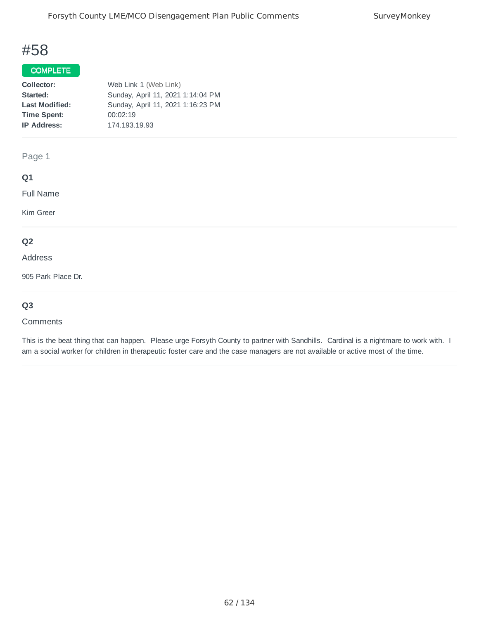#### COMPLETE

| Collector:            | Web Link 1 (Web Link)             |
|-----------------------|-----------------------------------|
| Started:              | Sunday, April 11, 2021 1:14:04 PM |
| <b>Last Modified:</b> | Sunday, April 11, 2021 1:16:23 PM |
| <b>Time Spent:</b>    | 00:02:19                          |
| <b>IP Address:</b>    | 174.193.19.93                     |
|                       |                                   |

Page 1

#### **Q1**

Full Name

Kim Greer

### **Q2**

Address

905 Park Place Dr.

## **Q3**

#### Comments

This is the beat thing that can happen. Please urge Forsyth County to partner with Sandhills. Cardinal is a nightmare to work with. I am a social worker for children in therapeutic foster care and the case managers are not available or active most of the time.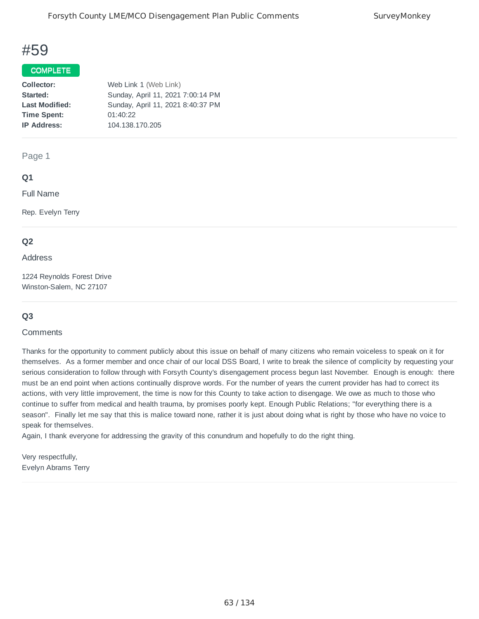#### COMPLETE

| Collector:            | Web Link 1 (Web Link)             |
|-----------------------|-----------------------------------|
| Started:              | Sunday, April 11, 2021 7:00:14 PM |
| <b>Last Modified:</b> | Sunday, April 11, 2021 8:40:37 PM |
| <b>Time Spent:</b>    | 01:40:22                          |
| <b>IP Address:</b>    | 104.138.170.205                   |
|                       |                                   |

Page 1

#### **Q1**

Full Name

Rep. Evelyn Terry

#### **Q2**

#### Address

1224 Reynolds Forest Drive Winston-Salem, NC 27107

#### **Q3**

#### **Comments**

Thanks for the opportunity to comment publicly about this issue on behalf of many citizens who remain voiceless to speak on it for themselves. As a former member and once chair of our local DSS Board, I write to break the silence of complicity by requesting your serious consideration to follow through with Forsyth County's disengagement process begun last November. Enough is enough: there must be an end point when actions continually disprove words. For the number of years the current provider has had to correct its actions, with very little improvement, the time is now for this County to take action to disengage. We owe as much to those who continue to suffer from medical and health trauma, by promises poorly kept. Enough Public Relations; "for everything there is a season". Finally let me say that this is malice toward none, rather it is just about doing what is right by those who have no voice to speak for themselves.

Again, I thank everyone for addressing the gravity of this conundrum and hopefully to do the right thing.

Very respectfully, Evelyn Abrams Terry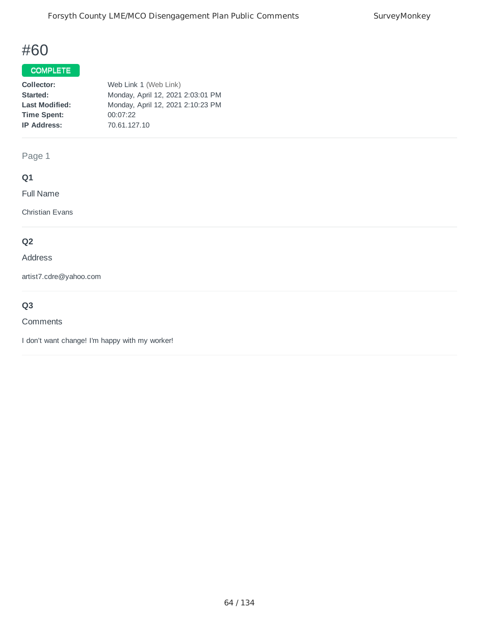### COMPLETE

| Collector:            | Web Link 1 (Web Link)             |
|-----------------------|-----------------------------------|
| Started:              | Monday, April 12, 2021 2:03:01 PM |
| <b>Last Modified:</b> | Monday, April 12, 2021 2:10:23 PM |
| <b>Time Spent:</b>    | 00:07:22                          |
| <b>IP Address:</b>    | 70.61.127.10                      |
|                       |                                   |

Page 1

## **Q1**

Full Name

Christian Evans

## **Q2**

#### Address

artist7.cdre@yahoo.com

## **Q3**

#### **Comments**

I don't want change! I'm happy with my worker!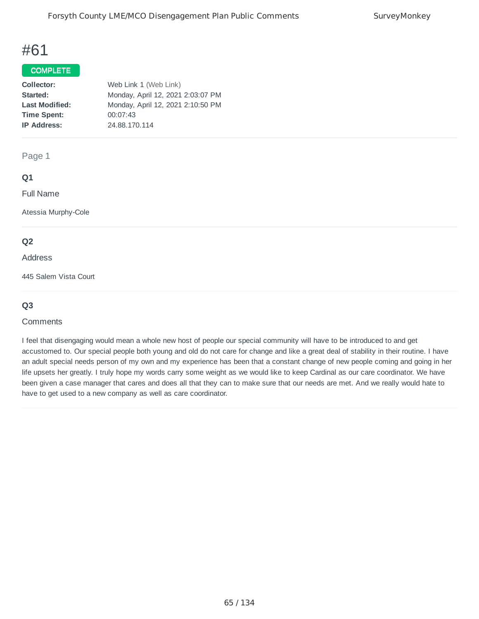## COMPLETE

| Collector:            | Web Link 1 (Web Link)             |
|-----------------------|-----------------------------------|
| Started:              | Monday, April 12, 2021 2:03:07 PM |
| <b>Last Modified:</b> | Monday, April 12, 2021 2:10:50 PM |
| <b>Time Spent:</b>    | 00:07:43                          |
| <b>IP Address:</b>    | 24.88.170.114                     |
|                       |                                   |

Page 1

#### **Q1**

Full Name

Atessia Murphy-Cole

#### **Q2**

#### Address

445 Salem Vista Court

#### **Q3**

#### **Comments**

I feel that disengaging would mean a whole new host of people our special community will have to be introduced to and get accustomed to. Our special people both young and old do not care for change and like a great deal of stability in their routine. I have an adult special needs person of my own and my experience has been that a constant change of new people coming and going in her life upsets her greatly. I truly hope my words carry some weight as we would like to keep Cardinal as our care coordinator. We have been given a case manager that cares and does all that they can to make sure that our needs are met. And we really would hate to have to get used to a new company as well as care coordinator.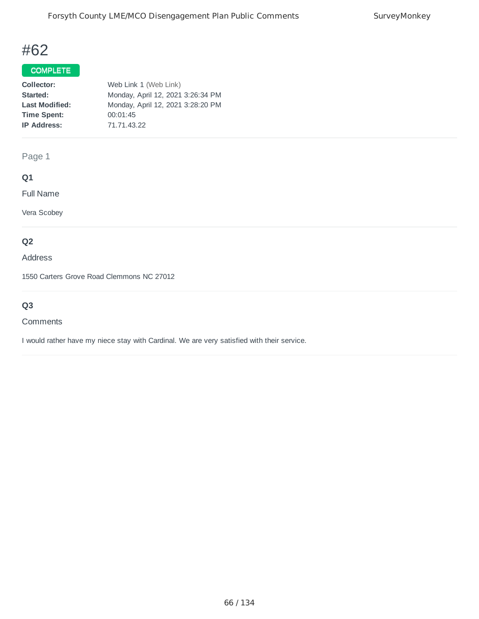### COMPLETE

| Collector:            | Web Link 1 (Web Link)             |
|-----------------------|-----------------------------------|
| Started:              | Monday, April 12, 2021 3:26:34 PM |
| <b>Last Modified:</b> | Monday, April 12, 2021 3:28:20 PM |
| <b>Time Spent:</b>    | 00:01:45                          |
| <b>IP Address:</b>    | 71.71.43.22                       |
|                       |                                   |

Page 1

## **Q1**

Full Name

Vera Scobey

## **Q2**

Address

1550 Carters Grove Road Clemmons NC 27012

## **Q3**

#### **Comments**

I would rather have my niece stay with Cardinal. We are very satisfied with their service.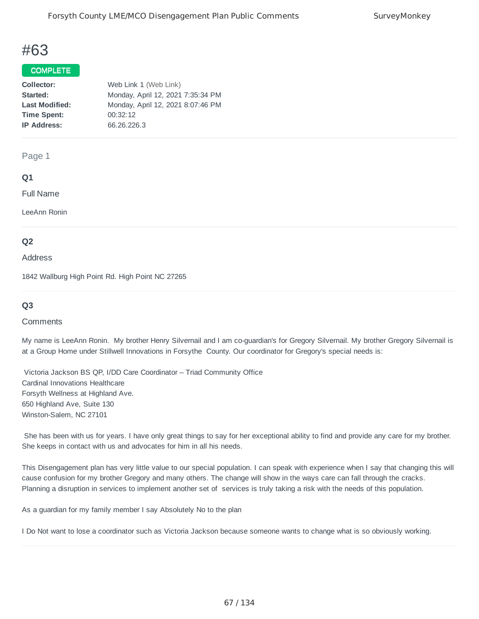#### COMPLETE

| Collector:            | Web Link 1 (Web Link)             |
|-----------------------|-----------------------------------|
| Started:              | Monday, April 12, 2021 7:35:34 PM |
| <b>Last Modified:</b> | Monday, April 12, 2021 8:07:46 PM |
| <b>Time Spent:</b>    | 00:32:12                          |
| <b>IP Address:</b>    | 66.26.226.3                       |
|                       |                                   |

Page 1

#### **Q1**

Full Name

LeeAnn Ronin

#### **Q2**

#### Address

1842 Wallburg High Point Rd. High Point NC 27265

#### **Q3**

#### **Comments**

My name is LeeAnn Ronin. My brother Henry Silvernail and I am co-guardian's for Gregory Silvernail. My brother Gregory Silvernail is at a Group Home under Stillwell Innovations in Forsythe County. Our coordinator for Gregory's special needs is:

Victoria Jackson BS QP, I/DD Care Coordinator – Triad Community Office Cardinal Innovations Healthcare Forsyth Wellness at Highland Ave. 650 Highland Ave, Suite 130 Winston-Salem, NC 27101

She has been with us for years. I have only great things to say for her exceptional ability to find and provide any care for my brother. She keeps in contact with us and advocates for him in all his needs.

This Disengagement plan has very little value to our special population. I can speak with experience when I say that changing this will cause confusion for my brother Gregory and many others. The change will show in the ways care can fall through the cracks. Planning a disruption in services to implement another set of services is truly taking a risk with the needs of this population.

As a guardian for my family member I say Absolutely No to the plan

I Do Not want to lose a coordinator such as Victoria Jackson because someone wants to change what is so obviously working.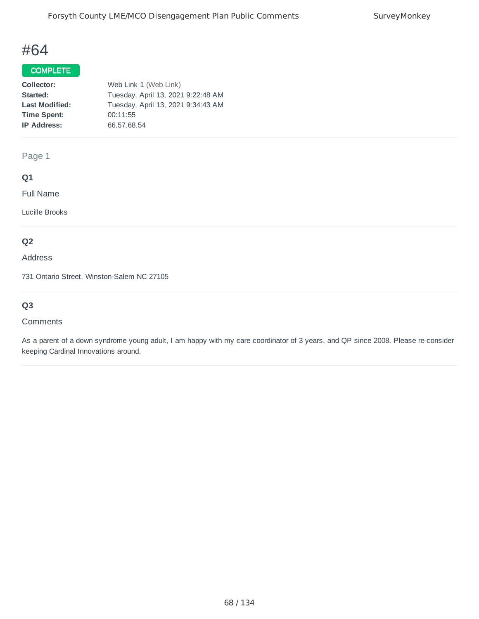## COMPLETE

| Collector:            | Web Link 1 (Web Link)              |
|-----------------------|------------------------------------|
| Started:              | Tuesday, April 13, 2021 9:22:48 AM |
| <b>Last Modified:</b> | Tuesday, April 13, 2021 9:34:43 AM |
| <b>Time Spent:</b>    | 00:11:55                           |
| <b>IP Address:</b>    | 66.57.68.54                        |
|                       |                                    |

Page 1

#### **Q1**

Full Name

Lucille Brooks

## **Q2**

Address

731 Ontario Street, Winston-Salem NC 27105

## **Q3**

#### Comments

As a parent of a down syndrome young adult, I am happy with my care coordinator of 3 years, and QP since 2008. Please re-consider keeping Cardinal Innovations around.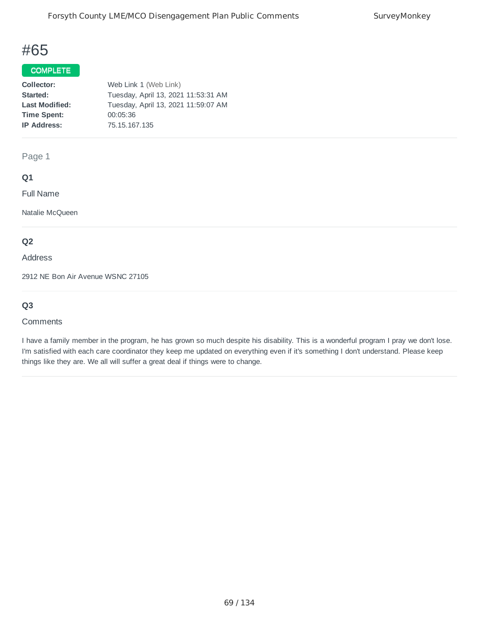### COMPLETE

| Collector:            | Web Link 1 (Web Link)               |
|-----------------------|-------------------------------------|
| Started:              | Tuesday, April 13, 2021 11:53:31 AM |
| <b>Last Modified:</b> | Tuesday, April 13, 2021 11:59:07 AM |
| <b>Time Spent:</b>    | 00:05:36                            |
| <b>IP Address:</b>    | 75.15.167.135                       |
|                       |                                     |

Page 1

#### **Q1**

Full Name

Natalie McQueen

#### **Q2**

Address

2912 NE Bon Air Avenue WSNC 27105

## **Q3**

#### **Comments**

I have a family member in the program, he has grown so much despite his disability. This is a wonderful program I pray we don't lose. I'm satisfied with each care coordinator they keep me updated on everything even if it's something I don't understand. Please keep things like they are. We all will suffer a great deal if things were to change.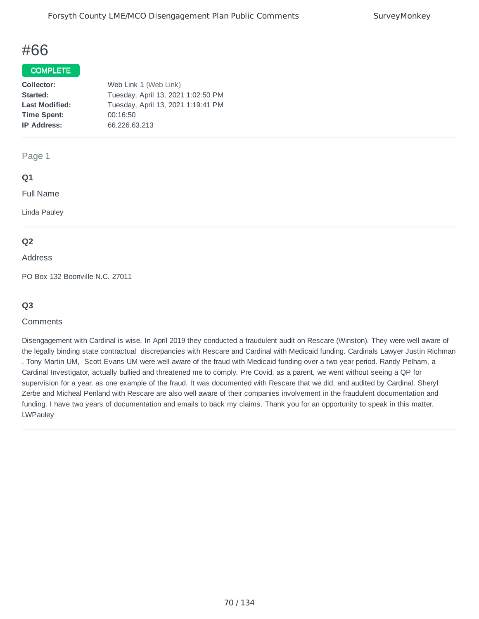#### COMPLETE

| Web Link 1 (Web Link)              |
|------------------------------------|
| Tuesday, April 13, 2021 1:02:50 PM |
| Tuesday, April 13, 2021 1:19:41 PM |
| 00:16:50                           |
| 66.226.63.213                      |
|                                    |

Page 1

#### **Q1**

Full Name

Linda Pauley

#### **Q2**

#### Address

PO Box 132 Boonville N.C. 27011

#### **Q3**

#### **Comments**

Disengagement with Cardinal is wise. In April 2019 they conducted a fraudulent audit on Rescare (Winston). They were well aware of the legally binding state contractual discrepancies with Rescare and Cardinal with Medicaid funding. Cardinals Lawyer Justin Richman , Tony Martin UM, Scott Evans UM were well aware of the fraud with Medicaid funding over a two year period. Randy Pelham, a Cardinal Investigator, actually bullied and threatened me to comply. Pre Covid, as a parent, we went without seeing a QP for supervision for a year, as one example of the fraud. It was documented with Rescare that we did, and audited by Cardinal. Sheryl Zerbe and Micheal Penland with Rescare are also well aware of their companies involvement in the fraudulent documentation and funding. I have two years of documentation and emails to back my claims. Thank you for an opportunity to speak in this matter. **LWPauley**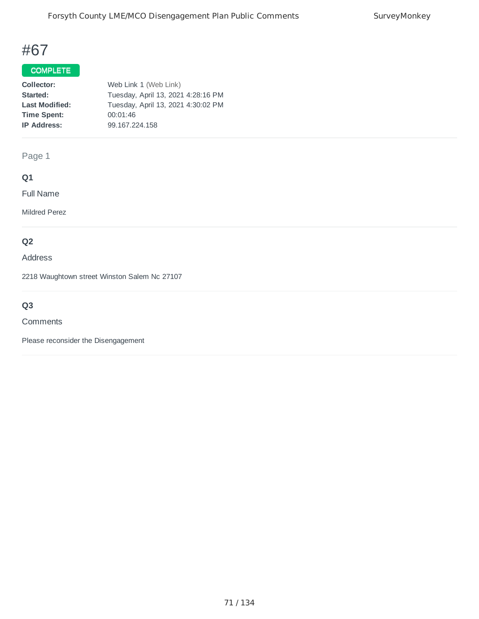## COMPLETE

| Collector:            | Web Link 1 (Web Link)              |
|-----------------------|------------------------------------|
| Started:              | Tuesday, April 13, 2021 4:28:16 PM |
| <b>Last Modified:</b> | Tuesday, April 13, 2021 4:30:02 PM |
| <b>Time Spent:</b>    | 00:01:46                           |
| <b>IP Address:</b>    | 99.167.224.158                     |
|                       |                                    |

Page 1

## **Q1**

Full Name

Mildred Perez

## **Q2**

Address

2218 Waughtown street Winston Salem Nc 27107

## **Q3**

#### **Comments**

Please reconsider the Disengagement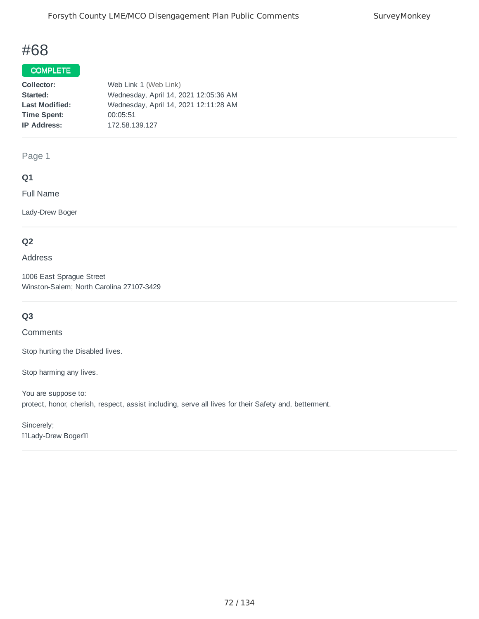### COMPLETE

| Collector:            | Web Link 1 (Web Link)                 |
|-----------------------|---------------------------------------|
| Started:              | Wednesday, April 14, 2021 12:05:36 AM |
| <b>Last Modified:</b> | Wednesday, April 14, 2021 12:11:28 AM |
| <b>Time Spent:</b>    | 00:05:51                              |
| <b>IP Address:</b>    | 172.58.139.127                        |
|                       |                                       |

Page 1

#### **Q1**

Full Name

Lady-Drew Boger

## **Q2**

Address

1006 East Sprague Street Winston-Salem; North Carolina 27107-3429

## **Q3**

**Comments** 

Stop hurting the Disabled lives.

Stop harming any lives.

You are suppose to: protect, honor, cherish, respect, assist including, serve all lives for their Safety and, betterment.

Sincerely; **IIILady-Drew BogerIII**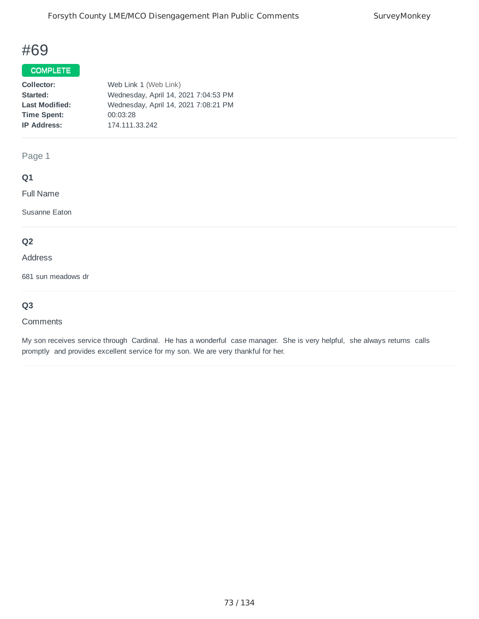## COMPLETE

| Collector:            | Web Link 1 (Web Link)                |
|-----------------------|--------------------------------------|
| Started:              | Wednesday, April 14, 2021 7:04:53 PM |
| <b>Last Modified:</b> | Wednesday, April 14, 2021 7:08:21 PM |
| <b>Time Spent:</b>    | 00:03:28                             |
| <b>IP Address:</b>    | 174.111.33.242                       |
|                       |                                      |

Page 1

## **Q1**

Full Name

Susanne Eaton

# **Q2**

#### Address

681 sun meadows dr

## **Q3**

#### **Comments**

My son receives service through Cardinal. He has a wonderful case manager. She is very helpful, she always returns calls promptly and provides excellent service for my son. We are very thankful for her.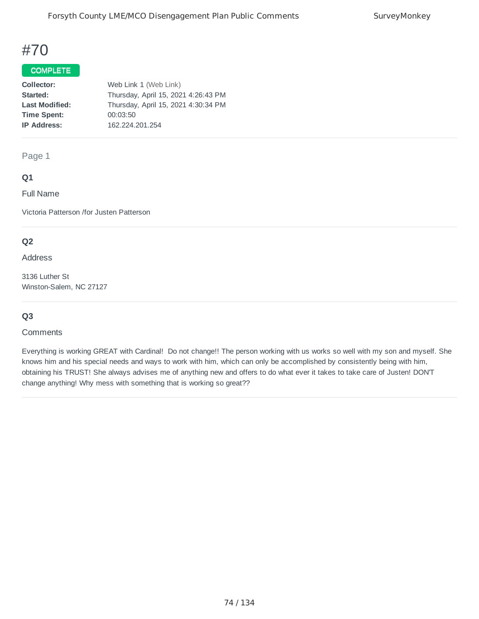# COMPLETE

| Collector:            | Web Link 1 (Web Link)               |
|-----------------------|-------------------------------------|
| Started:              | Thursday, April 15, 2021 4:26:43 PM |
| <b>Last Modified:</b> | Thursday, April 15, 2021 4:30:34 PM |
| <b>Time Spent:</b>    | 00:03:50                            |
| <b>IP Address:</b>    | 162.224.201.254                     |
|                       |                                     |

#### Page 1

## **Q1**

Full Name

Victoria Patterson /for Justen Patterson

## **Q2**

Address

3136 Luther St Winston-Salem, NC 27127

## **Q3**

#### **Comments**

Everything is working GREAT with Cardinal! Do not change!! The person working with us works so well with my son and myself. She knows him and his special needs and ways to work with him, which can only be accomplished by consistently being with him, obtaining his TRUST! She always advises me of anything new and offers to do what ever it takes to take care of Justen! DON'T change anything! Why mess with something that is working so great??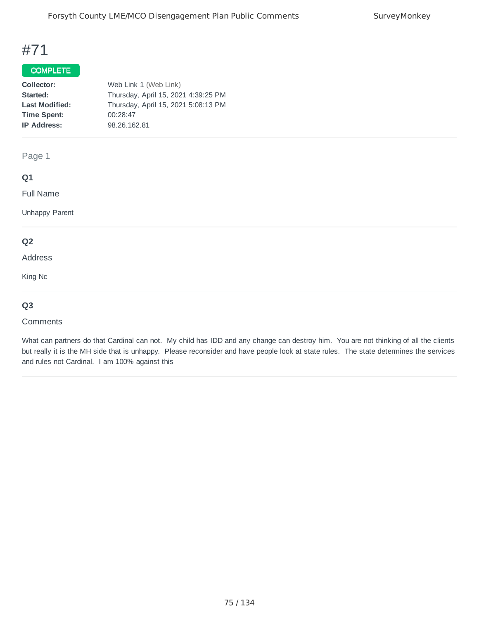### COMPLETE

| Collector:            | Web Link 1 (Web Link)               |
|-----------------------|-------------------------------------|
| Started:              | Thursday, April 15, 2021 4:39:25 PM |
| <b>Last Modified:</b> | Thursday, April 15, 2021 5:08:13 PM |
| <b>Time Spent:</b>    | 00:28:47                            |
| <b>IP Address:</b>    | 98.26.162.81                        |
|                       |                                     |

Page 1

## **Q1**

Full Name

Unhappy Parent

### **Q2**

Address

King Nc

## **Q3**

#### **Comments**

What can partners do that Cardinal can not. My child has IDD and any change can destroy him. You are not thinking of all the clients but really it is the MH side that is unhappy. Please reconsider and have people look at state rules. The state determines the services and rules not Cardinal. I am 100% against this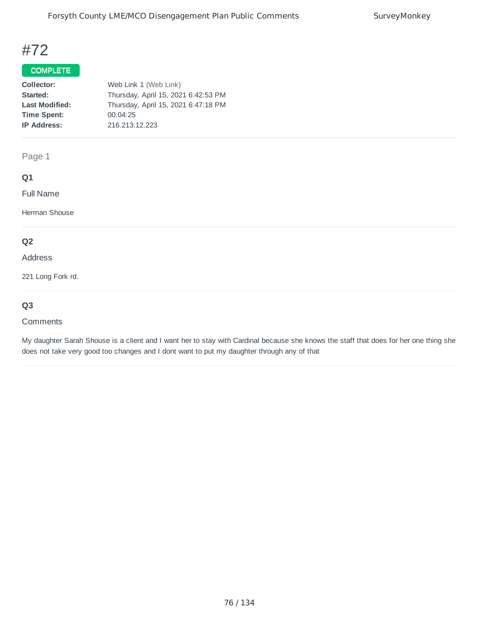## COMPLETE

| Collector:            | Web Link 1 (Web Link)               |
|-----------------------|-------------------------------------|
| Started:              | Thursday, April 15, 2021 6:42:53 PM |
| <b>Last Modified:</b> | Thursday, April 15, 2021 6:47:18 PM |
| <b>Time Spent:</b>    | 00:04:25                            |
| <b>IP Address:</b>    | 216.213.12.223                      |
|                       |                                     |

Page 1

## **Q1**

Full Name

Herman Shouse

# **Q2**

#### Address

221 Long Fork rd.

# **Q3**

#### **Comments**

My daughter Sarah Shouse is a client and I want her to stay with Cardinal because she knows the staff that does for her one thing she does not take very good too changes and I dont want to put my daughter through any of that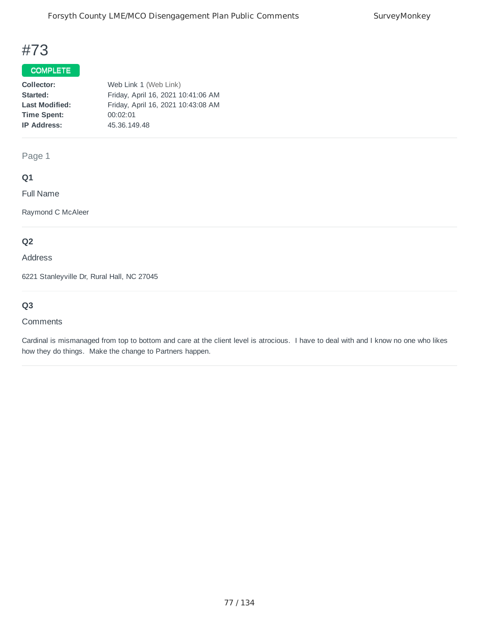## COMPLETE

| Collector:            | Web Link 1 (Web Link)              |
|-----------------------|------------------------------------|
| Started:              | Friday, April 16, 2021 10:41:06 AM |
| <b>Last Modified:</b> | Friday, April 16, 2021 10:43:08 AM |
| <b>Time Spent:</b>    | 00:02:01                           |
| <b>IP Address:</b>    | 45.36.149.48                       |
|                       |                                    |

Page 1

## **Q1**

Full Name

Raymond C McAleer

# **Q2**

Address

6221 Stanleyville Dr, Rural Hall, NC 27045

# **Q3**

#### **Comments**

Cardinal is mismanaged from top to bottom and care at the client level is atrocious. I have to deal with and I know no one who likes how they do things. Make the change to Partners happen.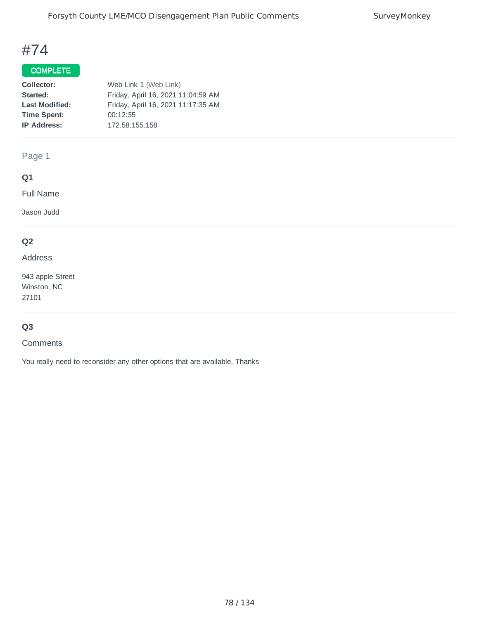# COMPLETE

| Collector:            | Web Link 1 (Web Link)              |
|-----------------------|------------------------------------|
| Started:              | Friday, April 16, 2021 11:04:59 AM |
| <b>Last Modified:</b> | Friday, April 16, 2021 11:17:35 AM |
| <b>Time Spent:</b>    | 00:12:35                           |
| <b>IP Address:</b>    | 172.58.155.158                     |
|                       |                                    |

Page 1

# **Q1**

Full Name

Jason Judd

# **Q2**

### Address

943 apple Street Winston, NC 27101

# **Q3**

#### Comments

You really need to reconsider any other options that are available. Thanks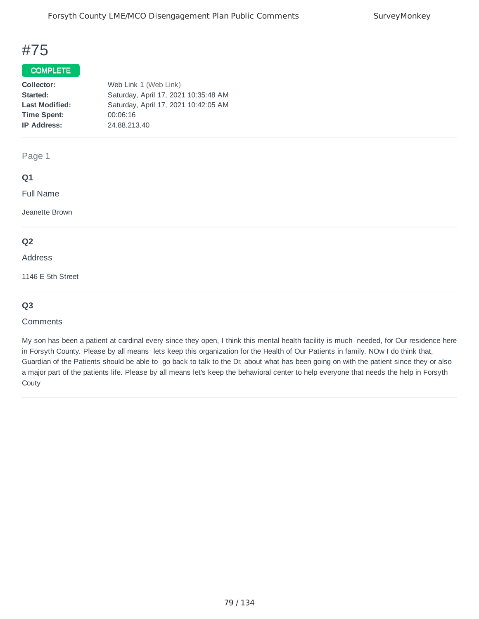## COMPLETE

| Collector:            | Web Link 1 (Web Link)                |
|-----------------------|--------------------------------------|
| Started:              | Saturday, April 17, 2021 10:35:48 AM |
| <b>Last Modified:</b> | Saturday, April 17, 2021 10:42:05 AM |
| <b>Time Spent:</b>    | 00:06:16                             |
| <b>IP Address:</b>    | 24.88.213.40                         |
|                       |                                      |

Page 1

## **Q1**

Full Name

Jeanette Brown

### **Q2**

Address

1146 E 5th Street

## **Q3**

#### **Comments**

My son has been a patient at cardinal every since they open, I think this mental health facility is much needed, for Our residence here in Forsyth County. Please by all means lets keep this organization for the Health of Our Patients in family. NOw I do think that, Guardian of the Patients should be able to go back to talk to the Dr. about what has been going on with the patient since they or also a major part of the patients life. Please by all means let's keep the behavioral center to help everyone that needs the help in Forsyth **Couty**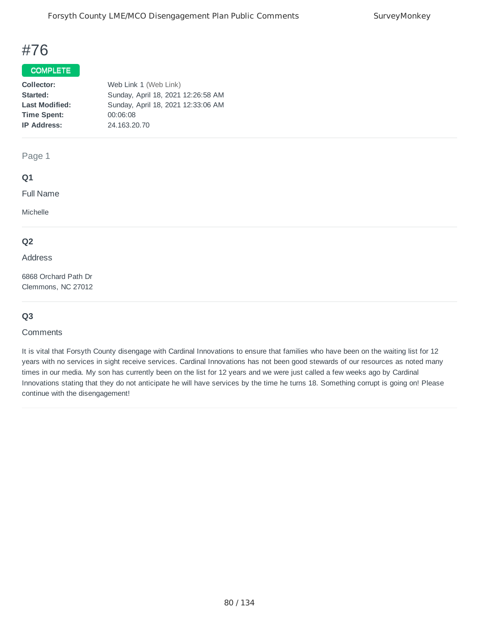## COMPLETE

| Web Link 1 (Web Link)              |
|------------------------------------|
| Sunday, April 18, 2021 12:26:58 AM |
| Sunday, April 18, 2021 12:33:06 AM |
| 00:06:08                           |
| 24.163.20.70                       |
|                                    |

#### Page 1

## **Q1**

Full Name

Michelle

### **Q2**

#### Address

6868 Orchard Path Dr Clemmons, NC 27012

## **Q3**

#### **Comments**

It is vital that Forsyth County disengage with Cardinal Innovations to ensure that families who have been on the waiting list for 12 years with no services in sight receive services. Cardinal Innovations has not been good stewards of our resources as noted many times in our media. My son has currently been on the list for 12 years and we were just called a few weeks ago by Cardinal Innovations stating that they do not anticipate he will have services by the time he turns 18. Something corrupt is going on! Please continue with the disengagement!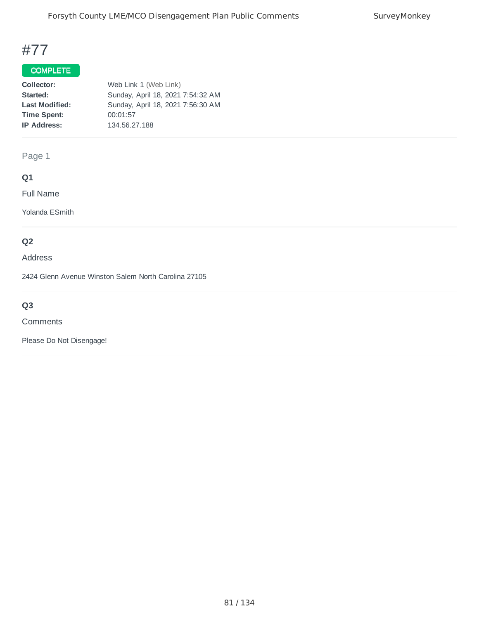## COMPLETE

| Collector:            | Web Link 1 (Web Link)             |
|-----------------------|-----------------------------------|
| Started:              | Sunday, April 18, 2021 7:54:32 AM |
| <b>Last Modified:</b> | Sunday, April 18, 2021 7:56:30 AM |
| <b>Time Spent:</b>    | 00:01:57                          |
| <b>IP Address:</b>    | 134.56.27.188                     |
|                       |                                   |

Page 1

# **Q1**

Full Name

Yolanda ESmith

# **Q2**

Address

2424 Glenn Avenue Winston Salem North Carolina 27105

# **Q3**

Comments

Please Do Not Disengage!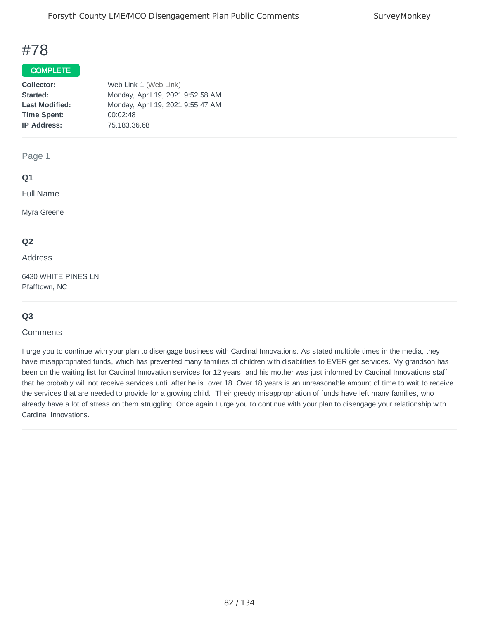### COMPLETE

| Collector:            | Web Link 1 (Web Link)             |
|-----------------------|-----------------------------------|
| Started:              | Monday, April 19, 2021 9:52:58 AM |
| <b>Last Modified:</b> | Monday, April 19, 2021 9:55:47 AM |
| <b>Time Spent:</b>    | 00:02:48                          |
| <b>IP Address:</b>    | 75.183.36.68                      |
|                       |                                   |

#### Page 1

### **Q1**

Full Name

Myra Greene

## **Q2**

Address

6430 WHITE PINES LN Pfafftown, NC

# **Q3**

#### **Comments**

I urge you to continue with your plan to disengage business with Cardinal Innovations. As stated multiple times in the media, they have misappropriated funds, which has prevented many families of children with disabilities to EVER get services. My grandson has been on the waiting list for Cardinal Innovation services for 12 years, and his mother was just informed by Cardinal Innovations staff that he probably will not receive services until after he is over 18. Over 18 years is an unreasonable amount of time to wait to receive the services that are needed to provide for a growing child. Their greedy misappropriation of funds have left many families, who already have a lot of stress on them struggling. Once again I urge you to continue with your plan to disengage your relationship with Cardinal Innovations.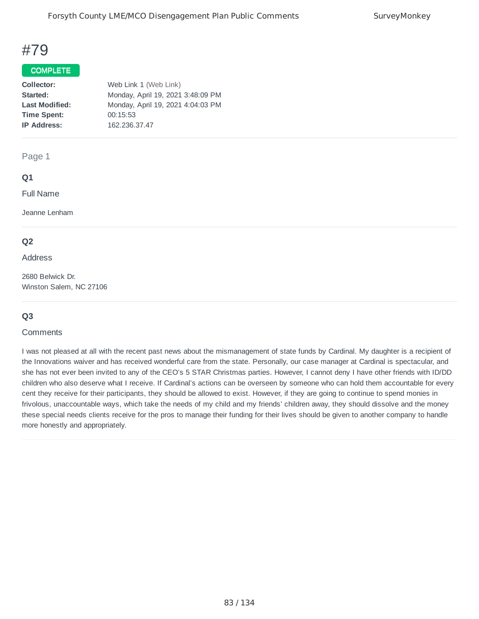#### COMPLETE

| Collector:            | Web Link 1 (Web Link)             |
|-----------------------|-----------------------------------|
| Started:              | Monday, April 19, 2021 3:48:09 PM |
| <b>Last Modified:</b> | Monday, April 19, 2021 4:04:03 PM |
| <b>Time Spent:</b>    | 00:15:53                          |
| <b>IP Address:</b>    | 162.236.37.47                     |
|                       |                                   |

#### Page 1

### **Q1**

Full Name

Jeanne Lenham

### **Q2**

#### Address

2680 Belwick Dr. Winston Salem, NC 27106

## **Q3**

#### **Comments**

I was not pleased at all with the recent past news about the mismanagement of state funds by Cardinal. My daughter is a recipient of the Innovations waiver and has received wonderful care from the state. Personally, our case manager at Cardinal is spectacular, and she has not ever been invited to any of the CEO's 5 STAR Christmas parties. However, I cannot deny I have other friends with ID/DD children who also deserve what I receive. If Cardinal's actions can be overseen by someone who can hold them accountable for every cent they receive for their participants, they should be allowed to exist. However, if they are going to continue to spend monies in frivolous, unaccountable ways, which take the needs of my child and my friends' children away, they should dissolve and the money these special needs clients receive for the pros to manage their funding for their lives should be given to another company to handle more honestly and appropriately.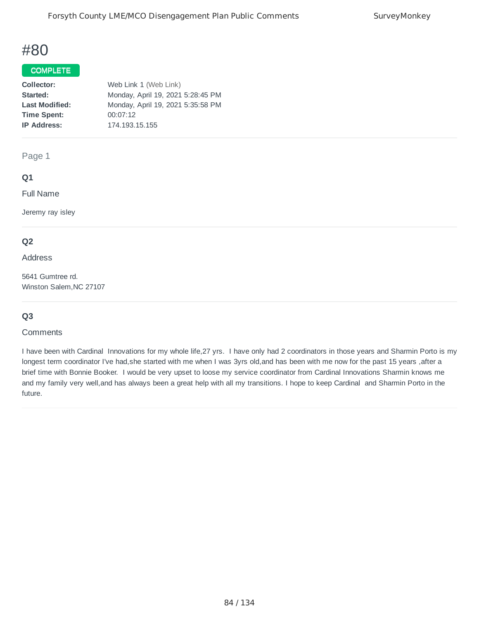## COMPLETE

| Collector:            | Web Link 1 (Web Link)             |
|-----------------------|-----------------------------------|
| Started:              | Monday, April 19, 2021 5:28:45 PM |
| <b>Last Modified:</b> | Monday, April 19, 2021 5:35:58 PM |
| <b>Time Spent:</b>    | 00:07:12                          |
| <b>IP Address:</b>    | 174.193.15.155                    |
|                       |                                   |

Page 1

## **Q1**

Full Name

Jeremy ray isley

## **Q2**

Address

5641 Gumtree rd. Winston Salem,NC 27107

## **Q3**

#### **Comments**

I have been with Cardinal Innovations for my whole life,27 yrs. I have only had 2 coordinators in those years and Sharmin Porto is my longest term coordinator I've had, she started with me when I was 3yrs old, and has been with me now for the past 15 years , after a brief time with Bonnie Booker. I would be very upset to loose my service coordinator from Cardinal Innovations Sharmin knows me and my family very well,and has always been a great help with all my transitions. I hope to keep Cardinal and Sharmin Porto in the future.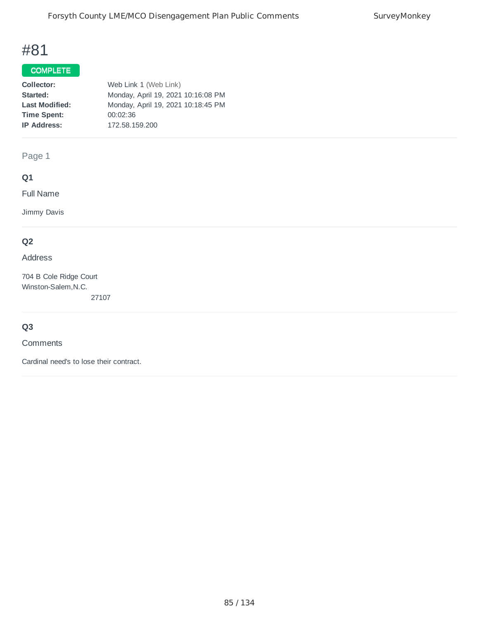## COMPLETE

| Collector:            | Web Link 1 (Web Link)              |
|-----------------------|------------------------------------|
| Started:              | Monday, April 19, 2021 10:16:08 PM |
| <b>Last Modified:</b> | Monday, April 19, 2021 10:18:45 PM |
| <b>Time Spent:</b>    | 00:02:36                           |
| <b>IP Address:</b>    | 172.58.159.200                     |
|                       |                                    |

Page 1

# **Q1**

Full Name

Jimmy Davis

# **Q2**

#### Address

704 B Cole Ridge Court Winston-Salem,N.C. 27107

## **Q3**

**Comments** 

Cardinal need's to lose their contract.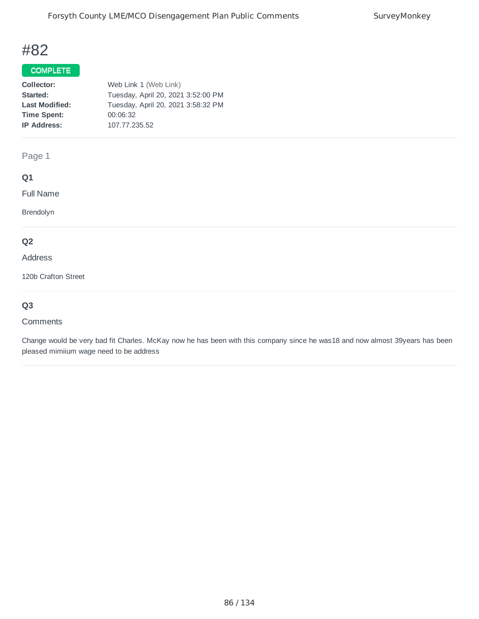# COMPLETE

| Collector:            | Web Link 1 (Web Link)              |
|-----------------------|------------------------------------|
| Started:              | Tuesday, April 20, 2021 3:52:00 PM |
| <b>Last Modified:</b> | Tuesday, April 20, 2021 3:58:32 PM |
| <b>Time Spent:</b>    | 00:06:32                           |
| <b>IP Address:</b>    | 107.77.235.52                      |
|                       |                                    |

## Page 1

# **Q1**

Full Name

Brendolyn

# **Q2**

Address

120b Crafton Street

# **Q3**

#### Comments

Change would be very bad fit Charles. McKay now he has been with this company since he was18 and now almost 39years has been pleased mimiium wage need to be address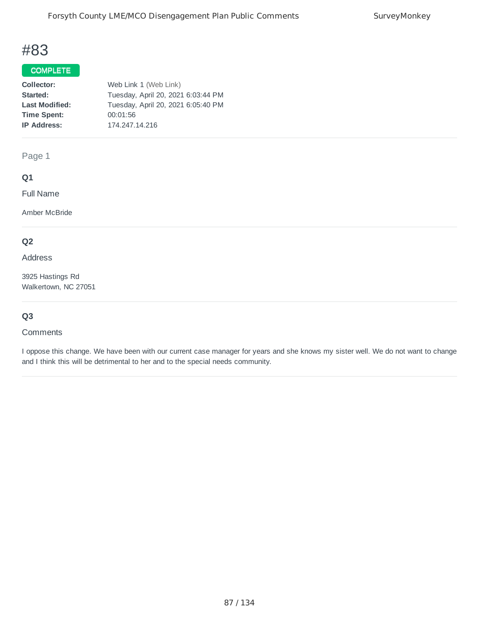## COMPLETE

| Collector:            | Web Link 1 (Web Link)              |
|-----------------------|------------------------------------|
| Started:              | Tuesday, April 20, 2021 6:03:44 PM |
| <b>Last Modified:</b> | Tuesday, April 20, 2021 6:05:40 PM |
| <b>Time Spent:</b>    | 00:01:56                           |
| <b>IP Address:</b>    | 174.247.14.216                     |
|                       |                                    |

Page 1

## **Q1**

Full Name

Amber McBride

# **Q2**

Address

3925 Hastings Rd Walkertown, NC 27051

# **Q3**

#### **Comments**

I oppose this change. We have been with our current case manager for years and she knows my sister well. We do not want to change and I think this will be detrimental to her and to the special needs community.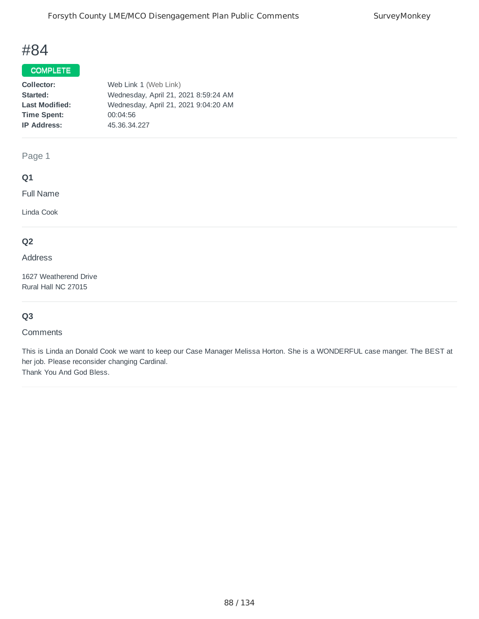## COMPLETE

| Collector:            | Web Link 1 (Web Link)                |
|-----------------------|--------------------------------------|
| Started:              | Wednesday, April 21, 2021 8:59:24 AM |
| <b>Last Modified:</b> | Wednesday, April 21, 2021 9:04:20 AM |
| <b>Time Spent:</b>    | 00:04:56                             |
| <b>IP Address:</b>    | 45.36.34.227                         |
|                       |                                      |

Page 1

## **Q1**

Full Name

Linda Cook

# **Q2**

Address

1627 Weatherend Drive Rural Hall NC 27015

# **Q3**

#### **Comments**

This is Linda an Donald Cook we want to keep our Case Manager Melissa Horton. She is a WONDERFUL case manger. The BEST at her job. Please reconsider changing Cardinal. Thank You And God Bless.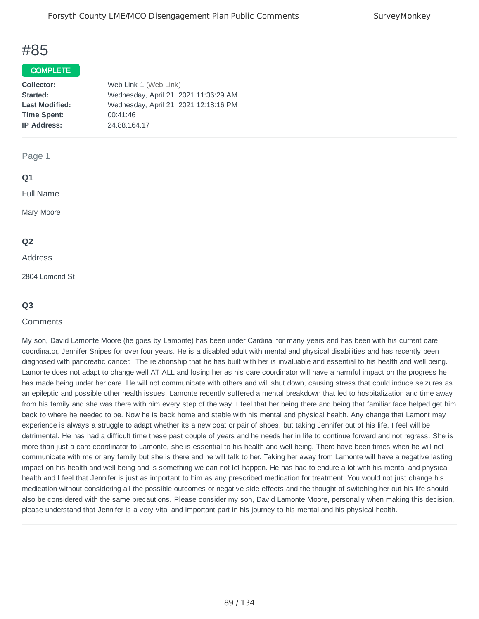#### COMPLETE

| Collector:            | Web Link 1 (Web Link)                 |
|-----------------------|---------------------------------------|
| Started:              | Wednesday, April 21, 2021 11:36:29 AM |
| <b>Last Modified:</b> | Wednesday, April 21, 2021 12:18:16 PM |
| <b>Time Spent:</b>    | 00:41:46                              |
| <b>IP Address:</b>    | 24.88.164.17                          |
|                       |                                       |

#### Page 1

#### **Q1**

Full Name

Mary Moore

### **Q2**

#### Address

2804 Lomond St

### **Q3**

#### **Comments**

My son, David Lamonte Moore (he goes by Lamonte) has been under Cardinal for many years and has been with his current care coordinator, Jennifer Snipes for over four years. He is a disabled adult with mental and physical disabilities and has recently been diagnosed with pancreatic cancer. The relationship that he has built with her is invaluable and essential to his health and well being. Lamonte does not adapt to change well AT ALL and losing her as his care coordinator will have a harmful impact on the progress he has made being under her care. He will not communicate with others and will shut down, causing stress that could induce seizures as an epileptic and possible other health issues. Lamonte recently suffered a mental breakdown that led to hospitalization and time away from his family and she was there with him every step of the way. I feel that her being there and being that familiar face helped get him back to where he needed to be. Now he is back home and stable with his mental and physical health. Any change that Lamont may experience is always a struggle to adapt whether its a new coat or pair of shoes, but taking Jennifer out of his life, I feel will be detrimental. He has had a difficult time these past couple of years and he needs her in life to continue forward and not regress. She is more than just a care coordinator to Lamonte, she is essential to his health and well being. There have been times when he will not communicate with me or any family but she is there and he will talk to her. Taking her away from Lamonte will have a negative lasting impact on his health and well being and is something we can not let happen. He has had to endure a lot with his mental and physical health and I feel that Jennifer is just as important to him as any prescribed medication for treatment. You would not just change his medication without considering all the possible outcomes or negative side effects and the thought of switching her out his life should also be considered with the same precautions. Please consider my son, David Lamonte Moore, personally when making this decision, please understand that Jennifer is a very vital and important part in his journey to his mental and his physical health.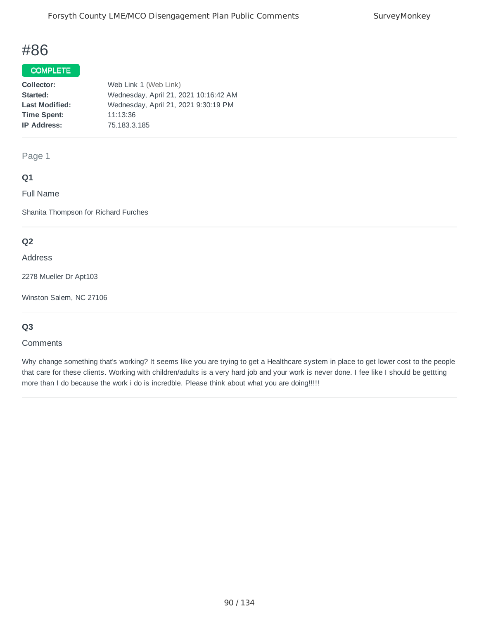## COMPLETE

| Collector:            | Web Link 1 (Web Link)                 |
|-----------------------|---------------------------------------|
| Started:              | Wednesday, April 21, 2021 10:16:42 AM |
| <b>Last Modified:</b> | Wednesday, April 21, 2021 9:30:19 PM  |
| <b>Time Spent:</b>    | 11:13:36                              |
| <b>IP Address:</b>    | 75.183.3.185                          |
|                       |                                       |

Page 1

## **Q1**

Full Name

Shanita Thompson for Richard Furches

## **Q2**

Address

2278 Mueller Dr Apt103

Winston Salem, NC 27106

## **Q3**

#### **Comments**

Why change something that's working? It seems like you are trying to get a Healthcare system in place to get lower cost to the people that care for these clients. Working with children/adults is a very hard job and your work is never done. I fee like I should be gettting more than I do because the work i do is incredble. Please think about what you are doing!!!!!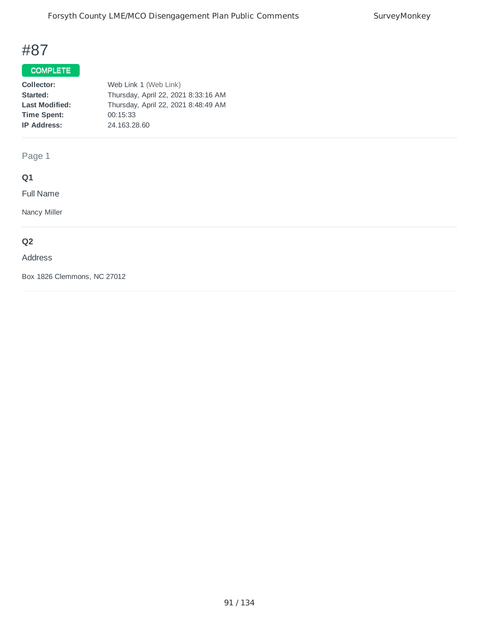# COMPLETE

| Collector:            | Web Link 1 (Web Link)               |
|-----------------------|-------------------------------------|
| Started:              | Thursday, April 22, 2021 8:33:16 AM |
| <b>Last Modified:</b> | Thursday, April 22, 2021 8:48:49 AM |
| <b>Time Spent:</b>    | 00:15:33                            |
| <b>IP Address:</b>    | 24.163.28.60                        |
|                       |                                     |

Page 1

# **Q1**

Full Name

Nancy Miller

# **Q2**

### Address

Box 1826 Clemmons, NC 27012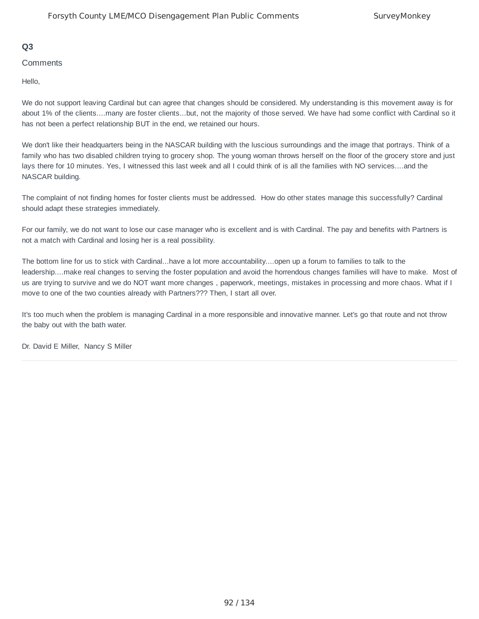### **Q3**

#### **Comments**

Hello,

We do not support leaving Cardinal but can agree that changes should be considered. My understanding is this movement away is for about 1% of the clients....many are foster clients...but, not the majority of those served. We have had some conflict with Cardinal so it has not been a perfect relationship BUT in the end, we retained our hours.

We don't like their headquarters being in the NASCAR building with the luscious surroundings and the image that portrays. Think of a family who has two disabled children trying to grocery shop. The young woman throws herself on the floor of the grocery store and just lays there for 10 minutes. Yes, I witnessed this last week and all I could think of is all the families with NO services....and the NASCAR building.

The complaint of not finding homes for foster clients must be addressed. How do other states manage this successfully? Cardinal should adapt these strategies immediately.

For our family, we do not want to lose our case manager who is excellent and is with Cardinal. The pay and benefits with Partners is not a match with Cardinal and losing her is a real possibility.

The bottom line for us to stick with Cardinal...have a lot more accountability....open up a forum to families to talk to the leadership....make real changes to serving the foster population and avoid the horrendous changes families will have to make. Most of us are trying to survive and we do NOT want more changes , paperwork, meetings, mistakes in processing and more chaos. What if I move to one of the two counties already with Partners??? Then, I start all over.

It's too much when the problem is managing Cardinal in a more responsible and innovative manner. Let's go that route and not throw the baby out with the bath water.

Dr. David E Miller, Nancy S Miller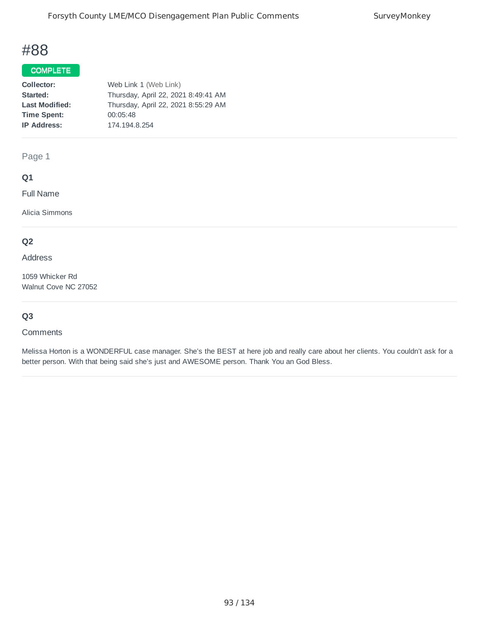## COMPLETE

| Collector:            | Web Link 1 (Web Link)               |
|-----------------------|-------------------------------------|
| Started:              | Thursday, April 22, 2021 8:49:41 AM |
| <b>Last Modified:</b> | Thursday, April 22, 2021 8:55:29 AM |
| <b>Time Spent:</b>    | 00:05:48                            |
| <b>IP Address:</b>    | 174.194.8.254                       |
|                       |                                     |

Page 1

## **Q1**

Full Name

Alicia Simmons

# **Q2**

Address

1059 Whicker Rd Walnut Cove NC 27052

# **Q3**

#### **Comments**

Melissa Horton is a WONDERFUL case manager. She's the BEST at here job and really care about her clients. You couldn't ask for a better person. With that being said she's just and AWESOME person. Thank You an God Bless.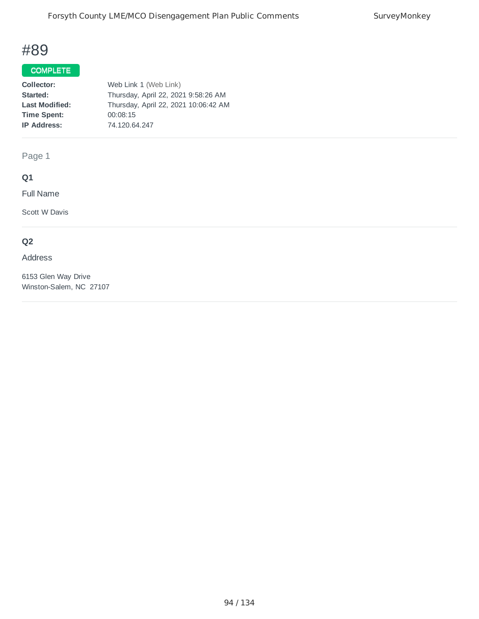## COMPLETE

| Collector:            | Web Link 1 (Web Link)                |
|-----------------------|--------------------------------------|
| Started:              | Thursday, April 22, 2021 9:58:26 AM  |
| <b>Last Modified:</b> | Thursday, April 22, 2021 10:06:42 AM |
| <b>Time Spent:</b>    | 00:08:15                             |
| <b>IP Address:</b>    | 74.120.64.247                        |
|                       |                                      |

Page 1

# **Q1**

Full Name

Scott W Davis

# **Q2**

#### Address

6153 Glen Way Drive Winston-Salem, NC 27107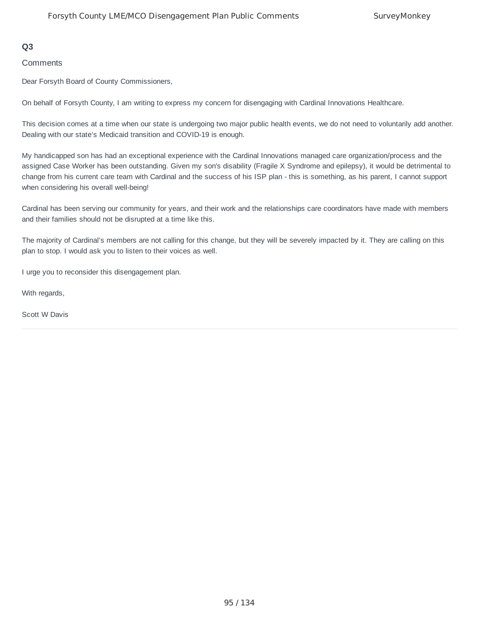### **Q3**

**Comments** 

Dear Forsyth Board of County Commissioners,

On behalf of Forsyth County, I am writing to express my concern for disengaging with Cardinal Innovations Healthcare.

This decision comes at a time when our state is undergoing two major public health events, we do not need to voluntarily add another. Dealing with our state's Medicaid transition and COVID-19 is enough.

My handicapped son has had an exceptional experience with the Cardinal Innovations managed care organization/process and the assigned Case Worker has been outstanding. Given my son's disability (Fragile X Syndrome and epilepsy), it would be detrimental to change from his current care team with Cardinal and the success of his ISP plan - this is something, as his parent, I cannot support when considering his overall well-being!

Cardinal has been serving our community for years, and their work and the relationships care coordinators have made with members and their families should not be disrupted at a time like this.

The majority of Cardinal's members are not calling for this change, but they will be severely impacted by it. They are calling on this plan to stop. I would ask you to listen to their voices as well.

I urge you to reconsider this disengagement plan.

With regards,

Scott W Davis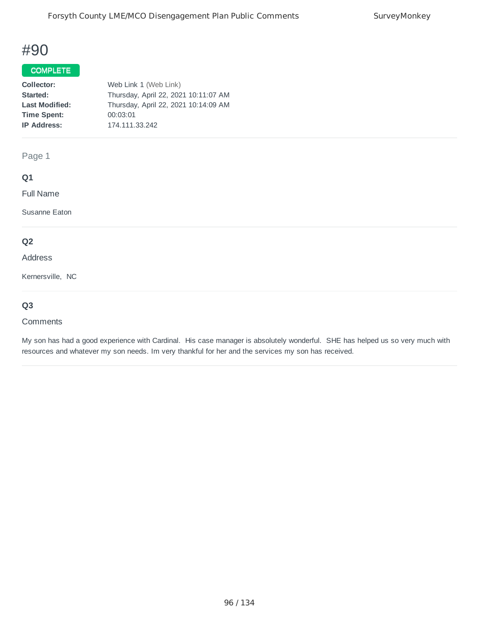### COMPLETE

| Collector:            | Web Link 1 (Web Link)                |
|-----------------------|--------------------------------------|
| Started:              | Thursday, April 22, 2021 10:11:07 AM |
| <b>Last Modified:</b> | Thursday, April 22, 2021 10:14:09 AM |
| <b>Time Spent:</b>    | 00:03:01                             |
| <b>IP Address:</b>    | 174.111.33.242                       |
|                       |                                      |

Page 1

## **Q1**

Full Name

Susanne Eaton

# **Q2**

Address

Kernersville, NC

## **Q3**

#### **Comments**

My son has had a good experience with Cardinal. His case manager is absolutely wonderful. SHE has helped us so very much with resources and whatever my son needs. Im very thankful for her and the services my son has received.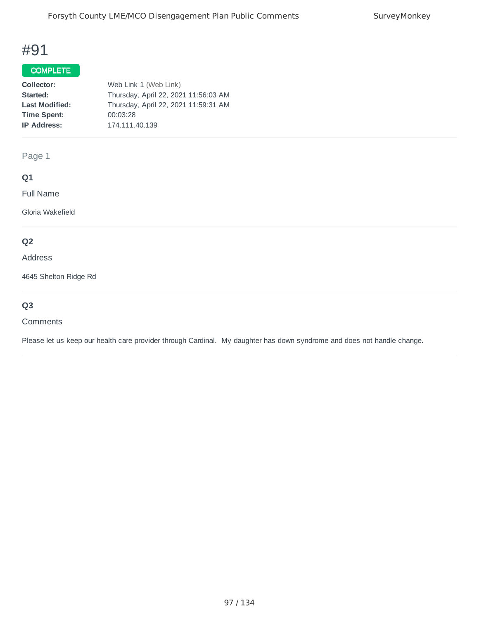## COMPLETE

| Collector:            | Web Link 1 (Web Link)                |
|-----------------------|--------------------------------------|
| Started:              | Thursday, April 22, 2021 11:56:03 AM |
| <b>Last Modified:</b> | Thursday, April 22, 2021 11:59:31 AM |
| <b>Time Spent:</b>    | 00:03:28                             |
| <b>IP Address:</b>    | 174.111.40.139                       |
|                       |                                      |

Page 1

# **Q1**

Full Name

Gloria Wakefield

# **Q2**

### Address

4645 Shelton Ridge Rd

# **Q3**

#### **Comments**

Please let us keep our health care provider through Cardinal. My daughter has down syndrome and does not handle change.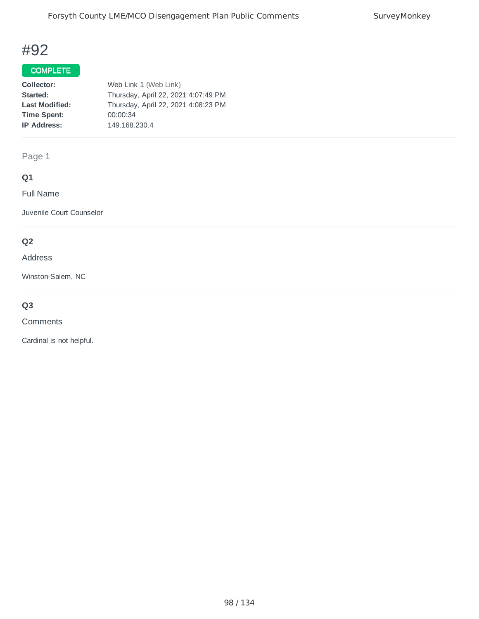## COMPLETE

| Collector:            | Web Link 1 (Web Link)               |
|-----------------------|-------------------------------------|
| Started:              | Thursday, April 22, 2021 4:07:49 PM |
| <b>Last Modified:</b> | Thursday, April 22, 2021 4:08:23 PM |
| <b>Time Spent:</b>    | 00:00:34                            |
| <b>IP Address:</b>    | 149.168.230.4                       |
|                       |                                     |

Page 1

# **Q1**

Full Name

Juvenile Court Counselor

# **Q2**

#### Address

Winston-Salem, NC

# **Q3**

**Comments** 

Cardinal is not helpful.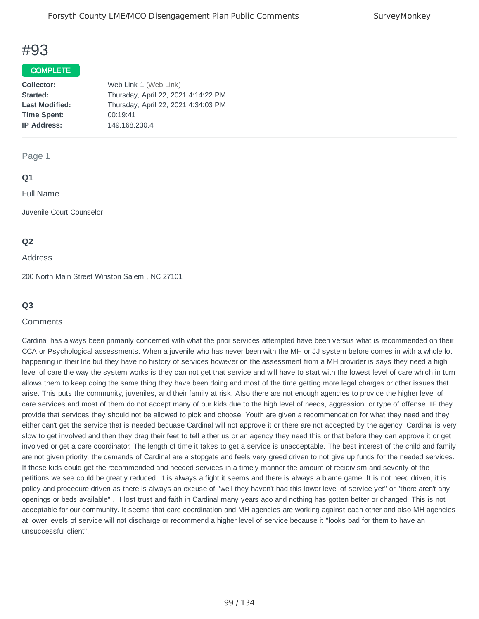### COMPLETE

| Collector:            | Web Link 1 (Web Link)               |
|-----------------------|-------------------------------------|
| Started:              | Thursday, April 22, 2021 4:14:22 PM |
| <b>Last Modified:</b> | Thursday, April 22, 2021 4:34:03 PM |
| <b>Time Spent:</b>    | 00:19:41                            |
| <b>IP Address:</b>    | 149.168.230.4                       |
|                       |                                     |

#### Page 1

### **Q1**

Full Name

Juvenile Court Counselor

### **Q2**

#### Address

200 North Main Street Winston Salem , NC 27101

### **Q3**

#### **Comments**

Cardinal has always been primarily concerned with what the prior services attempted have been versus what is recommended on their CCA or Psychological assessments. When a juvenile who has never been with the MH or JJ system before comes in with a whole lot happening in their life but they have no history of services however on the assessment from a MH provider is says they need a high level of care the way the system works is they can not get that service and will have to start with the lowest level of care which in turn allows them to keep doing the same thing they have been doing and most of the time getting more legal charges or other issues that arise. This puts the community, juveniles, and their family at risk. Also there are not enough agencies to provide the higher level of care services and most of them do not accept many of our kids due to the high level of needs, aggression, or type of offense. IF they provide that services they should not be allowed to pick and choose. Youth are given a recommendation for what they need and they either can't get the service that is needed becuase Cardinal will not approve it or there are not accepted by the agency. Cardinal is very slow to get involved and then they drag their feet to tell either us or an agency they need this or that before they can approve it or get involved or get a care coordinator. The length of time it takes to get a service is unacceptable. The best interest of the child and family are not given priority, the demands of Cardinal are a stopgate and feels very greed driven to not give up funds for the needed services. If these kids could get the recommended and needed services in a timely manner the amount of recidivism and severity of the petitions we see could be greatly reduced. It is always a fight it seems and there is always a blame game. It is not need driven, it is policy and procedure driven as there is always an excuse of "well they haven't had this lower level of service yet" or "there aren't any openings or beds available" . I lost trust and faith in Cardinal many years ago and nothing has gotten better or changed. This is not acceptable for our community. It seems that care coordination and MH agencies are working against each other and also MH agencies at lower levels of service will not discharge or recommend a higher level of service because it "looks bad for them to have an unsuccessful client".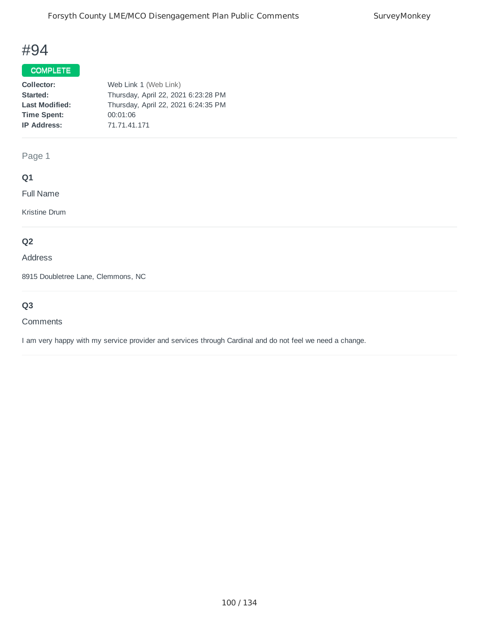## COMPLETE

| Collector:            | Web Link 1 (Web Link)               |
|-----------------------|-------------------------------------|
| Started:              | Thursday, April 22, 2021 6:23:28 PM |
| <b>Last Modified:</b> | Thursday, April 22, 2021 6:24:35 PM |
| <b>Time Spent:</b>    | 00:01:06                            |
| <b>IP Address:</b>    | 71.71.41.171                        |
|                       |                                     |

Page 1

# **Q1**

Full Name

Kristine Drum

# **Q2**

Address

8915 Doubletree Lane, Clemmons, NC

# **Q3**

#### Comments

I am very happy with my service provider and services through Cardinal and do not feel we need a change.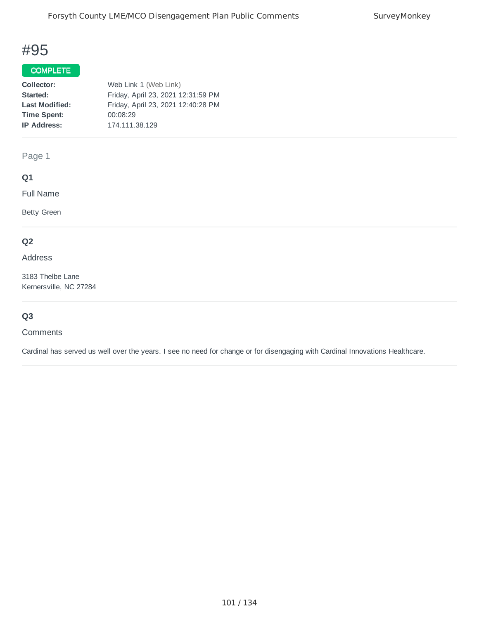# COMPLETE

| Collector:            | Web Link 1 (Web Link)              |
|-----------------------|------------------------------------|
| Started:              | Friday, April 23, 2021 12:31:59 PM |
| <b>Last Modified:</b> | Friday, April 23, 2021 12:40:28 PM |
| <b>Time Spent:</b>    | 00:08:29                           |
| <b>IP Address:</b>    | 174.111.38.129                     |
|                       |                                    |

Page 1

# **Q1**

Full Name

Betty Green

## **Q2**

Address

3183 Thelbe Lane Kernersville, NC 27284

# **Q3**

**Comments** 

Cardinal has served us well over the years. I see no need for change or for disengaging with Cardinal Innovations Healthcare.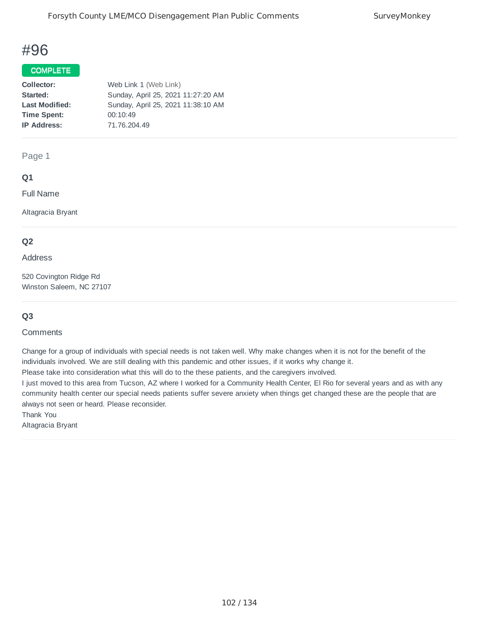### COMPLETE

| Collector:            | Web Link 1 (Web Link)              |
|-----------------------|------------------------------------|
| Started:              | Sunday, April 25, 2021 11:27:20 AM |
| <b>Last Modified:</b> | Sunday, April 25, 2021 11:38:10 AM |
| <b>Time Spent:</b>    | 00:10:49                           |
| <b>IP Address:</b>    | 71.76.204.49                       |
|                       |                                    |

Page 1

## **Q1**

Full Name

Altagracia Bryant

### **Q2**

Address

520 Covington Ridge Rd Winston Saleem, NC 27107

## **Q3**

**Comments** 

Change for a group of individuals with special needs is not taken well. Why make changes when it is not for the benefit of the individuals involved. We are still dealing with this pandemic and other issues, if it works why change it.

Please take into consideration what this will do to the these patients, and the caregivers involved.

I just moved to this area from Tucson, AZ where I worked for a Community Health Center, El Rio for several years and as with any community health center our special needs patients suffer severe anxiety when things get changed these are the people that are always not seen or heard. Please reconsider.

Thank You

Altagracia Bryant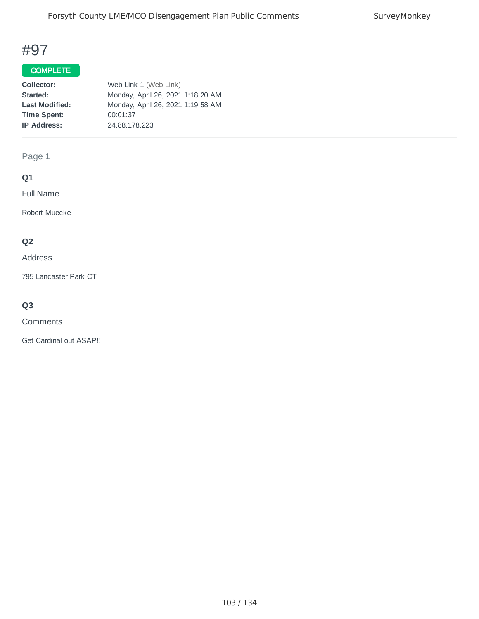## COMPLETE

| Collector:            | Web Link 1 (Web Link)             |
|-----------------------|-----------------------------------|
| Started:              | Monday, April 26, 2021 1:18:20 AM |
| <b>Last Modified:</b> | Monday, April 26, 2021 1:19:58 AM |
| <b>Time Spent:</b>    | 00:01:37                          |
| <b>IP Address:</b>    | 24.88.178.223                     |
|                       |                                   |

Page 1

# **Q1**

Full Name

Robert Muecke

# **Q2**

#### Address

795 Lancaster Park CT

# **Q3**

#### **Comments**

Get Cardinal out ASAP!!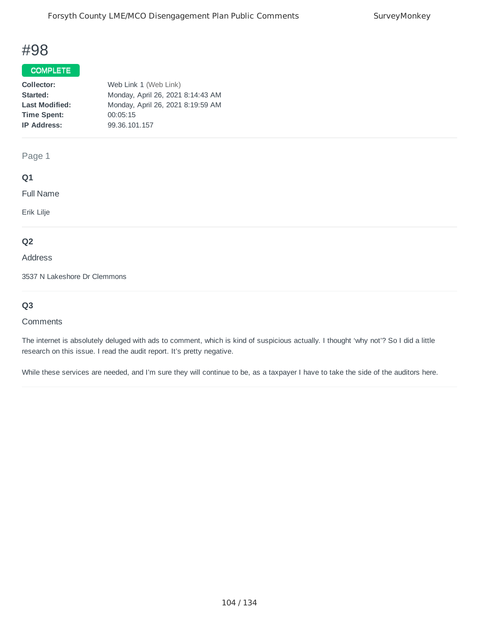## COMPLETE

| Collector:            | Web Link 1 (Web Link)             |
|-----------------------|-----------------------------------|
| Started:              | Monday, April 26, 2021 8:14:43 AM |
| <b>Last Modified:</b> | Monday, April 26, 2021 8:19:59 AM |
| <b>Time Spent:</b>    | 00:05:15                          |
| <b>IP Address:</b>    | 99.36.101.157                     |
|                       |                                   |

### Page 1

### **Q1**

Full Name

Erik Lilje

### **Q2**

#### Address

3537 N Lakeshore Dr Clemmons

# **Q3**

#### **Comments**

The internet is absolutely deluged with ads to comment, which is kind of suspicious actually. I thought 'why not'? So I did a little research on this issue. I read the audit report. It's pretty negative.

While these services are needed, and I'm sure they will continue to be, as a taxpayer I have to take the side of the auditors here.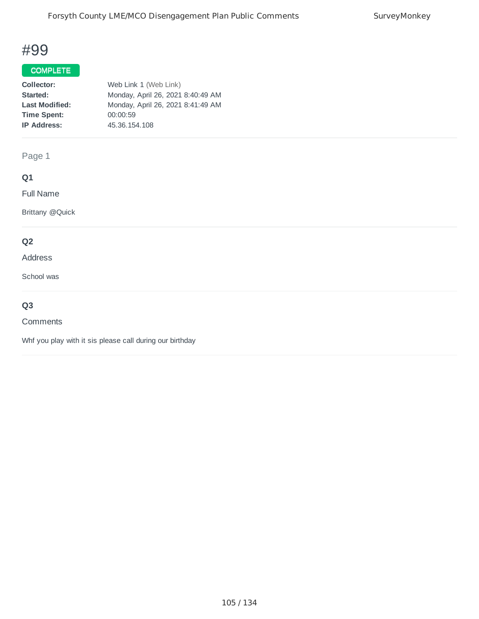## COMPLETE

| Collector:            | Web Link 1 (Web Link)             |
|-----------------------|-----------------------------------|
| Started:              | Monday, April 26, 2021 8:40:49 AM |
| <b>Last Modified:</b> | Monday, April 26, 2021 8:41:49 AM |
| <b>Time Spent:</b>    | 00:00:59                          |
| <b>IP Address:</b>    | 45.36.154.108                     |
|                       |                                   |

Page 1

# **Q1**

Full Name

Brittany @Quick

## **Q2**

#### Address

School was

# **Q3**

#### Comments

Whf you play with it sis please call during our birthday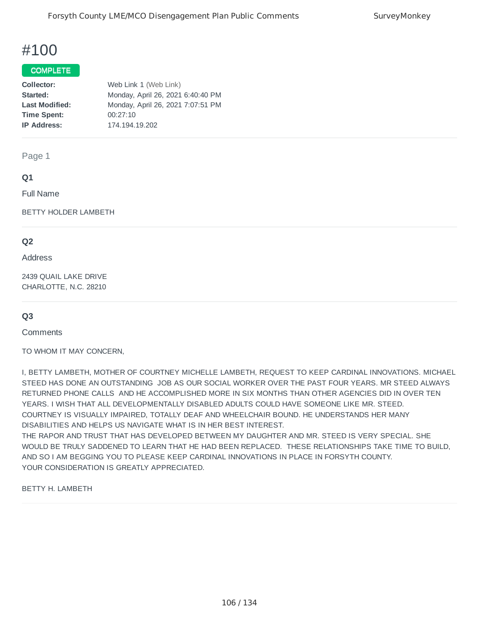#### **COMPLETE**

| Collector:            | Web Link 1 (Web Link)             |
|-----------------------|-----------------------------------|
| Started:              | Monday, April 26, 2021 6:40:40 PM |
| <b>Last Modified:</b> | Monday, April 26, 2021 7:07:51 PM |
| <b>Time Spent:</b>    | 00:27:10                          |
| <b>IP Address:</b>    | 174.194.19.202                    |
|                       |                                   |

Page 1

### **Q1**

Full Name

BETTY HOLDER LAMBETH

### **Q2**

Address

2439 QUAIL LAKE DRIVE CHARLOTTE, N.C. 28210

## **Q3**

**Comments** 

TO WHOM IT MAY CONCERN,

I, BETTY LAMBETH, MOTHER OF COURTNEY MICHELLE LAMBETH, REQUEST TO KEEP CARDINAL INNOVATIONS. MICHAEL STEED HAS DONE AN OUTSTANDING JOB AS OUR SOCIAL WORKER OVER THE PAST FOUR YEARS. MR STEED ALWAYS RETURNED PHONE CALLS AND HE ACCOMPLISHED MORE IN SIX MONTHS THAN OTHER AGENCIES DID IN OVER TEN YEARS. I WISH THAT ALL DEVELOPMENTALLY DISABLED ADULTS COULD HAVE SOMEONE LIKE MR. STEED. COURTNEY IS VISUALLY IMPAIRED, TOTALLY DEAF AND WHEELCHAIR BOUND. HE UNDERSTANDS HER MANY DISABILITIES AND HELPS US NAVIGATE WHAT IS IN HER BEST INTEREST.

THE RAPOR AND TRUST THAT HAS DEVELOPED BETWEEN MY DAUGHTER AND MR. STEED IS VERY SPECIAL. SHE WOULD BE TRULY SADDENED TO LEARN THAT HE HAD BEEN REPLACED. THESE RELATIONSHIPS TAKE TIME TO BUILD, AND SO I AM BEGGING YOU TO PLEASE KEEP CARDINAL INNOVATIONS IN PLACE IN FORSYTH COUNTY. YOUR CONSIDERATION IS GREATLY APPRECIATED.

BETTY H. LAMBETH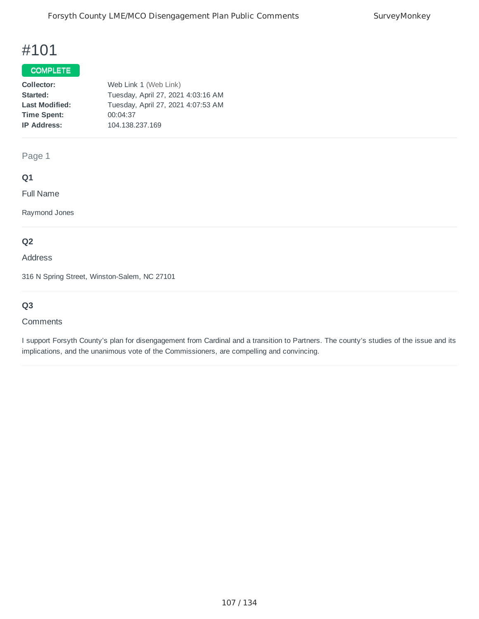## COMPLETE<sup>T</sup>

| Collector:            | Web Link 1 (Web Link)              |
|-----------------------|------------------------------------|
| Started:              | Tuesday, April 27, 2021 4:03:16 AM |
| <b>Last Modified:</b> | Tuesday, April 27, 2021 4:07:53 AM |
| <b>Time Spent:</b>    | 00:04:37                           |
| <b>IP Address:</b>    | 104.138.237.169                    |
|                       |                                    |

Page 1

## **Q1**

Full Name

Raymond Jones

# **Q2**

Address

316 N Spring Street, Winston-Salem, NC 27101

# **Q3**

#### **Comments**

I support Forsyth County's plan for disengagement from Cardinal and a transition to Partners. The county's studies of the issue and its implications, and the unanimous vote of the Commissioners, are compelling and convincing.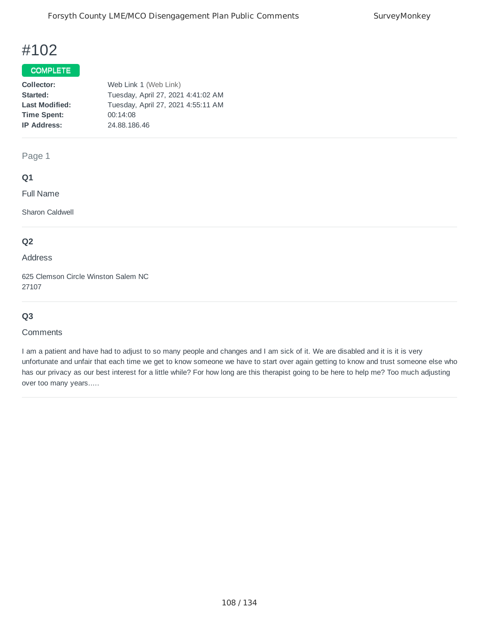## COMPLETE

| Collector:            | Web Link 1 (Web Link)              |
|-----------------------|------------------------------------|
| Started:              | Tuesday, April 27, 2021 4:41:02 AM |
| <b>Last Modified:</b> | Tuesday, April 27, 2021 4:55:11 AM |
| <b>Time Spent:</b>    | 00:14:08                           |
| <b>IP Address:</b>    | 24.88.186.46                       |
|                       |                                    |

Page 1

### **Q1**

Full Name

Sharon Caldwell

## **Q2**

#### Address

625 Clemson Circle Winston Salem NC 27107

# **Q3**

#### **Comments**

I am a patient and have had to adjust to so many people and changes and I am sick of it. We are disabled and it is it is very unfortunate and unfair that each time we get to know someone we have to start over again getting to know and trust someone else who has our privacy as our best interest for a little while? For how long are this therapist going to be here to help me? Too much adjusting over too many years.....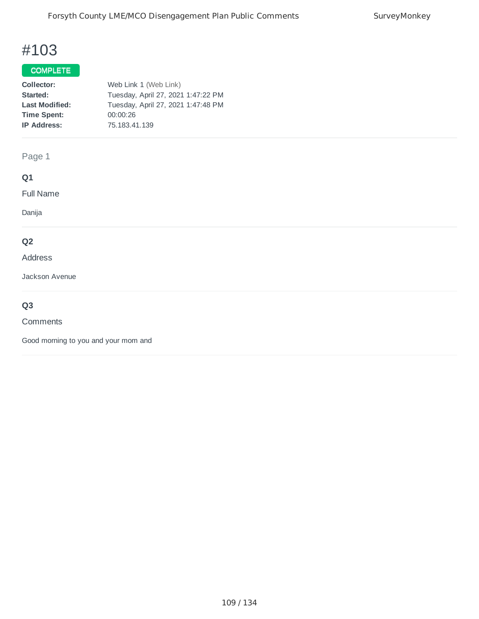## COMPLETE

| Web Link 1 (Web Link)              |
|------------------------------------|
| Tuesday, April 27, 2021 1:47:22 PM |
| Tuesday, April 27, 2021 1:47:48 PM |
| 00:00:26                           |
| 75.183.41.139                      |
|                                    |

## Page 1

## **Q1**

Full Name

Danija

## **Q2**

#### Address

Jackson Avenue

## **Q3**

#### **Comments**

Good morning to you and your mom and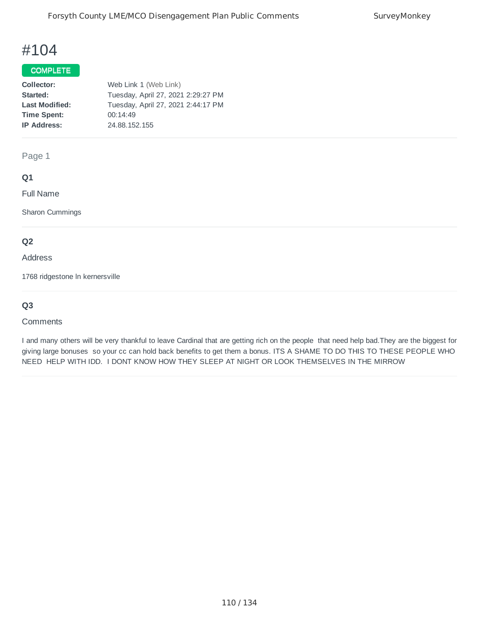### COMPLETE

| Collector:            | Web Link 1 (Web Link)              |
|-----------------------|------------------------------------|
| Started:              | Tuesday, April 27, 2021 2:29:27 PM |
| <b>Last Modified:</b> | Tuesday, April 27, 2021 2:44:17 PM |
| <b>Time Spent:</b>    | 00:14:49                           |
| <b>IP Address:</b>    | 24.88.152.155                      |
|                       |                                    |

Page 1

### **Q1**

Full Name

Sharon Cummings

## **Q2**

#### Address

1768 ridgestone ln kernersville

## **Q3**

#### **Comments**

I and many others will be very thankful to leave Cardinal that are getting rich on the people that need help bad.They are the biggest for giving large bonuses so your cc can hold back benefits to get them a bonus. ITS A SHAME TO DO THIS TO THESE PEOPLE WHO NEED HELP WITH IDD. I DONT KNOW HOW THEY SLEEP AT NIGHT OR LOOK THEMSELVES IN THE MIRROW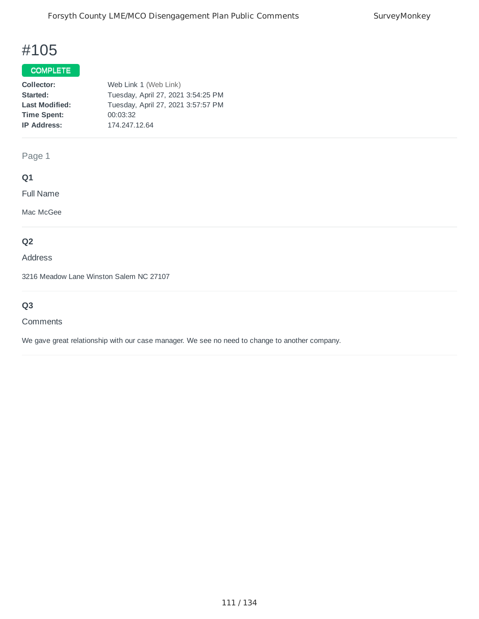## COMPLETE

| Collector:            | Web Link 1 (Web Link)              |
|-----------------------|------------------------------------|
| Started:              | Tuesday, April 27, 2021 3:54:25 PM |
| <b>Last Modified:</b> | Tuesday, April 27, 2021 3:57:57 PM |
| <b>Time Spent:</b>    | 00:03:32                           |
| <b>IP Address:</b>    | 174.247.12.64                      |
|                       |                                    |

Page 1

## **Q1**

Full Name

Mac McGee

## **Q2**

Address

3216 Meadow Lane Winston Salem NC 27107

## **Q3**

#### **Comments**

We gave great relationship with our case manager. We see no need to change to another company.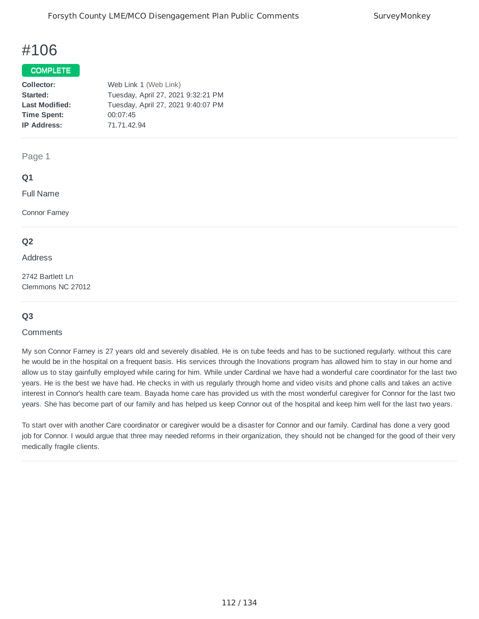#### COMPLETE

| Collector:            | Web Link 1 (Web Link)              |
|-----------------------|------------------------------------|
| Started:              | Tuesday, April 27, 2021 9:32:21 PM |
| <b>Last Modified:</b> | Tuesday, April 27, 2021 9:40:07 PM |
| <b>Time Spent:</b>    | 00:07:45                           |
| <b>IP Address:</b>    | 71.71.42.94                        |
|                       |                                    |

Page 1

#### **Q1**

Full Name

Connor Farney

#### **Q2**

Address

2742 Bartlett Ln Clemmons NC 27012

### **Q3**

#### **Comments**

My son Connor Farney is 27 years old and severely disabled. He is on tube feeds and has to be suctioned regularly. without this care he would be in the hospital on a frequent basis. His services through the Inovations program has allowed him to stay in our home and allow us to stay gainfully employed while caring for him. While under Cardinal we have had a wonderful care coordinator for the last two years. He is the best we have had. He checks in with us regularly through home and video visits and phone calls and takes an active interest in Connor's health care team. Bayada home care has provided us with the most wonderful caregiver for Connor for the last two years. She has become part of our family and has helped us keep Connor out of the hospital and keep him well for the last two years.

To start over with another Care coordinator or caregiver would be a disaster for Connor and our family. Cardinal has done a very good job for Connor. I would argue that three may needed reforms in their organization, they should not be changed for the good of their very medically fragile clients.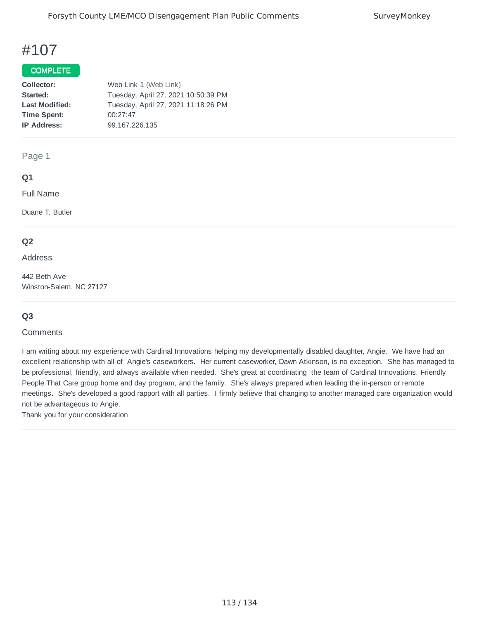#### COMPLETE

| Collector:            | Web Link 1 (Web Link)               |
|-----------------------|-------------------------------------|
| Started:              | Tuesday, April 27, 2021 10:50:39 PM |
| <b>Last Modified:</b> | Tuesday, April 27, 2021 11:18:26 PM |
| <b>Time Spent:</b>    | 00:27:47                            |
| <b>IP Address:</b>    | 99.167.226.135                      |
|                       |                                     |

Page 1

#### **Q1**

Full Name

Duane T. Butler

#### **Q2**

Address

442 Beth Ave Winston-Salem, NC 27127

### **Q3**

#### **Comments**

I am writing about my experience with Cardinal Innovations helping my developmentally disabled daughter, Angie. We have had an excellent relationship with all of Angie's caseworkers. Her current caseworker, Dawn Atkinson, is no exception. She has managed to be professional, friendly, and always available when needed. She's great at coordinating the team of Cardinal Innovations, Friendly People That Care group home and day program, and the family. She's always prepared when leading the in-person or remote meetings. She's developed a good rapport with all parties. I firmly believe that changing to another managed care organization would not be advantageous to Angie.

Thank you for your consideration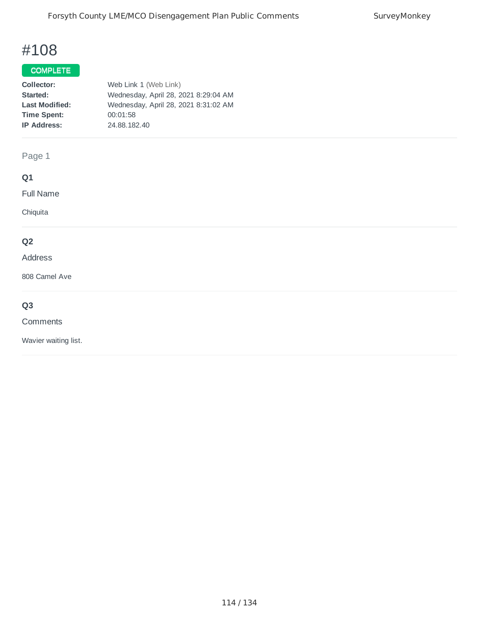## COMPLETE

| Collector:            | Web Link 1 (Web Link)                |
|-----------------------|--------------------------------------|
| Started:              | Wednesday, April 28, 2021 8:29:04 AM |
| <b>Last Modified:</b> | Wednesday, April 28, 2021 8:31:02 AM |
| <b>Time Spent:</b>    | 00:01:58                             |
| <b>IP Address:</b>    | 24.88.182.40                         |
|                       |                                      |

## Page 1

## **Q1**

Full Name

Chiquita

## **Q2**

#### Address

808 Camel Ave

## **Q3**

#### Comments

Wavier waiting list.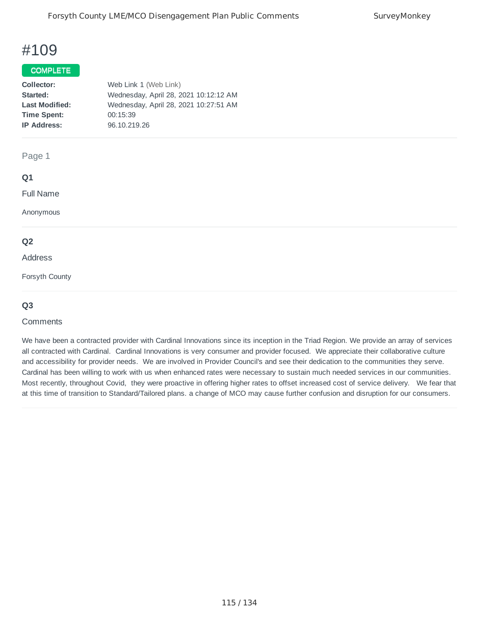#### **COMPLETE**

| Web Link 1 (Web Link)                 |
|---------------------------------------|
| Wednesday, April 28, 2021 10:12:12 AM |
| Wednesday, April 28, 2021 10:27:51 AM |
| 00:15:39                              |
| 96.10.219.26                          |
|                                       |

#### Page 1

### **Q1**

Full Name

Anonymous

#### **Q2**

#### Address

Forsyth County

#### **Q3**

#### **Comments**

We have been a contracted provider with Cardinal Innovations since its inception in the Triad Region. We provide an array of services all contracted with Cardinal. Cardinal Innovations is very consumer and provider focused. We appreciate their collaborative culture and accessibility for provider needs. We are involved in Provider Council's and see their dedication to the communities they serve. Cardinal has been willing to work with us when enhanced rates were necessary to sustain much needed services in our communities. Most recently, throughout Covid, they were proactive in offering higher rates to offset increased cost of service delivery. We fear that at this time of transition to Standard/Tailored plans. a change of MCO may cause further confusion and disruption for our consumers.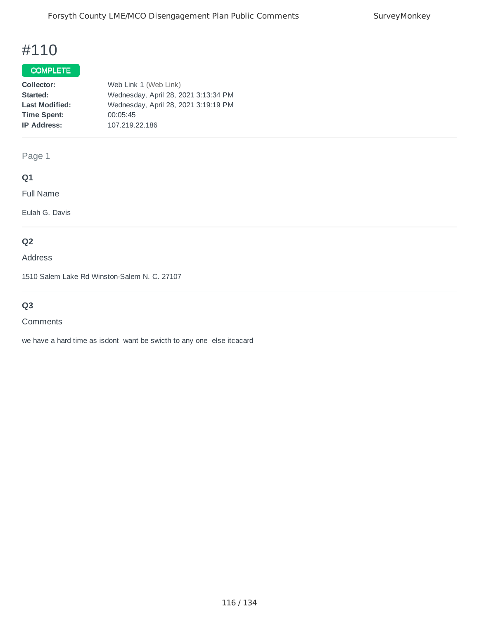## COMPLETE

| Collector:            | Web Link 1 (Web Link)                |
|-----------------------|--------------------------------------|
| Started:              | Wednesday, April 28, 2021 3:13:34 PM |
| <b>Last Modified:</b> | Wednesday, April 28, 2021 3:19:19 PM |
| <b>Time Spent:</b>    | 00:05:45                             |
| <b>IP Address:</b>    | 107.219.22.186                       |
|                       |                                      |

Page 1

## **Q1**

Full Name

Eulah G. Davis

## **Q2**

Address

1510 Salem Lake Rd Winston-Salem N. C. 27107

## **Q3**

#### **Comments**

we have a hard time as isdont want be swicth to any one else itcacard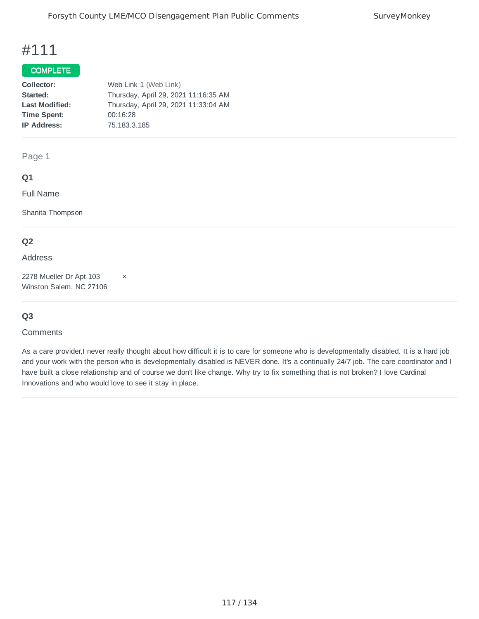## COMPLETE

| Collector:            | Web Link 1 (Web Link)                |
|-----------------------|--------------------------------------|
| Started:              | Thursday, April 29, 2021 11:16:35 AM |
| <b>Last Modified:</b> | Thursday, April 29, 2021 11:33:04 AM |
| <b>Time Spent:</b>    | 00:16:28                             |
| <b>IP Address:</b>    | 75.183.3.185                         |
|                       |                                      |

Page 1

### **Q1**

Full Name

Shanita Thompson

### **Q2**

#### Address

2278 Mueller Dr Apt 103  $\times$ Winston Salem, NC 27106

### **Q3**

#### **Comments**

As a care provider,I never really thought about how difficult it is to care for someone who is developmentally disabled. It is a hard job and your work with the person who is developmentally disabled is NEVER done. It's a continually 24/7 job. The care coordinator and I have built a close relationship and of course we don't like change. Why try to fix something that is not broken? I love Cardinal Innovations and who would love to see it stay in place.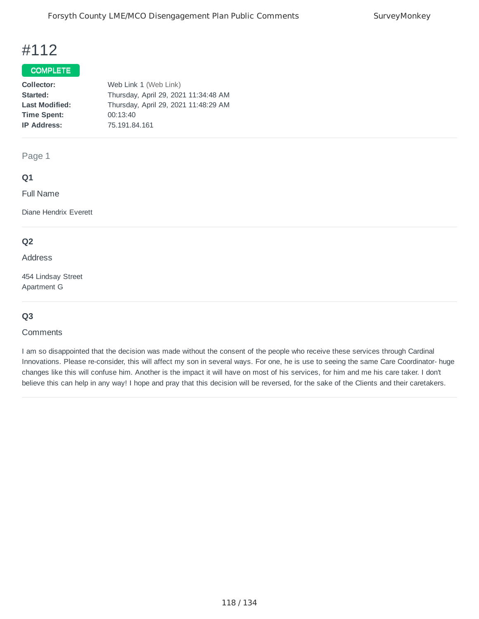## COMPLETE

| Collector:            | Web Link 1 (Web Link)                |
|-----------------------|--------------------------------------|
| Started:              | Thursday, April 29, 2021 11:34:48 AM |
| <b>Last Modified:</b> | Thursday, April 29, 2021 11:48:29 AM |
| <b>Time Spent:</b>    | 00:13:40                             |
| <b>IP Address:</b>    | 75.191.84.161                        |
|                       |                                      |

#### Page 1

### **Q1**

Full Name

Diane Hendrix Everett

#### **Q2**

Address

454 Lindsay Street Apartment G

### **Q3**

#### **Comments**

I am so disappointed that the decision was made without the consent of the people who receive these services through Cardinal Innovations. Please re-consider, this will affect my son in several ways. For one, he is use to seeing the same Care Coordinator- huge changes like this will confuse him. Another is the impact it will have on most of his services, for him and me his care taker. I don't believe this can help in any way! I hope and pray that this decision will be reversed, for the sake of the Clients and their caretakers.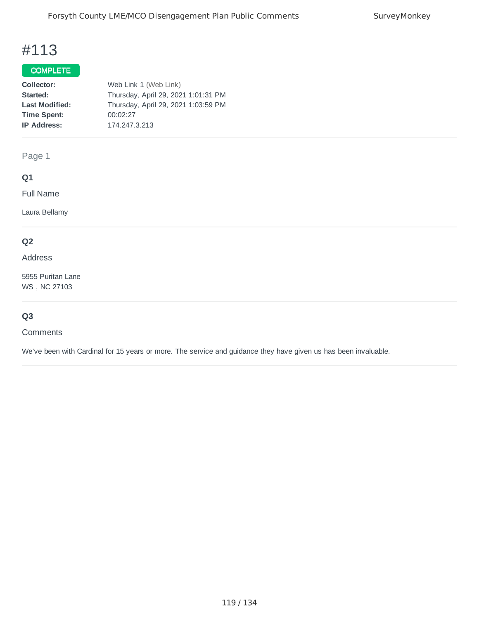## COMPLETE

| Collector:            | Web Link 1 (Web Link)               |
|-----------------------|-------------------------------------|
| Started:              | Thursday, April 29, 2021 1:01:31 PM |
| <b>Last Modified:</b> | Thursday, April 29, 2021 1:03:59 PM |
| <b>Time Spent:</b>    | 00:02:27                            |
| <b>IP Address:</b>    | 174.247.3.213                       |
|                       |                                     |

Page 1

## **Q1**

Full Name

Laura Bellamy

## **Q2**

Address

5955 Puritan Lane WS , NC 27103

## **Q3**

**Comments** 

We've been with Cardinal for 15 years or more. The service and guidance they have given us has been invaluable.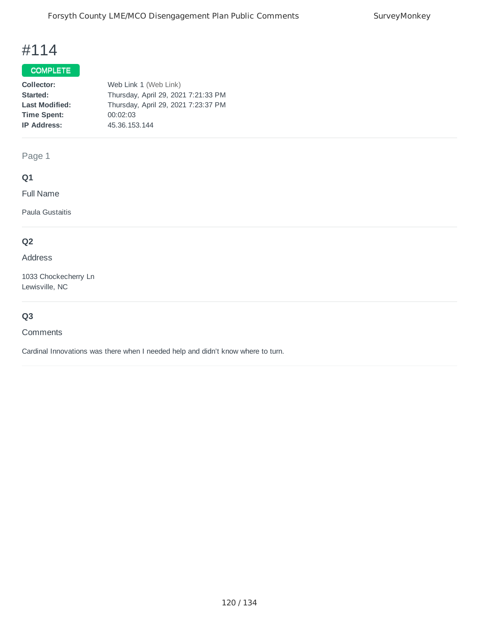## COMPLETE

| Collector:            | Web Link 1 (Web Link)               |
|-----------------------|-------------------------------------|
| Started:              | Thursday, April 29, 2021 7:21:33 PM |
| <b>Last Modified:</b> | Thursday, April 29, 2021 7:23:37 PM |
| <b>Time Spent:</b>    | 00:02:03                            |
| <b>IP Address:</b>    | 45.36.153.144                       |
|                       |                                     |

Page 1

## **Q1**

Full Name

Paula Gustaitis

## **Q2**

#### Address

1033 Chockecherry Ln Lewisville, NC

## **Q3**

**Comments** 

Cardinal Innovations was there when I needed help and didn't know where to turn.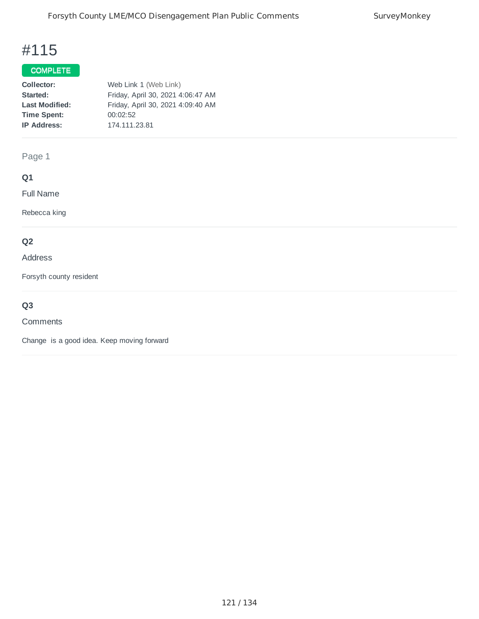## COMPLETE

| Collector:            | Web Link 1 (Web Link)             |
|-----------------------|-----------------------------------|
| Started:              | Friday, April 30, 2021 4:06:47 AM |
| <b>Last Modified:</b> | Friday, April 30, 2021 4:09:40 AM |
| <b>Time Spent:</b>    | 00:02:52                          |
| <b>IP Address:</b>    | 174.111.23.81                     |
|                       |                                   |

Page 1

## **Q1**

Full Name

Rebecca king

## **Q2**

#### Address

Forsyth county resident

## **Q3**

#### Comments

Change is a good idea. Keep moving forward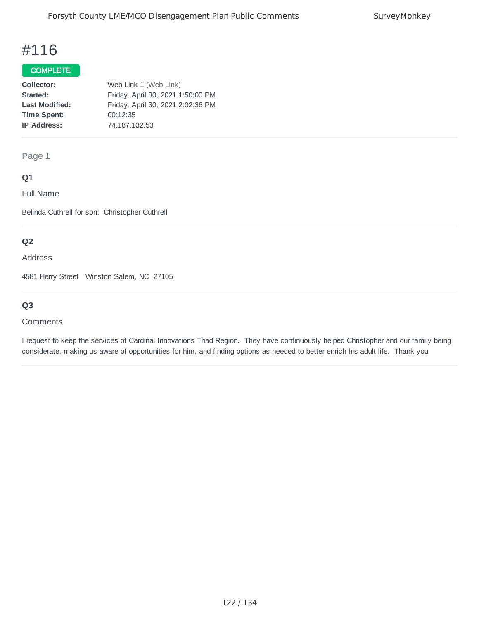## COMPLETE

| Collector:            | Web Link 1 (Web Link)             |
|-----------------------|-----------------------------------|
| Started:              | Friday, April 30, 2021 1:50:00 PM |
| <b>Last Modified:</b> | Friday, April 30, 2021 2:02:36 PM |
| <b>Time Spent:</b>    | 00:12:35                          |
| <b>IP Address:</b>    | 74.187.132.53                     |
|                       |                                   |

Page 1

### **Q1**

Full Name

Belinda Cuthrell for son: Christopher Cuthrell

## **Q2**

Address

4581 Herry Street Winston Salem, NC 27105

## **Q3**

#### **Comments**

I request to keep the services of Cardinal Innovations Triad Region. They have continuously helped Christopher and our family being considerate, making us aware of opportunities for him, and finding options as needed to better enrich his adult life. Thank you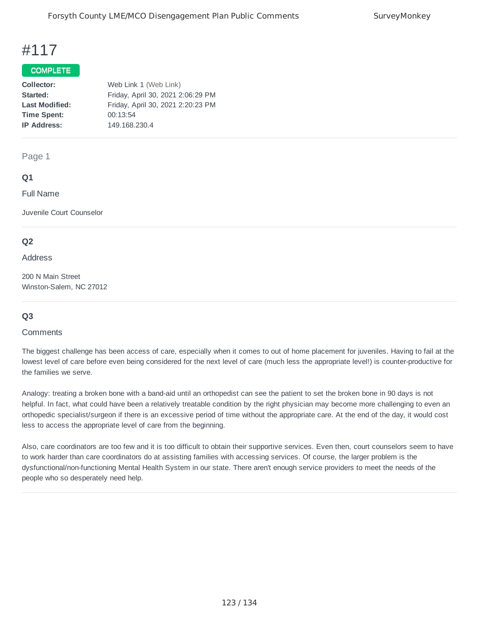#### COMPLETE

| Collector:            | Web Link 1 (Web Link)             |
|-----------------------|-----------------------------------|
| Started:              | Friday, April 30, 2021 2:06:29 PM |
| <b>Last Modified:</b> | Friday, April 30, 2021 2:20:23 PM |
| <b>Time Spent:</b>    | 00:13:54                          |
| <b>IP Address:</b>    | 149.168.230.4                     |
|                       |                                   |

#### Page 1

#### **Q1**

Full Name

Juvenile Court Counselor

#### **Q2**

Address

200 N Main Street Winston-Salem, NC 27012

### **Q3**

#### **Comments**

The biggest challenge has been access of care, especially when it comes to out of home placement for juveniles. Having to fail at the lowest level of care before even being considered for the next level of care (much less the appropriate level!) is counter-productive for the families we serve.

Analogy: treating a broken bone with a band-aid until an orthopedist can see the patient to set the broken bone in 90 days is not helpful. In fact, what could have been a relatively treatable condition by the right physician may become more challenging to even an orthopedic specialist/surgeon if there is an excessive period of time without the appropriate care. At the end of the day, it would cost less to access the appropriate level of care from the beginning.

Also, care coordinators are too few and it is too difficult to obtain their supportive services. Even then, court counselors seem to have to work harder than care coordinators do at assisting families with accessing services. Of course, the larger problem is the dysfunctional/non-functioning Mental Health System in our state. There aren't enough service providers to meet the needs of the people who so desperately need help.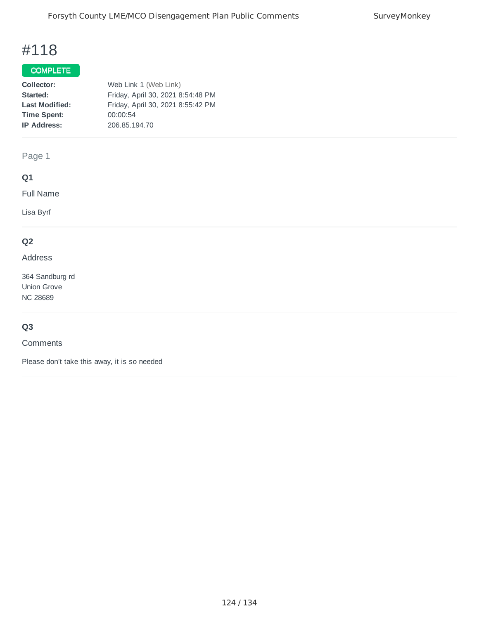## COMPLETE

| Collector:            | Web Link 1 (Web Link)             |
|-----------------------|-----------------------------------|
| Started:              | Friday, April 30, 2021 8:54:48 PM |
| <b>Last Modified:</b> | Friday, April 30, 2021 8:55:42 PM |
| <b>Time Spent:</b>    | 00:00:54                          |
| <b>IP Address:</b>    | 206.85.194.70                     |
|                       |                                   |

Page 1

## **Q1**

Full Name

Lisa Byrf

## **Q2**

Address

364 Sandburg rd Union Grove NC 28689

## **Q3**

**Comments** 

Please don't take this away, it is so needed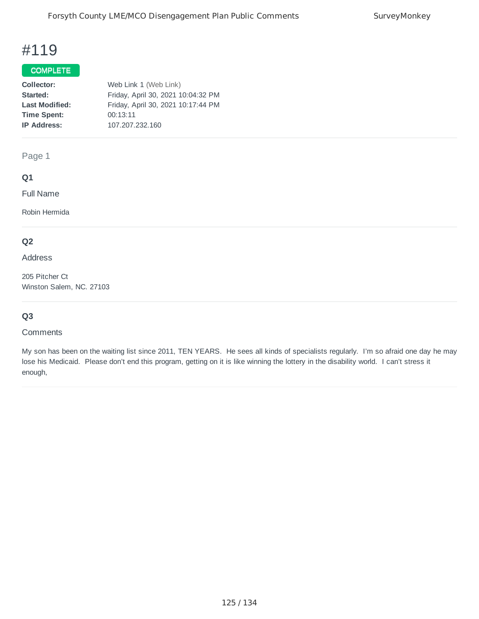## COMPLETE

| Collector:            | Web Link 1 (Web Link)              |
|-----------------------|------------------------------------|
| Started:              | Friday, April 30, 2021 10:04:32 PM |
| <b>Last Modified:</b> | Friday, April 30, 2021 10:17:44 PM |
| <b>Time Spent:</b>    | 00:13:11                           |
| <b>IP Address:</b>    | 107.207.232.160                    |
|                       |                                    |

Page 1

### **Q1**

Full Name

Robin Hermida

## **Q2**

Address

205 Pitcher Ct Winston Salem, NC. 27103

## **Q3**

#### **Comments**

My son has been on the waiting list since 2011, TEN YEARS. He sees all kinds of specialists regularly. I'm so afraid one day he may lose his Medicaid. Please don't end this program, getting on it is like winning the lottery in the disability world. I can't stress it enough,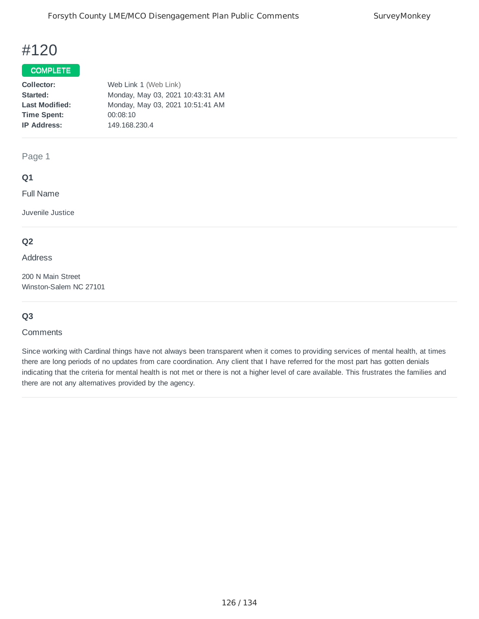## COMPLETE

| Monday, May 03, 2021 10:43:31 AM<br>Started:              |
|-----------------------------------------------------------|
|                                                           |
| Monday, May 03, 2021 10:51:41 AM<br><b>Last Modified:</b> |
| 00:08:10<br><b>Time Spent:</b>                            |
| 149.168.230.4<br><b>IP Address:</b>                       |

Page 1

### **Q1**

Full Name

Juvenile Justice

### **Q2**

Address

200 N Main Street Winston-Salem NC 27101

### **Q3**

#### **Comments**

Since working with Cardinal things have not always been transparent when it comes to providing services of mental health, at times there are long periods of no updates from care coordination. Any client that I have referred for the most part has gotten denials indicating that the criteria for mental health is not met or there is not a higher level of care available. This frustrates the families and there are not any alternatives provided by the agency.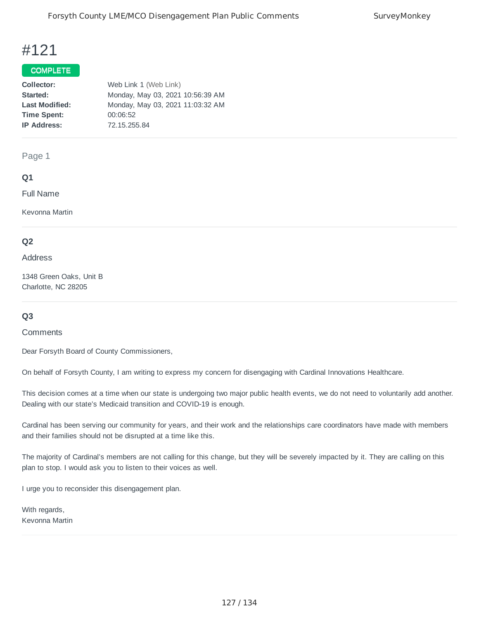#### COMPLETE

| Collector:            | Web Link 1 (Web Link)            |
|-----------------------|----------------------------------|
| Started:              | Monday, May 03, 2021 10:56:39 AM |
| <b>Last Modified:</b> | Monday, May 03, 2021 11:03:32 AM |
| <b>Time Spent:</b>    | 00:06:52                         |
| <b>IP Address:</b>    | 72.15.255.84                     |
|                       |                                  |

Page 1

#### **Q1**

Full Name

Kevonna Martin

#### **Q2**

#### Address

1348 Green Oaks, Unit B Charlotte, NC 28205

### **Q3**

#### **Comments**

Dear Forsyth Board of County Commissioners,

On behalf of Forsyth County, I am writing to express my concern for disengaging with Cardinal Innovations Healthcare.

This decision comes at a time when our state is undergoing two major public health events, we do not need to voluntarily add another. Dealing with our state's Medicaid transition and COVID-19 is enough.

Cardinal has been serving our community for years, and their work and the relationships care coordinators have made with members and their families should not be disrupted at a time like this.

The majority of Cardinal's members are not calling for this change, but they will be severely impacted by it. They are calling on this plan to stop. I would ask you to listen to their voices as well.

I urge you to reconsider this disengagement plan.

With regards, Kevonna Martin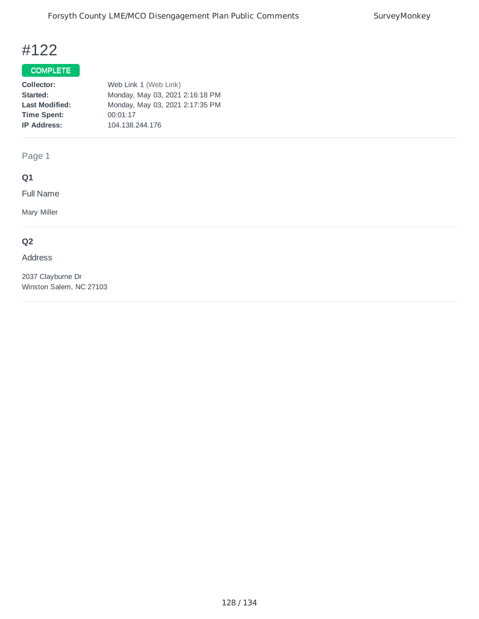## COMPLETE

| Web Link 1 (Web Link)           |
|---------------------------------|
| Monday, May 03, 2021 2:16:18 PM |
| Monday, May 03, 2021 2:17:35 PM |
| 00:01:17                        |
| 104.138.244.176                 |
|                                 |

Page 1

## **Q1**

Full Name

Mary Miller

## **Q2**

### Address

2037 Clayburne Dr Winston Salem, NC 27103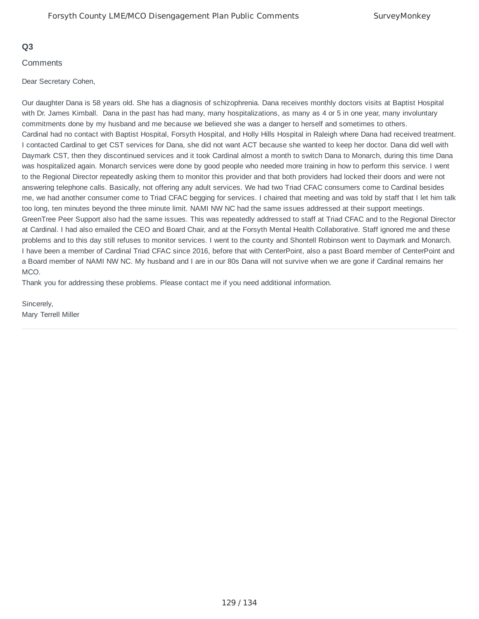#### **Q3**

#### **Comments**

#### Dear Secretary Cohen,

Our daughter Dana is 58 years old. She has a diagnosis of schizophrenia. Dana receives monthly doctors visits at Baptist Hospital with Dr. James Kimball. Dana in the past has had many, many hospitalizations, as many as 4 or 5 in one year, many involuntary commitments done by my husband and me because we believed she was a danger to herself and sometimes to others. Cardinal had no contact with Baptist Hospital, Forsyth Hospital, and Holly Hills Hospital in Raleigh where Dana had received treatment. I contacted Cardinal to get CST services for Dana, she did not want ACT because she wanted to keep her doctor. Dana did well with Daymark CST, then they discontinued services and it took Cardinal almost a month to switch Dana to Monarch, during this time Dana was hospitalized again. Monarch services were done by good people who needed more training in how to perform this service. I went to the Regional Director repeatedly asking them to monitor this provider and that both providers had locked their doors and were not answering telephone calls. Basically, not offering any adult services. We had two Triad CFAC consumers come to Cardinal besides me, we had another consumer come to Triad CFAC begging for services. I chaired that meeting and was told by staff that I let him talk too long, ten minutes beyond the three minute limit. NAMI NW NC had the same issues addressed at their support meetings. GreenTree Peer Support also had the same issues. This was repeatedly addressed to staff at Triad CFAC and to the Regional Director at Cardinal. I had also emailed the CEO and Board Chair, and at the Forsyth Mental Health Collaborative. Staff ignored me and these problems and to this day still refuses to monitor services. I went to the county and Shontell Robinson went to Daymark and Monarch. I have been a member of Cardinal Triad CFAC since 2016, before that with CenterPoint, also a past Board member of CenterPoint and a Board member of NAMI NW NC. My husband and I are in our 80s Dana will not survive when we are gone if Cardinal remains her MCO.

Thank you for addressing these problems. Please contact me if you need additional information.

Sincerely, Mary Terrell Miller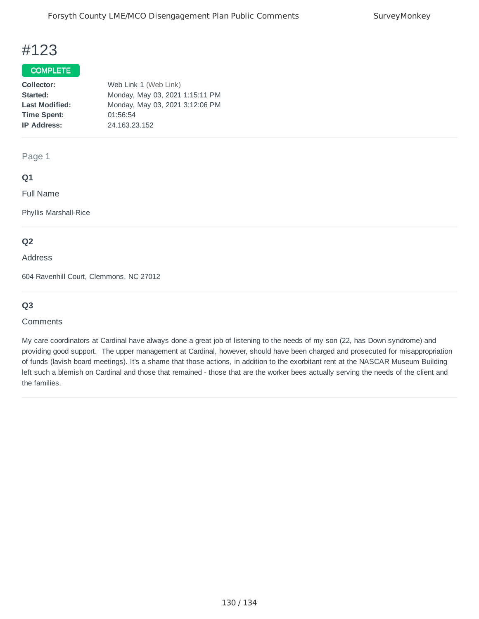## COMPLETE

| Collector:            | Web Link 1 (Web Link)           |
|-----------------------|---------------------------------|
| Started:              | Monday, May 03, 2021 1:15:11 PM |
| <b>Last Modified:</b> | Monday, May 03, 2021 3:12:06 PM |
| <b>Time Spent:</b>    | 01:56:54                        |
| <b>IP Address:</b>    | 24.163.23.152                   |
|                       |                                 |

Page 1

### **Q1**

Full Name

Phyllis Marshall-Rice

### **Q2**

Address

604 Ravenhill Court, Clemmons, NC 27012

## **Q3**

#### **Comments**

My care coordinators at Cardinal have always done a great job of listening to the needs of my son (22, has Down syndrome) and providing good support. The upper management at Cardinal, however, should have been charged and prosecuted for misappropriation of funds (lavish board meetings). It's a shame that those actions, in addition to the exorbitant rent at the NASCAR Museum Building left such a blemish on Cardinal and those that remained - those that are the worker bees actually serving the needs of the client and the families.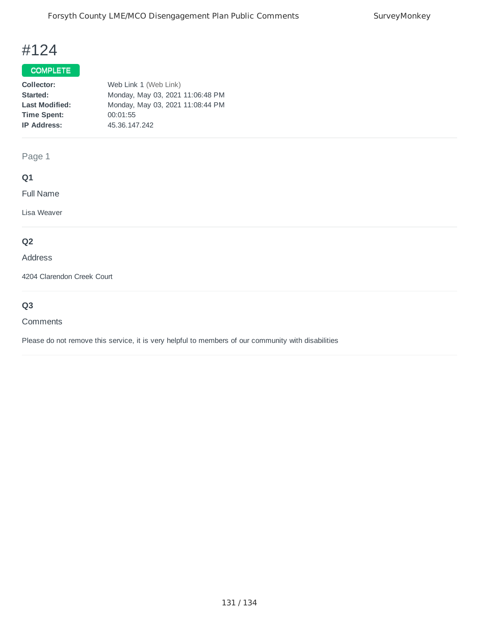## COMPLETE

| Collector:            | Web Link 1 (Web Link)            |
|-----------------------|----------------------------------|
| Started:              | Monday, May 03, 2021 11:06:48 PM |
| <b>Last Modified:</b> | Monday, May 03, 2021 11:08:44 PM |
| <b>Time Spent:</b>    | 00:01:55                         |
| <b>IP Address:</b>    | 45.36.147.242                    |

Page 1

## **Q1**

Full Name

Lisa Weaver

## **Q2**

Address

4204 Clarendon Creek Court

## **Q3**

#### **Comments**

Please do not remove this service, it is very helpful to members of our community with disabilities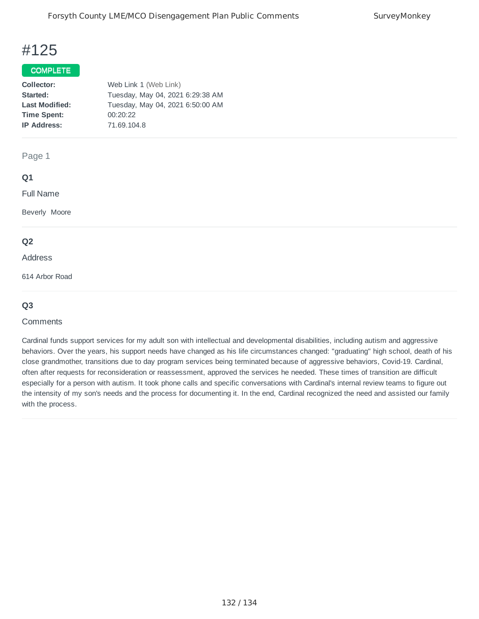#### COMPLETE

| Web Link 1 (Web Link)            |
|----------------------------------|
| Tuesday, May 04, 2021 6:29:38 AM |
| Tuesday, May 04, 2021 6:50:00 AM |
| 00:20:22                         |
| 71.69.104.8                      |
|                                  |

Page 1

#### **Q1**

Full Name

Beverly Moore

#### **Q2**

Address

614 Arbor Road

#### **Q3**

#### **Comments**

Cardinal funds support services for my adult son with intellectual and developmental disabilities, including autism and aggressive behaviors. Over the years, his support needs have changed as his life circumstances changed: "graduating" high school, death of his close grandmother, transitions due to day program services being terminated because of aggressive behaviors, Covid-19. Cardinal, often after requests for reconsideration or reassessment, approved the services he needed. These times of transition are difficult especially for a person with autism. It took phone calls and specific conversations with Cardinal's internal review teams to figure out the intensity of my son's needs and the process for documenting it. In the end, Cardinal recognized the need and assisted our family with the process.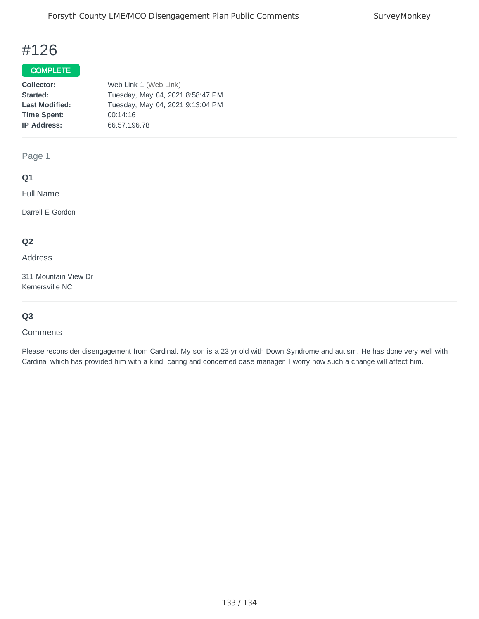## COMPLETE

| Collector:            | Web Link 1 (Web Link)            |
|-----------------------|----------------------------------|
| Started:              | Tuesday, May 04, 2021 8:58:47 PM |
| <b>Last Modified:</b> | Tuesday, May 04, 2021 9:13:04 PM |
| <b>Time Spent:</b>    | 00:14:16                         |
| <b>IP Address:</b>    | 66.57.196.78                     |
|                       |                                  |

Page 1

### **Q1**

Full Name

Darrell E Gordon

## **Q2**

Address

311 Mountain View Dr Kernersville NC

## **Q3**

#### **Comments**

Please reconsider disengagement from Cardinal. My son is a 23 yr old with Down Syndrome and autism. He has done very well with Cardinal which has provided him with a kind, caring and concerned case manager. I worry how such a change will affect him.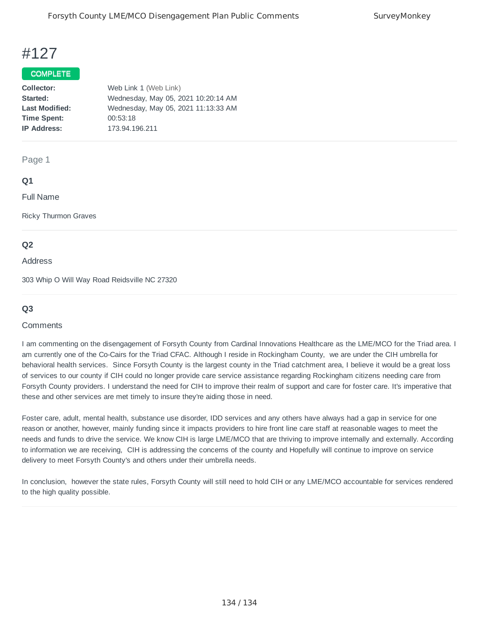#### COMPLETE

| Web Link 1 (Web Link)               |
|-------------------------------------|
| Wednesday, May 05, 2021 10:20:14 AM |
| Wednesday, May 05, 2021 11:13:33 AM |
| 00:53:18                            |
| 173.94.196.211                      |
|                                     |

#### Page 1

### **Q1**

Full Name

Ricky Thurmon Graves

### **Q2**

Address

303 Whip O Will Way Road Reidsville NC 27320

#### **Q3**

#### **Comments**

I am commenting on the disengagement of Forsyth County from Cardinal Innovations Healthcare as the LME/MCO for the Triad area. I am currently one of the Co-Cairs for the Triad CFAC. Although I reside in Rockingham County, we are under the CIH umbrella for behavioral health services. Since Forsyth County is the largest county in the Triad catchment area, I believe it would be a great loss of services to our county if CIH could no longer provide care service assistance regarding Rockingham citizens needing care from Forsyth County providers. I understand the need for CIH to improve their realm of support and care for foster care. It's imperative that these and other services are met timely to insure they're aiding those in need.

Foster care, adult, mental health, substance use disorder, IDD services and any others have always had a gap in service for one reason or another, however, mainly funding since it impacts providers to hire front line care staff at reasonable wages to meet the needs and funds to drive the service. We know CIH is large LME/MCO that are thriving to improve internally and externally. According to information we are receiving, CIH is addressing the concerns of the county and Hopefully will continue to improve on service delivery to meet Forsyth County's and others under their umbrella needs.

In conclusion, however the state rules, Forsyth County will still need to hold CIH or any LME/MCO accountable for services rendered to the high quality possible.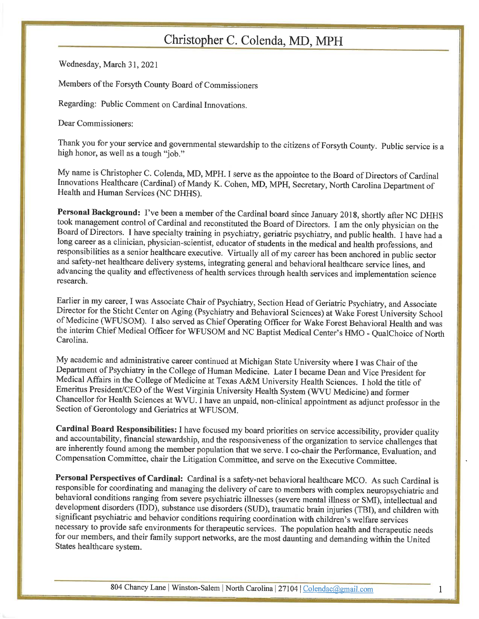Wednesday, March 31, 2021

Members of the Forsyth County Board of Commissioners

Regarding: Public Comment on Cardinal Innovations.

Dear Commissioners:

Thank you for your service and governmental stewardship to the citizens of Forsyth County. Public service is a high honor, as well as a tough "job."

My name is Christopher C. Colenda, MD, MPH. I serve as the appointee to the Board of Directors of Cardinal Innovations Healthcare (Cardinal) of Mandy K. Cohen, MD, MPH, Secretary, North Carolina Department of Health and Human Services (NC DHHS).

Personal Background: I've been a member of the Cardinal board since January 2018, shortly after NC DHHS took management control of Cardinal and reconstituted the Board of Directors. I am the only physician on the Board of Directors. I have specialty training in psychiatry, geriatric psychiatry, and public health. I have had a long career as a clinician, physician-scientist, educator of students in the medical and health professions, and responsibilities as a senior healthcare executive. Virtually all of my career has been anchored in public sector and safety-net healthcare delivery systems, integrating general and behavioral healthcare service lines, and advancing the quality and effectiveness of health services through health services and implementation science research.

Earlier in my career, I was Associate Chair of Psychiatry, Section Head of Geriatric Psychiatry, and Associate Director for the Sticht Center on Aging (Psychiatry and Behavioral Sciences) at Wake Forest University School of Medicine (WFUSOM). I also served as Chief Operating Officer for Wake Forest Behavioral Health and was the interim Chief Medical Officer for WFUSOM and NC Baptist Medical Center's HMO - QualChoice of North Carolina.

My academic and administrative career continued at Michigan State University where I was Chair of the Department of Psychiatry in the College of Human Medicine. Later I became Dean and Vice President for Medical Affairs in the College of Medicine at Texas A&M University Health Sciences. I hold the title of Emeritus President/CEO of the West Virginia University Health System (WVU Medicine) and former Chancellor for Health Sciences at WVU. I have an unpaid, non-clinical appointment as adjunct professor in the Section of Gerontology and Geriatrics at WFUSOM.

Cardinal Board Responsibilities: I have focused my board priorities on service accessibility, provider quality and accountability, financial stewardship, and the responsiveness of the organization to service challenges that are inherently found among the member population that we serve. I co-chair the Performance, Evaluation, and Compensation Committee, chair the Litigation Committee, and serve on the Executive Committee.

Personal Perspectives of Cardinal: Cardinal is a safety-net behavioral healthcare MCO. As such Cardinal is responsible for coordinating and managing the delivery of care to members with complex neuropsychiatric and behavioral conditions ranging from severe psychiatric illnesses (severe mental illness or SMI), intellectual and development disorders (IDD), substance use disorders (SUD), traumatic brain injuries (TBI), and children with significant psychiatric and behavior conditions requiring coordination with children's welfare services necessary to provide safe environments for therapeutic services. The population health and therapeutic needs for our members, and their family support networks, are the most daunting and demanding within the United States healthcare system.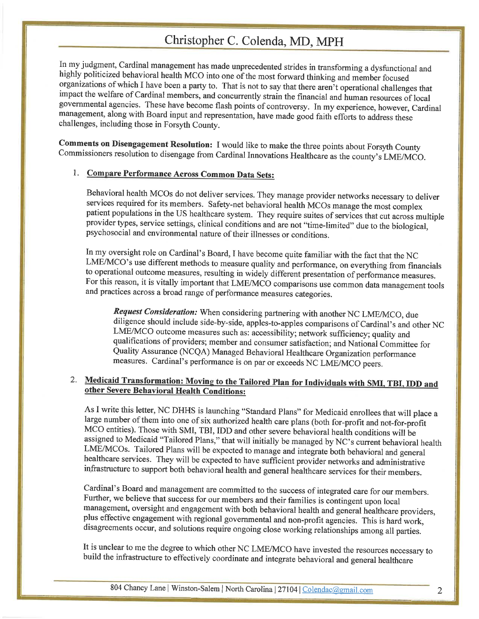In my judgment, Cardinal management has made unprecedented strides in transforming a dysfunctional and highly politicized behavioral health MCO into one of the most forward thinking and member focused organizations of which I have been a party to. That is not to say that there aren't operational challenges that impact the welfare of Cardinal members, and concurrently strain the financial and human resources of local governmental agencies. These have become flash points of controversy. In my experience, however, Cardinal management, along with Board input and representation, have made good faith efforts to address these challenges, including those in Forsyth County.

Comments on Disengagement Resolution: I would like to make the three points about Forsyth County Commissioners resolution to disengage from Cardinal Innovations Healthcare as the county's LME/MCO.

### 1. Compare Performance Across Common Data Sets:

Behavioral health MCOs do not deliver services. They manage provider networks necessary to deliver services required for its members. Safety-net behavioral health MCOs manage the most complex patient populations in the US healthcare system. They require suites of services that cut across multiple provider types, service settings, clinical conditions and are not "time-limited" due to the biological, psychosocial and environmental nature of their illnesses or conditions.

In my oversight role on Cardinal's Board, I have become quite familiar with the fact that the NC LME/MCO's use different methods to measure quality and performance, on everything from financials to operational outcome measures, resulting in widely different presentation of performance measures. For this reason, it is vitally important that LME/MCO comparisons use common data management tools and practices across a broad range of performance measures categories.

Request Consideration: When considering partnering with another NC LME/MCO, due diligence should include side-by-side, apples-to-apples comparisons of Cardinal's and other NC LME/MCO outcome measures such as: accessibility; network sufficiency; quality and qualifications of providers; member and consumer satisfaction; and National Committee for Quality Assurance (NCQA) Managed Behavioral Healthcare Organization performance measures. Cardinal's performance is on par or exceeds NC LME/MCO peers.

## 2. Medicaid Transformation: Moving to the Tailored Plan for Individuals with SMI, TBI, IDD and other Severe Behavioral Health Conditions:

As I write this letter, NC DHHS is launching "Standard Plans" for Medicaid enrollees that will place a large number of them into one of six authorized health care plans (both for-profit and not-for-profit MCO entities). Those with SMI, TBI, IDD and other severe behavioral health conditions will be assigned to Medicaid "Tailored Plans," that will initially be managed by NC's current behavioral health LME/MCOs. Tailored Plans will be expected to manage and integrate both behavioral and general healthcare services. They will be expected to have sufficient provider networks and administrative infrastructure to support both behavioral health and general healthcare services for their members.

Cardinal's Board and management are committed to the success of integrated care for our members. Further, we believe that success for our members and their families is contingent upon local management, oversight and engagement with both behavioral health and general healthcare providers, plus effective engagement with regional governmental and non-profit agencies. This is hard work, disagreements occur, and solutions require ongoing close working relationships among all parties.

It is unclear to me the degree to which other NC LME/MCO have invested the resources necessary to build the infrastructure to effectively coordinate and integrate behavioral and general healthcare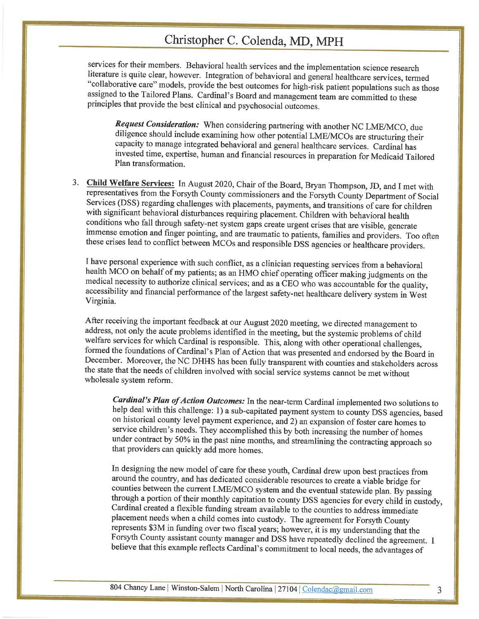services for their members. Behavioral health services and the implementation science research literature is quite clear, however. Integration of behavioral and general healthcare services, termed "collaborative care" models, provide the best outcomes for high-risk patient populations such as those assigned to the Tailored Plans. Cardinal's Board and management team are committed to these principles that provide the best clinical and psychosocial outcomes.

Request Consideration: When considering partnering with another NC LME/MCO, due diligence should include examining how other potential LME/MCOs are structuring their capacity to manage integrated behavioral and general healthcare services. Cardinal has invested time, expertise, human and financial resources in preparation for Medicaid Tailored Plan transformation.

3. Child Welfare Services: In August 2020, Chair of the Board, Bryan Thompson, JD, and I met with representatives from the Forsyth County commissioners and the Forsyth County Department of Social Services (DSS) regarding challenges with placements, payments, and transitions of care for children with significant behavioral disturbances requiring placement. Children with behavioral health conditions who fall through safety-net system gaps create urgent crises that are visible, generate immense emotion and finger pointing, and are traumatic to patients, families and providers. Too often these crises lead to conflict between MCOs and responsible DSS agencies or healthcare providers.

I have personal experience with such conflict, as a clinician requesting services from a behavioral health MCO on behalf of my patients; as an HMO chief operating officer making judgments on the medical necessity to authorize clinical services; and as a CEO who was accountable for the quality, accessibility and financial performance of the largest safety-net healthcare delivery system in West Virginia.

After receiving the important feedback at our August 2020 meeting, we directed management to address, not only the acute problems identified in the meeting, but the systemic problems of child welfare services for which Cardinal is responsible. This, along with other operational challenges, formed the foundations of Cardinal's Plan of Action that was presented and endorsed by the Board in December. Moreover, the NC DHHS has been fully transparent with counties and stakeholders across the state that the needs of children involved with social service systems cannot be met without wholesale system reform.

Cardinal's Plan of Action Outcomes: In the near-term Cardinal implemented two solutions to help deal with this challenge: 1) a sub-capitated payment system to county DSS agencies, based on historical county level payment experience, and 2) an expansion of foster care homes to service children's needs. They accomplished this by both increasing the number of homes under contract by 50% in the past nine months, and streamlining the contracting approach so that providers can quickly add more homes.

In designing the new model of care for these youth, Cardinal drew upon best practices from around the country, and has dedicated considerable resources to create a viable bridge for counties between the current LME/MCO system and the eventual statewide plan. By passing through a portion of their monthly capitation to county DSS agencies for every child in custody, Cardinal created a flexible funding stream available to the counties to address immediate placement needs when a child comes into custody. The agreement for Forsyth County represents \$3M in funding over two fiscal years; however, it is my understanding that the Forsyth County assistant county manager and DSS have repeatedly declined the agreement. I believe that this example reflects Cardinal's commitment to local needs, the advantages of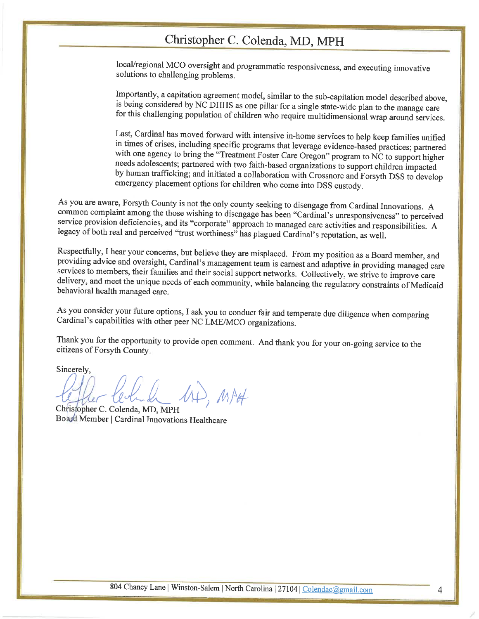local/regional MCO oversight and programmatic responsiveness, and executing innovative solutions to challenging problems.

Importantly, a capitation agreement model, similar to the sub-capitation model described above, is being considered by NC DHHS as one pillar for a single state-wide plan to the manage care for this challenging population of children who require multidimensional wrap around services.

Last, Cardinal has moved forward with intensive in-home services to help keep families unified in times of crises, including specific programs that leverage evidence-based practices; partnered with one agency to bring the "Treatment Foster Care Oregon" program to NC to support higher needs adolescents; partnered with two faith-based organizations to support children impacted by human trafficking; and initiated a collaboration with Crossnore and Forsyth DSS to develop emergency placement options for children who come into DSS custody.

As you are aware, Forsyth County is not the only county seeking to disengage from Cardinal Innovations. A common complaint among the those wishing to disengage has been "Cardinal's unresponsiveness" to perceived service provision deficiencies, and its "corporate" approach to managed care activities and responsibilities. A legacy of both real and perceived "trust worthiness" has plagued Cardinal's reputation, as well.

Respectfully, I hear your concerns, but believe they are misplaced. From my position as a Board member, and providing advice and oversight, Cardinal's management team is earnest and adaptive in providing managed care services to members, their families and their social support networks. Collectively, we strive to improve care delivery, and meet the unique needs of each community, while balancing the regulatory constraints of Medicaid behavioral health managed care.

As you consider your future options, I ask you to conduct fair and temperate due diligence when comparing Cardinal's capabilities with other peer NC LME/MCO organizations.

Thank you for the opportunity to provide open comment. And thank you for your on-going service to the citizens of Forsyth County.

Sincerely,

AD, MAH

Christopher C. Colenda, MD, MPH Board Member | Cardinal Innovations Healthcare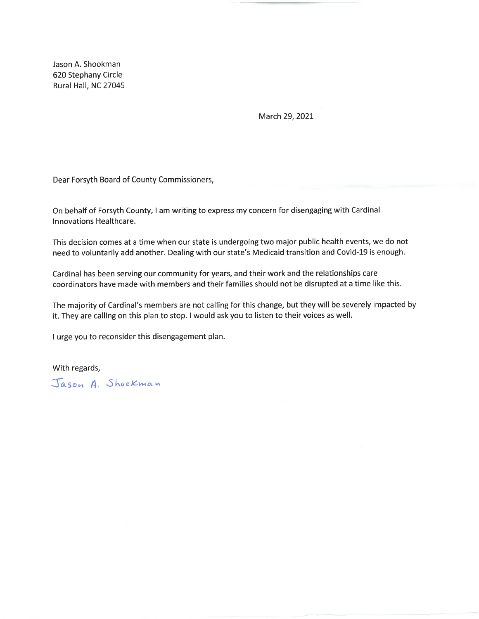Jason A. Shookman 620 Stephany Circle Rural Hall, NC 27045

March 29, 2021

Dear Forsyth Board of County Commissioners,

On behalf of Forsyth County, I am writing to express my concern for disengaging with Cardinal Innovations Healthcare.

This decision comes at a time when our state is undergoing two major public health events, we do not need to voluntarily add another. Dealing with our state's Medicaid transition and Covid-19 is enough.

Cardinal has been serving our community for years, and their work and the relationships care coordinators have made with members and their families should not be disrupted at a time like this.

The majority of Cardinal's members are not calling for this change, but they will be severely impacted by it. They are calling on this plan to stop. I would ask you to listen to their voices as well.

I urge you to reconsider this disengagement plan.

With regards,

Jason A. Shockman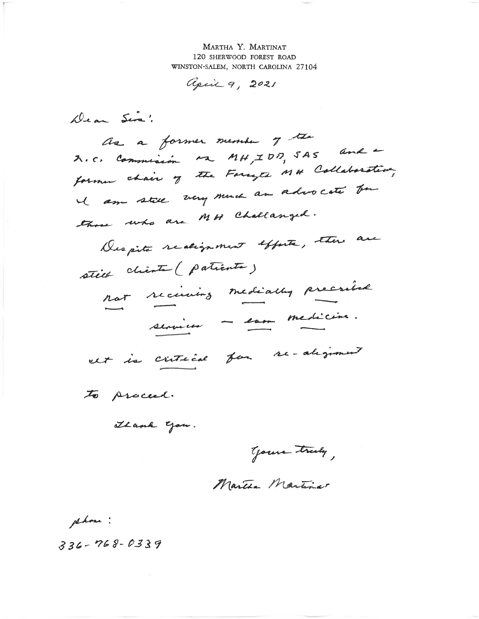MARTHA Y. MARTINAT 120 SHERWOOD FOREST ROAD WINSTON-SALEM, NORTH CAROLINA 27104

april 9, 2021

Dean Sira!

as a former member of the A.C. Commission Ma MH, IDD, SAS and former chain of the Foreget MH Collaboration, I am still very much an advocate for those who are MH Challanged. Despite realignment efforte, etter are

still chienta (patiente) not receiving mediathy precried services - eau medicine.

cet is critical for re-alignment

to proceed.

Thank you.

Your truly,

Martha Martina

phone :

 $336 - 768 - 0339$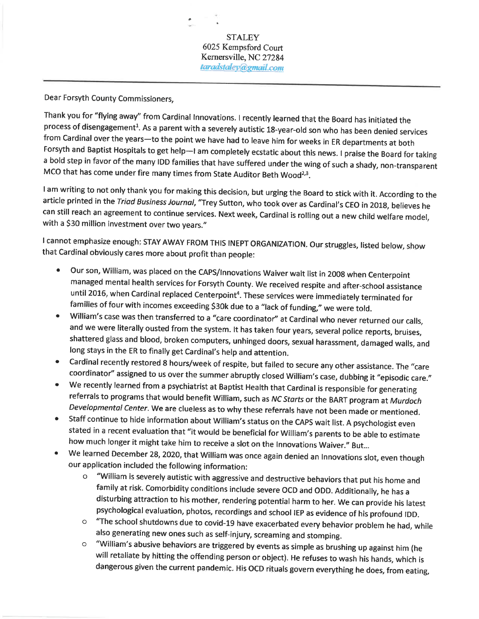Dear Forsyth County Commissioners,

Thank you for "flying away" from Cardinal Innovations. I recently learned that the Board has initiated the process of disengagement<sup>1</sup>. As a parent with a severely autistic 18-year-old son who has been denied services from Cardinal over the years-to the point we have had to leave him for weeks in ER departments at both Forsyth and Baptist Hospitals to get help-I am completely ecstatic about this news. I praise the Board for taking a bold step in favor of the many IDD families that have suffered under the wing of such a shady, non-transparent MCO that has come under fire many times from State Auditor Beth Wood<sup>2,3</sup>.

I am writing to not only thank you for making this decision, but urging the Board to stick with it. According to the article printed in the Triad Business Journal, "Trey Sutton, who took over as Cardinal's CEO in 2018, believes he can still reach an agreement to continue services. Next week, Cardinal is rolling out a new child welfare model, with a \$30 million investment over two years."

I cannot emphasize enough: STAY AWAY FROM THIS INEPT ORGANIZATION. Our struggles, listed below, show that Cardinal obviously cares more about profit than people:

- Our son, William, was placed on the CAPS/Innovations Waiver wait list in 2008 when Centerpoint  $\bullet$ managed mental health services for Forsyth County. We received respite and after-school assistance until 2016, when Cardinal replaced Centerpoint<sup>4</sup>. These services were immediately terminated for families of four with incomes exceeding \$30k due to a "lack of funding," we were told.
- William's case was then transferred to a "care coordinator" at Cardinal who never returned our calls, ۰ and we were literally ousted from the system. It has taken four years, several police reports, bruises, shattered glass and blood, broken computers, unhinged doors, sexual harassment, damaged walls, and long stays in the ER to finally get Cardinal's help and attention.
- Cardinal recently restored 8 hours/week of respite, but failed to secure any other assistance. The "care  $\bullet$ coordinator" assigned to us over the summer abruptly closed William's case, dubbing it "episodic care."
- We recently learned from a psychiatrist at Baptist Health that Cardinal is responsible for generating  $\bullet$ referrals to programs that would benefit William, such as NC Starts or the BART program at Murdoch Developmental Center. We are clueless as to why these referrals have not been made or mentioned.
- Staff continue to hide information about William's status on the CAPS wait list. A psychologist even  $\bullet$ stated in a recent evaluation that "it would be beneficial for William's parents to be able to estimate how much longer it might take him to receive a slot on the Innovations Waiver." But...
- We learned December 28, 2020, that William was once again denied an Innovations slot, even though  $\bullet$ our application included the following information:
	- "William is severely autistic with aggressive and destructive behaviors that put his home and  $\circ$ family at risk. Comorbidity conditions include severe OCD and ODD. Additionally, he has a disturbing attraction to his mother, rendering potential harm to her. We can provide his latest psychological evaluation, photos, recordings and school IEP as evidence of his profound IDD.
	- o "The school shutdowns due to covid-19 have exacerbated every behavior problem he had, while also generating new ones such as self-injury, screaming and stomping.
	- "William's abusive behaviors are triggered by events as simple as brushing up against him (he  $\circ$ will retaliate by hitting the offending person or object). He refuses to wash his hands, which is dangerous given the current pandemic. His OCD rituals govern everything he does, from eating,